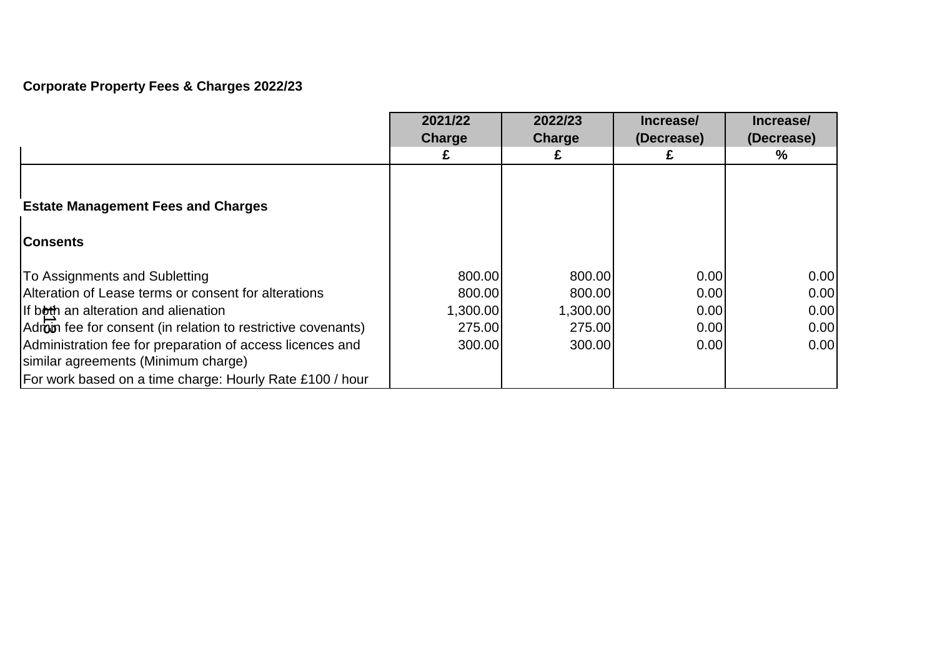# **Corporate Property Fees & Charges 2022/23**

|                                                                                                  | 2021/22<br>Charge | 2022/23<br>Charge | Increase/<br>(Decrease) | Increase/<br>(Decrease) |
|--------------------------------------------------------------------------------------------------|-------------------|-------------------|-------------------------|-------------------------|
|                                                                                                  |                   |                   |                         | ℅                       |
|                                                                                                  |                   |                   |                         |                         |
| <b>Estate Management Fees and Charges</b>                                                        |                   |                   |                         |                         |
| <b>Consents</b>                                                                                  |                   |                   |                         |                         |
| To Assignments and Subletting                                                                    | 800.00            | 800.00            | 0.00                    | 0.00                    |
| Alteration of Lease terms or consent for alterations                                             | 800.00            | 800.00            | 0.00                    | 0.00                    |
| If both an alteration and alienation                                                             | 1,300.00          | 1,300.00          | 0.00                    | 0.00                    |
| Adroin fee for consent (in relation to restrictive covenants)                                    | 275.00            | 275.00            | 0.00                    | 0.00                    |
| Administration fee for preparation of access licences and<br>similar agreements (Minimum charge) | 300.00            | 300.00            | 0.00                    | 0.00                    |
| For work based on a time charge: Hourly Rate £100 / hour                                         |                   |                   |                         |                         |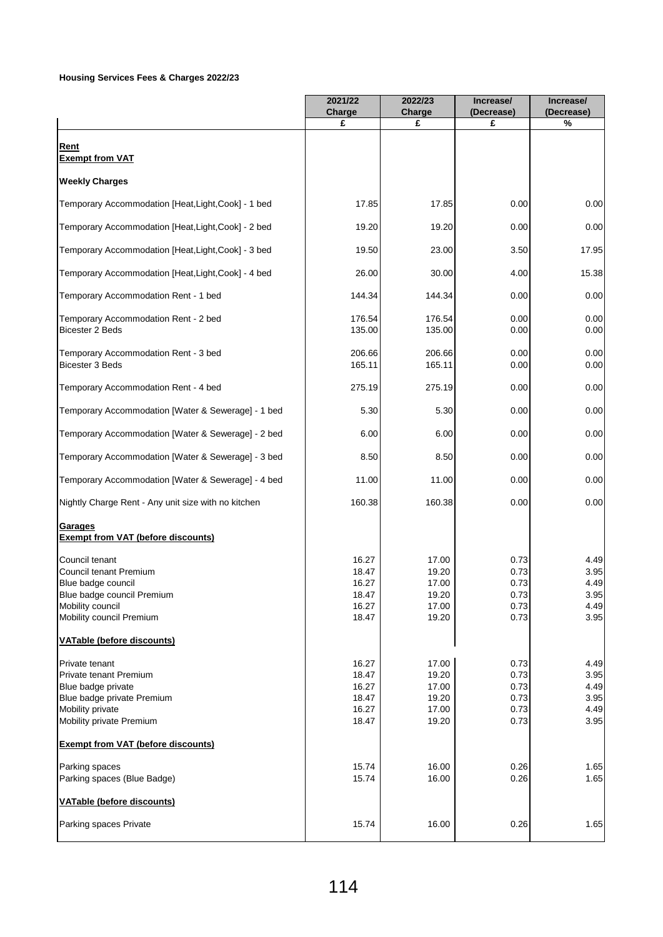### **Housing Services Fees & Charges 2022/23**

|                                                                                                                                              | 2021/22                                            | 2022/23                                            | Increase/                                    | Increase/                                    |
|----------------------------------------------------------------------------------------------------------------------------------------------|----------------------------------------------------|----------------------------------------------------|----------------------------------------------|----------------------------------------------|
|                                                                                                                                              | Charge<br>£                                        | Charge<br>£                                        | (Decrease)<br>£                              | (Decrease)<br>%                              |
| Rent                                                                                                                                         |                                                    |                                                    |                                              |                                              |
| <b>Exempt from VAT</b>                                                                                                                       |                                                    |                                                    |                                              |                                              |
| <b>Weekly Charges</b>                                                                                                                        |                                                    |                                                    |                                              |                                              |
| Temporary Accommodation [Heat,Light,Cook] - 1 bed                                                                                            | 17.85                                              | 17.85                                              | 0.00                                         | 0.00                                         |
| Temporary Accommodation [Heat,Light,Cook] - 2 bed                                                                                            | 19.20                                              | 19.20                                              | 0.00                                         | 0.00                                         |
| Temporary Accommodation [Heat,Light,Cook] - 3 bed                                                                                            | 19.50                                              | 23.00                                              | 3.50                                         | 17.95                                        |
| Temporary Accommodation [Heat, Light, Cook] - 4 bed                                                                                          | 26.00                                              | 30.00                                              | 4.00                                         | 15.38                                        |
| Temporary Accommodation Rent - 1 bed                                                                                                         | 144.34                                             | 144.34                                             | 0.00                                         | 0.00                                         |
| Temporary Accommodation Rent - 2 bed<br><b>Bicester 2 Beds</b>                                                                               | 176.54<br>135.00                                   | 176.54<br>135.00                                   | 0.00<br>0.00                                 | 0.00<br>0.00                                 |
| Temporary Accommodation Rent - 3 bed<br><b>Bicester 3 Beds</b>                                                                               | 206.66<br>165.11                                   | 206.66<br>165.11                                   | 0.00<br>0.00                                 | 0.00<br>0.00                                 |
| Temporary Accommodation Rent - 4 bed                                                                                                         | 275.19                                             | 275.19                                             | 0.00                                         | 0.00                                         |
| Temporary Accommodation [Water & Sewerage] - 1 bed                                                                                           | 5.30                                               | 5.30                                               | 0.00                                         | 0.00                                         |
| Temporary Accommodation [Water & Sewerage] - 2 bed                                                                                           | 6.00                                               | 6.00                                               | 0.00                                         | 0.00                                         |
| Temporary Accommodation [Water & Sewerage] - 3 bed                                                                                           | 8.50                                               | 8.50                                               | 0.00                                         | 0.00                                         |
| Temporary Accommodation [Water & Sewerage] - 4 bed                                                                                           | 11.00                                              | 11.00                                              | 0.00                                         | 0.00                                         |
| Nightly Charge Rent - Any unit size with no kitchen                                                                                          | 160.38                                             | 160.38                                             | 0.00                                         | 0.00                                         |
| Garages<br><b>Exempt from VAT (before discounts)</b>                                                                                         |                                                    |                                                    |                                              |                                              |
| Council tenant<br>Council tenant Premium<br>Blue badge council<br>Blue badge council Premium<br>Mobility council<br>Mobility council Premium | 16.27<br>18.47<br>16.27<br>18.47<br>16.27<br>18.47 | 17.00<br>19.20<br>17.00<br>19.20<br>17.00<br>19.20 | 0.73<br>0.73<br>0.73<br>0.73<br>0.73<br>0.73 | 4.49<br>3.95<br>4.49<br>3.95<br>4.49<br>3.95 |
| <b>VATable (before discounts)</b>                                                                                                            |                                                    |                                                    |                                              |                                              |
| Private tenant<br>Private tenant Premium<br>Blue badge private<br>Blue badge private Premium<br>Mobility private<br>Mobility private Premium | 16.27<br>18.47<br>16.27<br>18.47<br>16.27<br>18.47 | 17.00<br>19.20<br>17.00<br>19.20<br>17.00<br>19.20 | 0.73<br>0.73<br>0.73<br>0.73<br>0.73<br>0.73 | 4.49<br>3.95<br>4.49<br>3.95<br>4.49<br>3.95 |
| <b>Exempt from VAT (before discounts)</b>                                                                                                    |                                                    |                                                    |                                              |                                              |
| Parking spaces<br>Parking spaces (Blue Badge)                                                                                                | 15.74<br>15.74                                     | 16.00<br>16.00                                     | 0.26<br>0.26                                 | 1.65<br>1.65                                 |
| <b>VATable (before discounts)</b>                                                                                                            |                                                    |                                                    |                                              |                                              |
| Parking spaces Private                                                                                                                       | 15.74                                              | 16.00                                              | 0.26                                         | 1.65                                         |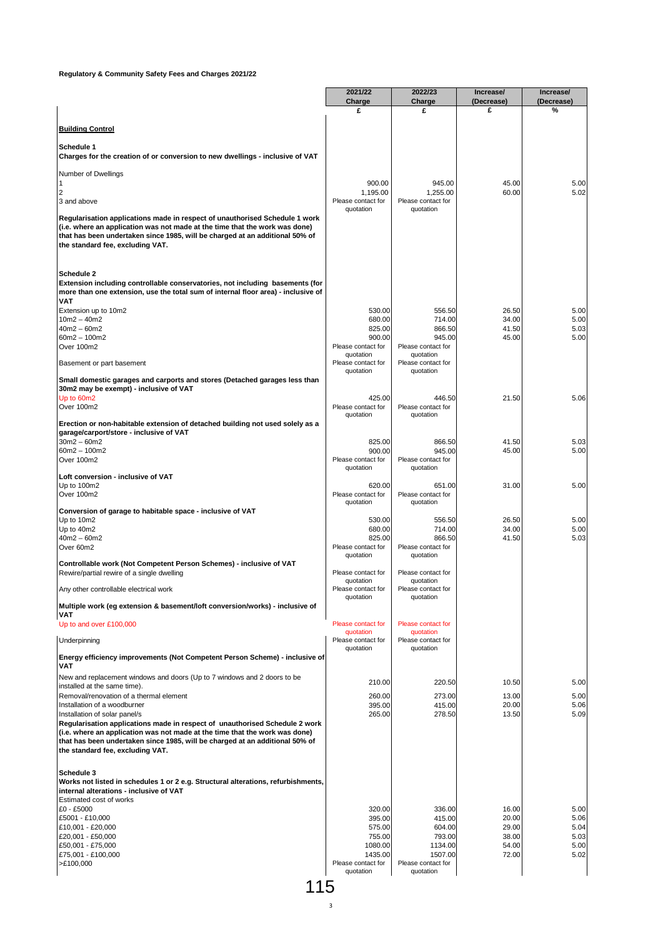|                                                                                                                                                                                                                                                                                | 2021/22<br>Charge                         | 2022/23<br>Charge                         | Increase/<br>(Decrease) | Increase/<br>(Decrease) |
|--------------------------------------------------------------------------------------------------------------------------------------------------------------------------------------------------------------------------------------------------------------------------------|-------------------------------------------|-------------------------------------------|-------------------------|-------------------------|
|                                                                                                                                                                                                                                                                                | £                                         | £                                         | £                       | %                       |
| <b>Building Control</b>                                                                                                                                                                                                                                                        |                                           |                                           |                         |                         |
|                                                                                                                                                                                                                                                                                |                                           |                                           |                         |                         |
| Schedule 1<br>Charges for the creation of or conversion to new dwellings - inclusive of VAT                                                                                                                                                                                    |                                           |                                           |                         |                         |
| Number of Dwellings                                                                                                                                                                                                                                                            |                                           |                                           |                         |                         |
| 1<br>2                                                                                                                                                                                                                                                                         | 900.00<br>1,195.00                        | 945.00<br>1,255.00                        | 45.00<br>60.00          | 5.00<br>5.02            |
| 3 and above                                                                                                                                                                                                                                                                    | Please contact for<br>quotation           | Please contact for                        |                         |                         |
| Regularisation applications made in respect of unauthorised Schedule 1 work<br>(i.e. where an application was not made at the time that the work was done)<br>that has been undertaken since 1985, will be charged at an additional 50% of<br>the standard fee, excluding VAT. |                                           | quotation                                 |                         |                         |
| Schedule 2<br>Extension including controllable conservatories, not including basements (for<br>more than one extension, use the total sum of internal floor area) - inclusive of<br>VAT                                                                                        |                                           |                                           |                         |                         |
| Extension up to 10m2                                                                                                                                                                                                                                                           | 530.00                                    | 556.50                                    | 26.50                   | 5.00                    |
| $10m2 - 40m2$<br>$40m2 - 60m2$                                                                                                                                                                                                                                                 | 680.00<br>825.00                          | 714.00<br>866.50                          | 34.00<br>41.50          | 5.00<br>5.03            |
| $60m2 - 100m2$                                                                                                                                                                                                                                                                 | 900.00                                    | 945.00                                    | 45.00                   | 5.00                    |
| Over 100m2                                                                                                                                                                                                                                                                     | Please contact for<br>quotation           | Please contact for<br>quotation           |                         |                         |
| Basement or part basement                                                                                                                                                                                                                                                      | Please contact for<br>quotation           | Please contact for<br>quotation           |                         |                         |
| Small domestic garages and carports and stores (Detached garages less than                                                                                                                                                                                                     |                                           |                                           |                         |                         |
| 30m2 may be exempt) - inclusive of VAT<br>Up to 60m2                                                                                                                                                                                                                           | 425.00                                    | 446.50                                    | 21.50                   | 5.06                    |
| Over 100m2                                                                                                                                                                                                                                                                     | Please contact for<br>quotation           | Please contact for<br>quotation           |                         |                         |
| Erection or non-habitable extension of detached building not used solely as a                                                                                                                                                                                                  |                                           |                                           |                         |                         |
| garage/carport/store - inclusive of VAT<br>$30m2 - 60m2$                                                                                                                                                                                                                       | 825.00                                    | 866.50                                    | 41.50                   | 5.03                    |
| $60m2 - 100m2$                                                                                                                                                                                                                                                                 | 900.00                                    | 945.00                                    | 45.00                   | 5.00                    |
| Over 100m2                                                                                                                                                                                                                                                                     | Please contact for<br>quotation           | Please contact for<br>quotation           |                         |                         |
| Loft conversion - inclusive of VAT<br>Up to 100m2<br>Over 100m2                                                                                                                                                                                                                | 620.00<br>Please contact for<br>quotation | 651.00<br>Please contact for<br>quotation | 31.00                   | 5.00                    |
| Conversion of garage to habitable space - inclusive of VAT<br>Up to 10m2                                                                                                                                                                                                       | 530.00                                    | 556.50                                    | 26.50                   | 5.00                    |
| Up to 40m2                                                                                                                                                                                                                                                                     | 680.00                                    | 714.00                                    | 34.00                   | 5.00                    |
| $40m2 - 60m2$<br>Over 60m2                                                                                                                                                                                                                                                     | 825.00<br>Please contact for              | 866.50<br>Please contact for              | 41.50                   | 5.03                    |
|                                                                                                                                                                                                                                                                                | quotation                                 | quotation                                 |                         |                         |
| Controllable work (Not Competent Person Schemes) - inclusive of VAT<br>Rewire/partial rewire of a single dwelling                                                                                                                                                              | Please contact for<br>quotation           | Please contact for<br>quotation           |                         |                         |
| Any other controllable electrical work                                                                                                                                                                                                                                         | Please contact for<br>quotation           | Please contact for<br>quotation           |                         |                         |
| Multiple work (eq extension & basement/loft conversion/works) - inclusive of                                                                                                                                                                                                   |                                           |                                           |                         |                         |
| VAT<br>Up to and over £100,000                                                                                                                                                                                                                                                 | Please contact for                        | Please contact for                        |                         |                         |
| Underpinning                                                                                                                                                                                                                                                                   | quotation<br>Please contact for           | quotation<br>Please contact for           |                         |                         |
| Energy efficiency improvements (Not Competent Person Scheme) - inclusive of                                                                                                                                                                                                    | quotation                                 | quotation                                 |                         |                         |
| <b>VAT</b>                                                                                                                                                                                                                                                                     |                                           |                                           |                         |                         |
| New and replacement windows and doors (Up to 7 windows and 2 doors to be<br>installed at the same time).                                                                                                                                                                       | 210.00                                    | 220.50                                    | 10.50                   | 5.00                    |
| Removal/renovation of a thermal element                                                                                                                                                                                                                                        | 260.00                                    | 273.00                                    | 13.00                   | 5.00                    |
| Installation of a woodburner<br>Installation of solar panel/s                                                                                                                                                                                                                  | 395.00<br>265.00                          | 415.00<br>278.50                          | 20.00<br>13.50          | 5.06<br>5.09            |
| Regularisation applications made in respect of unauthorised Schedule 2 work<br>(i.e. where an application was not made at the time that the work was done)<br>that has been undertaken since 1985, will be charged at an additional 50% of<br>the standard fee, excluding VAT. |                                           |                                           |                         |                         |
| Schedule 3<br>Works not listed in schedules 1 or 2 e.g. Structural alterations, refurbishments,<br>internal alterations - inclusive of VAT<br>Estimated cost of works                                                                                                          |                                           |                                           |                         |                         |
| £0 - £5000                                                                                                                                                                                                                                                                     | 320.00                                    | 336.00                                    | 16.00                   | 5.00                    |
| £5001 - £10,000<br>£10,001 - £20,000                                                                                                                                                                                                                                           | 395.00<br>575.00                          | 415.00<br>604.00                          | 20.00<br>29.00          | 5.06<br>5.04            |
| £20,001 - £50,000                                                                                                                                                                                                                                                              | 755.00                                    | 793.00                                    | 38.00                   | 5.03                    |
| £50,001 - £75,000<br>£75,001 - £100,000                                                                                                                                                                                                                                        | 1080.00<br>1435.00                        | 1134.00<br>1507.00                        | 54.00<br>72.00          | 5.00<br>5.02            |
| >E100,000                                                                                                                                                                                                                                                                      | Please contact for<br>quotation           | Please contact for<br>quotation           |                         |                         |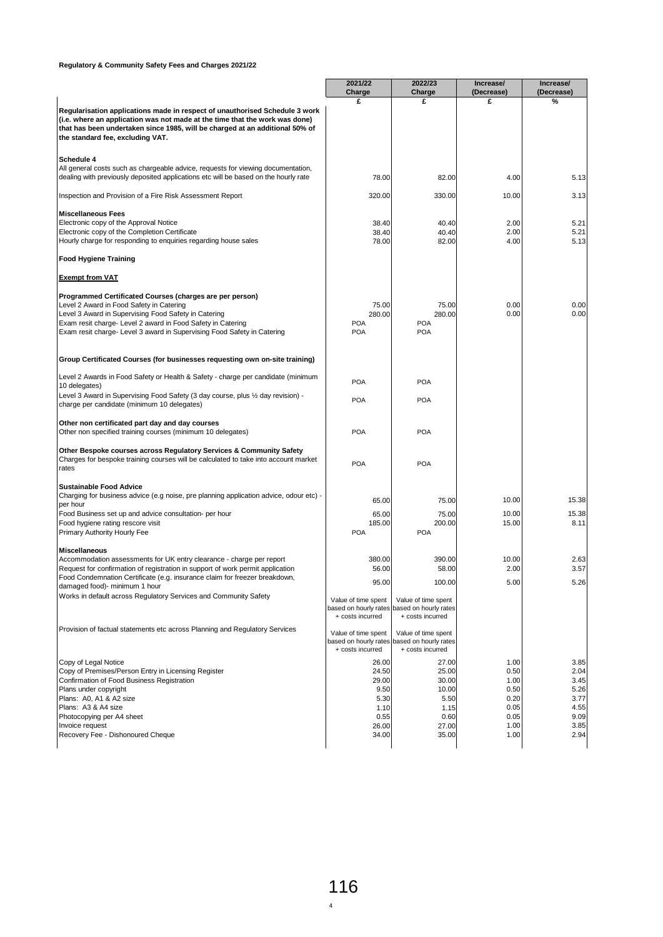|                                                                                                                                                                                                                                                                                | 2021/22                                   | 2022/23                                                                                | Increase/       | Increase/    |
|--------------------------------------------------------------------------------------------------------------------------------------------------------------------------------------------------------------------------------------------------------------------------------|-------------------------------------------|----------------------------------------------------------------------------------------|-----------------|--------------|
|                                                                                                                                                                                                                                                                                | Charge                                    | Charge                                                                                 | (Decrease)<br>£ | (Decrease)   |
| Regularisation applications made in respect of unauthorised Schedule 3 work<br>(i.e. where an application was not made at the time that the work was done)<br>that has been undertaken since 1985, will be charged at an additional 50% of<br>the standard fee, excluding VAT. | £                                         | £                                                                                      |                 | %            |
| Schedule 4                                                                                                                                                                                                                                                                     |                                           |                                                                                        |                 |              |
| All general costs such as chargeable advice, requests for viewing documentation,<br>dealing with previously deposited applications etc will be based on the hourly rate                                                                                                        | 78.00                                     | 82.00                                                                                  | 4.00            | 5.13         |
| Inspection and Provision of a Fire Risk Assessment Report                                                                                                                                                                                                                      | 320.00                                    | 330.00                                                                                 | 10.00           | 3.13         |
| <b>Miscellaneous Fees</b>                                                                                                                                                                                                                                                      |                                           |                                                                                        |                 |              |
| Electronic copy of the Approval Notice                                                                                                                                                                                                                                         | 38.40                                     | 40.40                                                                                  | 2.00            | 5.21         |
| Electronic copy of the Completion Certificate<br>Hourly charge for responding to enquiries regarding house sales                                                                                                                                                               | 38.40<br>78.00                            | 40.40<br>82.00                                                                         | 2.00<br>4.00    | 5.21<br>5.13 |
| <b>Food Hygiene Training</b>                                                                                                                                                                                                                                                   |                                           |                                                                                        |                 |              |
| <b>Exempt from VAT</b>                                                                                                                                                                                                                                                         |                                           |                                                                                        |                 |              |
| Programmed Certificated Courses (charges are per person)                                                                                                                                                                                                                       |                                           |                                                                                        |                 |              |
| Level 2 Award in Food Safety in Catering                                                                                                                                                                                                                                       | 75.00                                     | 75.00                                                                                  | 0.00            | 0.00         |
| Level 3 Award in Supervising Food Safety in Catering                                                                                                                                                                                                                           | 280.00<br><b>POA</b>                      | 280.00<br><b>POA</b>                                                                   | 0.00            | 0.00         |
| Exam resit charge- Level 2 award in Food Safety in Catering<br>Exam resit charge- Level 3 award in Supervising Food Safety in Catering                                                                                                                                         | <b>POA</b>                                | <b>POA</b>                                                                             |                 |              |
| Group Certificated Courses (for businesses requesting own on-site training)                                                                                                                                                                                                    |                                           |                                                                                        |                 |              |
| Level 2 Awards in Food Safety or Health & Safety - charge per candidate (minimum<br>10 delegates)                                                                                                                                                                              | <b>POA</b>                                | <b>POA</b>                                                                             |                 |              |
| Level 3 Award in Supervising Food Safety (3 day course, plus 1/2 day revision) -<br>charge per candidate (minimum 10 delegates)                                                                                                                                                | <b>POA</b>                                | <b>POA</b>                                                                             |                 |              |
|                                                                                                                                                                                                                                                                                |                                           |                                                                                        |                 |              |
| Other non certificated part day and day courses<br>Other non specified training courses (minimum 10 delegates)                                                                                                                                                                 | <b>POA</b>                                | <b>POA</b>                                                                             |                 |              |
| <b>Other Bespoke courses across Regulatory Services &amp; Community Safety</b><br>Charges for bespoke training courses will be calculated to take into account market<br>rates                                                                                                 | <b>POA</b>                                | <b>POA</b>                                                                             |                 |              |
| <b>Sustainable Food Advice</b>                                                                                                                                                                                                                                                 |                                           |                                                                                        |                 |              |
| Charging for business advice (e.g noise, pre planning application advice, odour etc) -<br>per hour                                                                                                                                                                             | 65.00                                     | 75.00                                                                                  | 10.00           | 15.38        |
| Food Business set up and advice consultation- per hour                                                                                                                                                                                                                         | 65.00                                     | 75.00                                                                                  | 10.00           | 15.38        |
| Food hygiene rating rescore visit<br>Primary Authority Hourly Fee                                                                                                                                                                                                              | 185.00<br><b>POA</b>                      | 200.00<br><b>POA</b>                                                                   | 15.00           | 8.11         |
| <b>Miscellaneous</b>                                                                                                                                                                                                                                                           |                                           |                                                                                        |                 |              |
| Accommodation assessments for UK entry clearance - charge per report                                                                                                                                                                                                           | 380.00                                    | 390.00                                                                                 | 10.00           | 2.63         |
| Request for confirmation of registration in support of work permit application                                                                                                                                                                                                 | 56.00                                     | 58.00                                                                                  | 2.00            | 3.57         |
| Food Condemnation Certificate (e.g. insurance claim for freezer breakdown<br>damaged food)- minimum 1 hour                                                                                                                                                                     | 95.00                                     | 100.00                                                                                 | 5.00            | 5.26         |
| Works in default across Regulatory Services and Community Safety                                                                                                                                                                                                               | Value of time spent                       | Value of time spent                                                                    |                 |              |
|                                                                                                                                                                                                                                                                                | based on hourly rates<br>+ costs incurred | based on hourly rates<br>+ costs incurred                                              |                 |              |
| Provision of factual statements etc across Planning and Regulatory Services                                                                                                                                                                                                    | Value of time spent<br>+ costs incurred   | Value of time spent<br>based on hourly rates based on hourly rates<br>+ costs incurred |                 |              |
| Copy of Legal Notice                                                                                                                                                                                                                                                           | 26.00                                     | 27.00                                                                                  | 1.00            | 3.85         |
| Copy of Premises/Person Entry in Licensing Register                                                                                                                                                                                                                            | 24.50                                     | 25.00                                                                                  | 0.50            | 2.04         |
| Confirmation of Food Business Registration                                                                                                                                                                                                                                     | 29.00                                     | 30.00                                                                                  | 1.00            | 3.45         |
| Plans under copyright                                                                                                                                                                                                                                                          | 9.50                                      | 10.00                                                                                  | 0.50            | 5.26         |
| Plans: A0, A1 & A2 size                                                                                                                                                                                                                                                        | 5.30                                      | 5.50                                                                                   | 0.20            | 3.77         |
| Plans: A3 & A4 size                                                                                                                                                                                                                                                            | 1.10                                      | 1.15                                                                                   | 0.05            | 4.55         |
| Photocopying per A4 sheet                                                                                                                                                                                                                                                      | 0.55                                      | 0.60                                                                                   | 0.05            | 9.09         |
|                                                                                                                                                                                                                                                                                |                                           |                                                                                        |                 |              |
| Invoice request<br>Recovery Fee - Dishonoured Cheque                                                                                                                                                                                                                           | 26.00<br>34.00                            | 27.00<br>35.00                                                                         | 1.00<br>1.00    | 3.85<br>2.94 |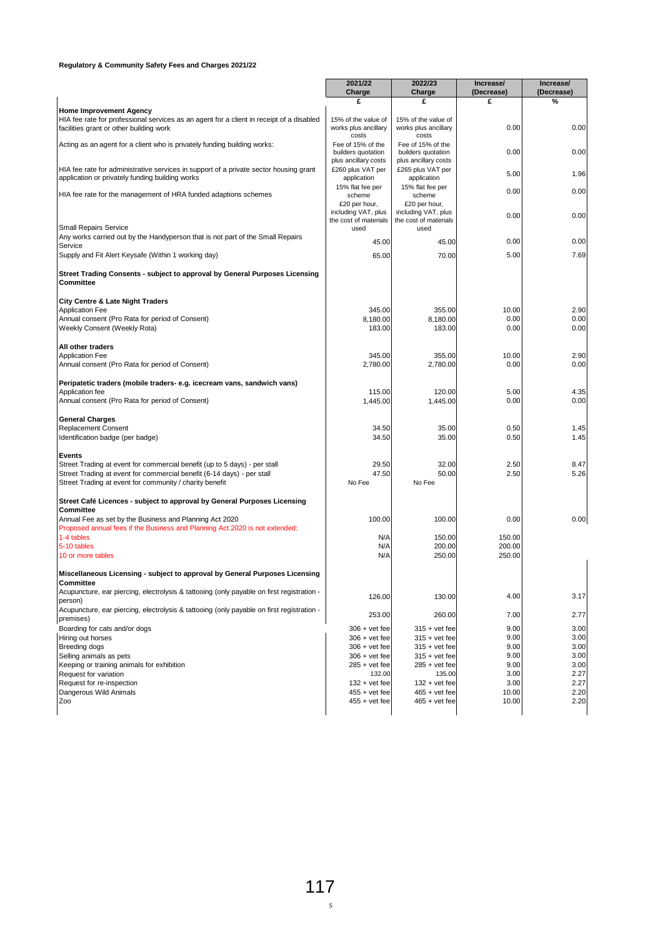|                                                                                                                                   | 2021/22                                     | 2022/23                                     | Increase/  | Increase/  |
|-----------------------------------------------------------------------------------------------------------------------------------|---------------------------------------------|---------------------------------------------|------------|------------|
|                                                                                                                                   | Charge                                      | Charge                                      | (Decrease) | (Decrease) |
|                                                                                                                                   | £                                           | £                                           | £          | %          |
| <b>Home Improvement Agency</b>                                                                                                    |                                             |                                             |            |            |
| HIA fee rate for professional services as an agent for a client in receipt of a disabled                                          | 15% of the value of<br>works plus ancillary | 15% of the value of<br>works plus ancillary | 0.00       | 0.00       |
| facilities grant or other building work                                                                                           | costs                                       | costs                                       |            |            |
| Acting as an agent for a client who is privately funding building works:                                                          | Fee of 15% of the                           | Fee of 15% of the                           |            |            |
|                                                                                                                                   | builders quotation                          | builders quotation                          | 0.00       | 0.00       |
|                                                                                                                                   | plus ancillary costs                        | plus ancillary costs                        |            |            |
| HIA fee rate for administrative services in support of a private sector housing grant                                             | £260 plus VAT per                           | £265 plus VAT per                           | 5.00       | 1.96       |
| application or privately funding building works                                                                                   | application                                 | application                                 |            |            |
|                                                                                                                                   | 15% flat fee per                            | 15% flat fee per                            | 0.00       | 0.00       |
| HIA fee rate for the management of HRA funded adaptions schemes                                                                   | scheme                                      | scheme                                      |            |            |
|                                                                                                                                   | £20 per hour,<br>including VAT, plus        | £20 per hour,<br>including VAT, plus        |            |            |
|                                                                                                                                   | the cost of materials                       | the cost of materials                       | 0.00       | 0.00       |
| <b>Small Repairs Service</b>                                                                                                      | used                                        | used                                        |            |            |
| Any works carried out by the Handyperson that is not part of the Small Repairs                                                    |                                             |                                             |            |            |
| Service                                                                                                                           | 45.00                                       | 45.00                                       | 0.00       | 0.00       |
| Supply and Fit Alert Keysafe (Within 1 working day)                                                                               | 65.00                                       | 70.00                                       | 5.00       | 7.69       |
|                                                                                                                                   |                                             |                                             |            |            |
| Street Trading Consents - subject to approval by General Purposes Licensing                                                       |                                             |                                             |            |            |
| Committee                                                                                                                         |                                             |                                             |            |            |
|                                                                                                                                   |                                             |                                             |            |            |
| <b>City Centre &amp; Late Night Traders</b>                                                                                       |                                             |                                             |            |            |
| <b>Application Fee</b>                                                                                                            | 345.00                                      | 355.00                                      | 10.00      | 2.90       |
| Annual consent (Pro Rata for period of Consent)                                                                                   | 8,180.00                                    | 8,180.00                                    | 0.00       | 0.00       |
| Weekly Consent (Weekly Rota)                                                                                                      | 183.00                                      | 183.00                                      | 0.00       | 0.00       |
|                                                                                                                                   |                                             |                                             |            |            |
| All other traders                                                                                                                 |                                             |                                             |            |            |
| Application Fee                                                                                                                   | 345.00                                      | 355.00                                      | 10.00      | 2.90       |
| Annual consent (Pro Rata for period of Consent)                                                                                   | 2,780.00                                    | 2.780.00                                    | 0.00       | 0.00       |
|                                                                                                                                   |                                             |                                             |            |            |
| Peripatetic traders (mobile traders- e.g. icecream vans, sandwich vans)                                                           |                                             |                                             |            |            |
| Application fee                                                                                                                   | 115.00                                      | 120.00                                      | 5.00       | 4.35       |
| Annual consent (Pro Rata for period of Consent)                                                                                   | 1,445.00                                    | 1,445.00                                    | 0.00       | 0.00       |
|                                                                                                                                   |                                             |                                             |            |            |
| <b>General Charges</b>                                                                                                            |                                             |                                             |            |            |
| <b>Replacement Consent</b>                                                                                                        | 34.50                                       | 35.00                                       | 0.50       | 1.45       |
| Identification badge (per badge)                                                                                                  | 34.50                                       | 35.00                                       | 0.50       | 1.45       |
|                                                                                                                                   |                                             |                                             |            |            |
| Events<br>Street Trading at event for commercial benefit (up to 5 days) - per stall                                               | 29.50                                       | 32.00                                       | 2.50       | 8.47       |
|                                                                                                                                   | 47.50                                       | 50.00                                       | 2.50       | 5.26       |
| Street Trading at event for commercial benefit (6-14 days) - per stall<br>Street Trading at event for community / charity benefit | No Fee                                      | No Fee                                      |            |            |
|                                                                                                                                   |                                             |                                             |            |            |
| Street Café Licences - subject to approval by General Purposes Licensing                                                          |                                             |                                             |            |            |
| Committee                                                                                                                         |                                             |                                             |            |            |
| Annual Fee as set by the Business and Planning Act 2020                                                                           | 100.00                                      | 100.00                                      | 0.00       | 0.00       |
| Proposed annual fees if the Business and Planning Act 2020 is not extended:                                                       |                                             |                                             |            |            |
| 1-4 tables                                                                                                                        | N/A                                         | 150.00                                      | 150.00     |            |
| 5-10 tables                                                                                                                       | N/A                                         | 200.00                                      | 200.00     |            |
| 10 or more tables                                                                                                                 | N/A                                         | 250.00                                      | 250.00     |            |
|                                                                                                                                   |                                             |                                             |            |            |
| Miscellaneous Licensing - subject to approval by General Purposes Licensing                                                       |                                             |                                             |            |            |
| Committee                                                                                                                         |                                             |                                             |            |            |
| Acupuncture, ear piercing, electrolysis & tattooing (only payable on first registration -                                         |                                             |                                             |            |            |
| person)                                                                                                                           | 126.00                                      | 130.00                                      | 4.00       | 3.17       |
| Acupuncture, ear piercing, electrolysis & tattooing (only payable on first registration -                                         |                                             |                                             |            |            |
| premises)                                                                                                                         | 253.00                                      | 260.00                                      | 7.00       | 2.77       |
| Boarding for cats and/or dogs                                                                                                     | $306 + v$ et fee                            | $315 + \text{vet fee}$                      | 9.00       | 3.00       |
| Hiring out horses                                                                                                                 | $306 + vet fee$                             | $315 + \text{vet fee}$                      | 9.00       | 3.00       |
| Breeding dogs                                                                                                                     | $306 + vet fee$                             | $315 + vet fee$                             | 9.00       | 3.00       |
| Selling animals as pets                                                                                                           | $306 + vet fee$                             | $315 + vet fee$                             | 9.00       | 3.00       |
| Keeping or training animals for exhibition                                                                                        | $285 + v$ et fee                            | $285 + vet fee$                             | 9.00       | 3.00       |
| Request for variation                                                                                                             | 132.00                                      | 135.00                                      | 3.00       | 2.27       |
| Request for re-inspection                                                                                                         | $132 + vet fee$                             | $132 + vet fee$                             | 3.00       | 2.27       |
| Dangerous Wild Animals                                                                                                            | $455 + vet fee$                             | $465 + vet fee$                             | 10.00      | 2.20       |
| Zoo                                                                                                                               | $455 + v$ et fee                            | $465 + vet fee$                             | 10.00      | 2.20       |
|                                                                                                                                   |                                             |                                             |            |            |
|                                                                                                                                   |                                             |                                             |            |            |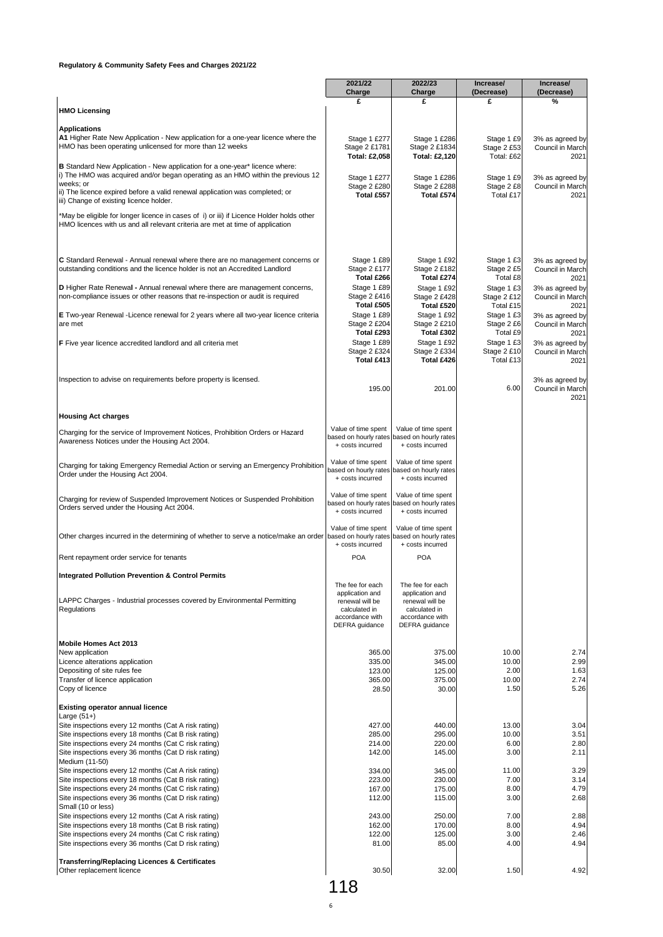|                                                                                                                                                                           | 2021/22<br>Charge                            | 2022/23<br>Charge                            | Increase/<br>(Decrease)   | Increase/<br>(Decrease)             |
|---------------------------------------------------------------------------------------------------------------------------------------------------------------------------|----------------------------------------------|----------------------------------------------|---------------------------|-------------------------------------|
|                                                                                                                                                                           | £                                            | £                                            | £                         | %                                   |
| <b>HMO Licensing</b>                                                                                                                                                      |                                              |                                              |                           |                                     |
| <b>Applications</b><br>A1 Higher Rate New Application - New application for a one-year licence where the                                                                  | Stage 1 £277                                 | Stage 1 £286                                 | Stage 1 £9                | 3% as agreed by                     |
| HMO has been operating unlicensed for more than 12 weeks                                                                                                                  | Stage 2 £1781<br><b>Total: £2.058</b>        | Stage 2 £1834<br>Total: £2,120               | Stage 2 £53<br>Total: £62 | Council in March<br>2021            |
| <b>B</b> Standard New Application - New application for a one-year* licence where:                                                                                        |                                              |                                              |                           |                                     |
| i) The HMO was acquired and/or began operating as an HMO within the previous 12<br>weeks; or                                                                              | Stage 1 £277<br>Stage 2 £280                 | Stage 1 £286<br>Stage 2 £288                 | Stage 1 £9<br>Stage 2 £8  | 3% as agreed by<br>Council in March |
| ii) The licence expired before a valid renewal application was completed; or<br>iii) Change of existing licence holder.                                                   | Total £557                                   | Total £574                                   | Total £17                 | 2021                                |
| *May be eligible for longer licence in cases of i) or iii) if Licence Holder holds other<br>HMO licences with us and all relevant criteria are met at time of application |                                              |                                              |                           |                                     |
|                                                                                                                                                                           |                                              |                                              |                           |                                     |
| C Standard Renewal - Annual renewal where there are no management concerns or<br>outstanding conditions and the licence holder is not an Accredited Landlord              | Stage 1 £89<br>Stage 2 £177                  | Stage 1 £92<br>Stage 2 £182                  | Stage 1 £3<br>Stage 2 £5  | 3% as agreed by<br>Council in March |
|                                                                                                                                                                           | Total £266<br>Stage 1 £89                    | Total £274<br>Stage 1 £92                    | Total £8                  | 2021                                |
| D Higher Rate Renewal - Annual renewal where there are management concerns,<br>non-compliance issues or other reasons that re-inspection or audit is required             | Stage 2 £416                                 | Stage 2 £428                                 | Stage 1 £3<br>Stage 2 £12 | 3% as agreed by<br>Council in March |
| E Two-year Renewal -Licence renewal for 2 years where all two-year licence criteria                                                                                       | Total £505<br>Stage 1 £89                    | Total £520<br>Stage 1 £92                    | Total £15<br>Stage 1 £3   | 2021<br>3% as agreed by             |
| are met                                                                                                                                                                   | Stage 2 £204<br>Total £293                   | Stage 2 £210<br>Total £302                   | Stage 2 £6<br>Total £9    | Council in March<br>2021            |
| F Five year licence accredited landlord and all criteria met                                                                                                              | Stage 1 £89                                  | Stage 1 £92                                  | Stage 1 £3                | 3% as agreed by                     |
|                                                                                                                                                                           | Stage 2 £324<br>Total £413                   | Stage 2 £334<br>Total £426                   | Stage 2 £10<br>Total £13  | Council in March<br>2021            |
| Inspection to advise on requirements before property is licensed.                                                                                                         |                                              |                                              |                           | 3% as agreed by                     |
|                                                                                                                                                                           | 195.00                                       | 201.00                                       | 6.00                      | Council in March<br>2021            |
| <b>Housing Act charges</b>                                                                                                                                                |                                              |                                              |                           |                                     |
| Charging for the service of Improvement Notices, Prohibition Orders or Hazard                                                                                             | Value of time spent                          | Value of time spent                          |                           |                                     |
| Awareness Notices under the Housing Act 2004.                                                                                                                             | based on hourly rates<br>+ costs incurred    | based on hourly rates<br>+ costs incurred    |                           |                                     |
| Charging for taking Emergency Remedial Action or serving an Emergency Prohibition                                                                                         | Value of time spent                          | Value of time spent                          |                           |                                     |
| Order under the Housing Act 2004.                                                                                                                                         | based on hourly rates<br>+ costs incurred    | based on hourly rates<br>+ costs incurred    |                           |                                     |
| Charging for review of Suspended Improvement Notices or Suspended Prohibition                                                                                             | Value of time spent<br>based on hourly rates | Value of time spent<br>based on hourly rates |                           |                                     |
| Orders served under the Housing Act 2004.                                                                                                                                 | + costs incurred                             | + costs incurred                             |                           |                                     |
| Other charges incurred in the determining of whether to serve a notice/make an order based on hourly rates                                                                | Value of time spent                          | Value of time spent<br>based on hourly rates |                           |                                     |
|                                                                                                                                                                           | + costs incurred                             | + costs incurred                             |                           |                                     |
| Rent repayment order service for tenants                                                                                                                                  | <b>POA</b>                                   | <b>POA</b>                                   |                           |                                     |
| Integrated Pollution Prevention & Control Permits                                                                                                                         | The fee for each                             | The fee for each                             |                           |                                     |
| LAPPC Charges - Industrial processes covered by Environmental Permitting                                                                                                  | application and<br>renewal will be           | application and<br>renewal will be           |                           |                                     |
| Regulations                                                                                                                                                               | calculated in<br>accordance with             | calculated in<br>accordance with             |                           |                                     |
|                                                                                                                                                                           | DEFRA guidance                               | DEFRA guidance                               |                           |                                     |
| Mobile Homes Act 2013                                                                                                                                                     |                                              |                                              |                           |                                     |
| New application<br>Licence alterations application                                                                                                                        | 365.00<br>335.00                             | 375.00<br>345.00                             | 10.00<br>10.00            | 2.74<br>2.99                        |
| Depositing of site rules fee                                                                                                                                              | 123.00                                       | 125.00                                       | 2.00                      | 1.63<br>2.74                        |
| Transfer of licence application<br>Copy of licence                                                                                                                        | 365.00<br>28.50                              | 375.00<br>30.00                              | 10.00<br>1.50             | 5.26                                |
| <b>Existing operator annual licence</b>                                                                                                                                   |                                              |                                              |                           |                                     |
| Large $(51+)$<br>Site inspections every 12 months (Cat A risk rating)                                                                                                     | 427.00                                       | 440.00                                       | 13.00                     | 3.04                                |
| Site inspections every 18 months (Cat B risk rating)                                                                                                                      | 285.00                                       | 295.00                                       | 10.00                     | 3.51                                |
| Site inspections every 24 months (Cat C risk rating)<br>Site inspections every 36 months (Cat D risk rating)                                                              | 214.00<br>142.00                             | 220.00<br>145.00                             | 6.00<br>3.00              | 2.80<br>2.11                        |
| Medium (11-50)                                                                                                                                                            |                                              |                                              |                           |                                     |
| Site inspections every 12 months (Cat A risk rating)<br>Site inspections every 18 months (Cat B risk rating)                                                              | 334.00<br>223.00                             | 345.00<br>230.00                             | 11.00<br>7.00             | 3.29<br>3.14                        |
| Site inspections every 24 months (Cat C risk rating)<br>Site inspections every 36 months (Cat D risk rating)                                                              | 167.00<br>112.00                             | 175.00<br>115.00                             | 8.00<br>3.00              | 4.79<br>2.68                        |
| Small (10 or less)                                                                                                                                                        |                                              |                                              |                           |                                     |
| Site inspections every 12 months (Cat A risk rating)<br>Site inspections every 18 months (Cat B risk rating)                                                              | 243.00<br>162.00                             | 250.00<br>170.00                             | 7.00<br>8.00              | 2.88<br>4.94                        |
| Site inspections every 24 months (Cat C risk rating)                                                                                                                      | 122.00                                       | 125.00                                       | 3.00                      | 2.46                                |
| Site inspections every 36 months (Cat D risk rating)                                                                                                                      | 81.00                                        | 85.00                                        | 4.00                      | 4.94                                |
| <b>Transferring/Replacing Licences &amp; Certificates</b><br>Other replacement licence                                                                                    | 30.50                                        | 32.00                                        | 1.50                      | 4.92                                |
|                                                                                                                                                                           |                                              |                                              |                           |                                     |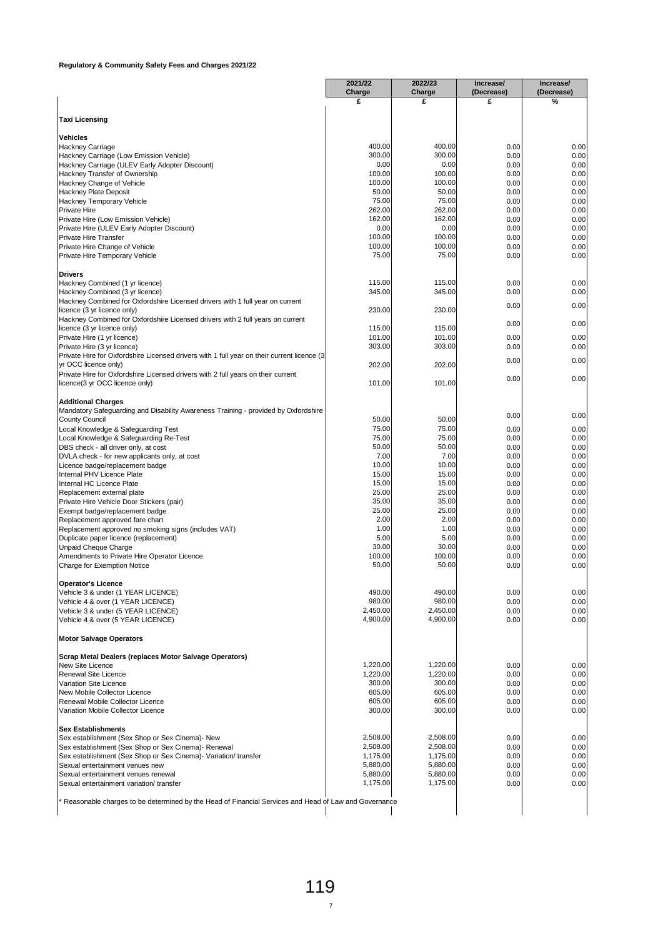|                                                                                                                           | Charge               | 2022/23<br>Charge    | Increase/<br>(Decrease) | Increase/<br>(Decrease) |
|---------------------------------------------------------------------------------------------------------------------------|----------------------|----------------------|-------------------------|-------------------------|
|                                                                                                                           | £                    | £                    | £                       | %                       |
|                                                                                                                           |                      |                      |                         |                         |
| <b>Taxi Licensing</b>                                                                                                     |                      |                      |                         |                         |
| <b>Vehicles</b>                                                                                                           |                      |                      |                         |                         |
| Hackney Carriage                                                                                                          | 400.00               | 400.00               | 0.00                    | 0.00                    |
| Hackney Carriage (Low Emission Vehicle)<br>Hackney Carriage (ULEV Early Adopter Discount)                                 | 300.00<br>0.00       | 300.00<br>0.00       | 0.00<br>0.00            | 0.00<br>0.00            |
| Hackney Transfer of Ownership                                                                                             | 100.00               | 100.00               | 0.00                    | 0.00                    |
| Hackney Change of Vehicle                                                                                                 | 100.00               | 100.00               | 0.00                    | 0.00                    |
| Hackney Plate Deposit                                                                                                     | 50.00                | 50.00                | 0.00                    | 0.00                    |
| Hackney Temporary Vehicle                                                                                                 | 75.00                | 75.00                | 0.00                    | 0.00                    |
| Private Hire                                                                                                              | 262.00               | 262.00               | 0.00                    | 0.00                    |
| Private Hire (Low Emission Vehicle)                                                                                       | 162.00               | 162.00               | 0.00                    | 0.00                    |
| Private Hire (ULEV Early Adopter Discount)<br><b>Private Hire Transfer</b>                                                | 0.00<br>100.00       | 0.00<br>100.00       | 0.00<br>0.00            | 0.00<br>0.00            |
| Private Hire Change of Vehicle                                                                                            | 100.00               | 100.00               | 0.00                    | 0.00                    |
| Private Hire Temporary Vehicle                                                                                            | 75.00                | 75.00                | 0.00                    | 0.00                    |
| <b>Drivers</b>                                                                                                            |                      |                      |                         |                         |
| Hackney Combined (1 yr licence)                                                                                           | 115.00               | 115.00               | 0.00                    | 0.00                    |
| Hackney Combined (3 yr licence)                                                                                           | 345.00               | 345.00               | 0.00                    | 0.00                    |
| Hackney Combined for Oxfordshire Licensed drivers with 1 full year on current<br>licence (3 yr licence only)              | 230.00               | 230.00               | 0.00                    | 0.00                    |
| Hackney Combined for Oxfordshire Licensed drivers with 2 full years on current                                            |                      |                      | 0.00                    | 0.00                    |
| licence (3 yr licence only)                                                                                               | 115.00               | 115.00               |                         |                         |
| Private Hire (1 yr licence)                                                                                               | 101.00<br>303.00     | 101.00<br>303.00     | 0.00                    | 0.00                    |
| Private Hire (3 yr licence)<br>Private Hire for Oxfordshire Licensed drivers with 1 full year on their current licence (3 |                      |                      | 0.00                    | 0.00                    |
| yr OCC licence only)                                                                                                      | 202.00               | 202.00               | 0.00                    | 0.00                    |
| Private Hire for Oxfordshire Licensed drivers with 2 full years on their current<br>licence(3 yr OCC licence only)        | 101.00               | 101.00               | 0.00                    | 0.00                    |
|                                                                                                                           |                      |                      |                         |                         |
| <b>Additional Charges</b><br>Mandatory Safeguarding and Disability Awareness Training - provided by Oxfordshire           |                      |                      |                         |                         |
| <b>County Council</b>                                                                                                     | 50.00                | 50.00                | 0.00                    | 0.00                    |
| Local Knowledge & Safeguarding Test                                                                                       | 75.00                | 75.00                | 0.00                    | 0.00                    |
| Local Knowledge & Safeguarding Re-Test                                                                                    | 75.00                | 75.00                | 0.00                    | 0.00                    |
| DBS check - all driver only, at cost                                                                                      | 50.00                | 50.00                | 0.00                    | 0.00                    |
| DVLA check - for new applicants only, at cost                                                                             | 7.00                 | 7.00                 | 0.00                    | 0.00                    |
| Licence badge/replacement badge<br>Internal PHV Licence Plate                                                             | 10.00<br>15.00       | 10.00<br>15.00       | 0.00<br>0.00            | 0.00<br>0.00            |
| Internal HC Licence Plate                                                                                                 | 15.00                | 15.00                | 0.00                    | 0.00                    |
| Replacement external plate                                                                                                | 25.00                | 25.00                | 0.00                    | 0.00                    |
| Private Hire Vehicle Door Stickers (pair)                                                                                 | 35.00                | 35.00                | 0.00                    | 0.00                    |
| Exempt badge/replacement badge                                                                                            | 25.00                | 25.00                | 0.00                    | 0.00                    |
| Replacement approved fare chart                                                                                           | 2.00                 | 2.00                 | 0.00                    | 0.00                    |
| Replacement approved no smoking signs (includes VAT)                                                                      | 1.00                 | 1.00                 | 0.00                    | 0.00                    |
| Duplicate paper licence (replacement)                                                                                     | 5.00<br>30.00        | 5.00<br>30.00        | 0.00                    | 0.00                    |
| Unpaid Cheque Charge<br>Amendments to Private Hire Operator Licence                                                       | 100.00               | 100.00               | 0.00<br>0.00            | 0.00<br>0.00            |
| Charge for Exemption Notice                                                                                               | 50.00                | 50.00                | 0.00                    | 0.00                    |
| <b>Operator's Licence</b>                                                                                                 |                      |                      |                         |                         |
| Vehicle 3 & under (1 YEAR LICENCE)                                                                                        | 490.00               | 490.00               | 0.00                    | 0.00                    |
| Vehicle 4 & over (1 YEAR LICENCE)                                                                                         | 980.00               | 980.00               | 0.00                    | 0.00                    |
| Vehicle 3 & under (5 YEAR LICENCE)                                                                                        | 2,450.00             | 2,450.00             | 0.00                    | 0.00                    |
| Vehicle 4 & over (5 YEAR LICENCE)                                                                                         | 4,900.00             | 4,900.00             | 0.00                    | 0.00                    |
| <b>Motor Salvage Operators</b>                                                                                            |                      |                      |                         |                         |
| Scrap Metal Dealers (replaces Motor Salvage Operators)                                                                    |                      |                      |                         |                         |
| New Site Licence                                                                                                          | 1,220.00<br>1,220.00 | 1,220.00<br>1,220.00 | 0.00                    | 0.00                    |
| Renewal Site Licence<br>Variation Site Licence                                                                            | 300.00               | 300.00               | 0.00<br>0.00            | 0.00<br>0.00            |
| New Mobile Collector Licence                                                                                              | 605.00               | 605.00               | 0.00                    | 0.00                    |
| Renewal Mobile Collector Licence                                                                                          | 605.00               | 605.00               | 0.00                    | 0.00                    |
| Variation Mobile Collector Licence                                                                                        | 300.00               | 300.00               | 0.00                    | 0.00                    |
| <b>Sex Establishments</b>                                                                                                 |                      |                      |                         |                         |
|                                                                                                                           | 2,508.00             | 2,508.00             | 0.00                    | 0.00                    |
| Sex establishment (Sex Shop or Sex Cinema)- New                                                                           | 2,508.00             | 2,508.00             | 0.00                    | 0.00                    |
| Sex establishment (Sex Shop or Sex Cinema)- Renewal                                                                       | 1,175.00             | 1,175.00             | 0.00                    | 0.00<br>0.00            |
| Sex establishment (Sex Shop or Sex Cinema) - Variation/ transfer                                                          |                      |                      |                         |                         |
| Sexual entertainment venues new                                                                                           | 5,880.00             | 5,880.00             | 0.00                    |                         |
| Sexual entertainment venues renewal<br>Sexual entertainment variation/transfer                                            | 5,880.00<br>1,175.00 | 5,880.00<br>1,175.00 | 0.00<br>0.00            | 0.00<br>0.00            |
|                                                                                                                           |                      |                      |                         |                         |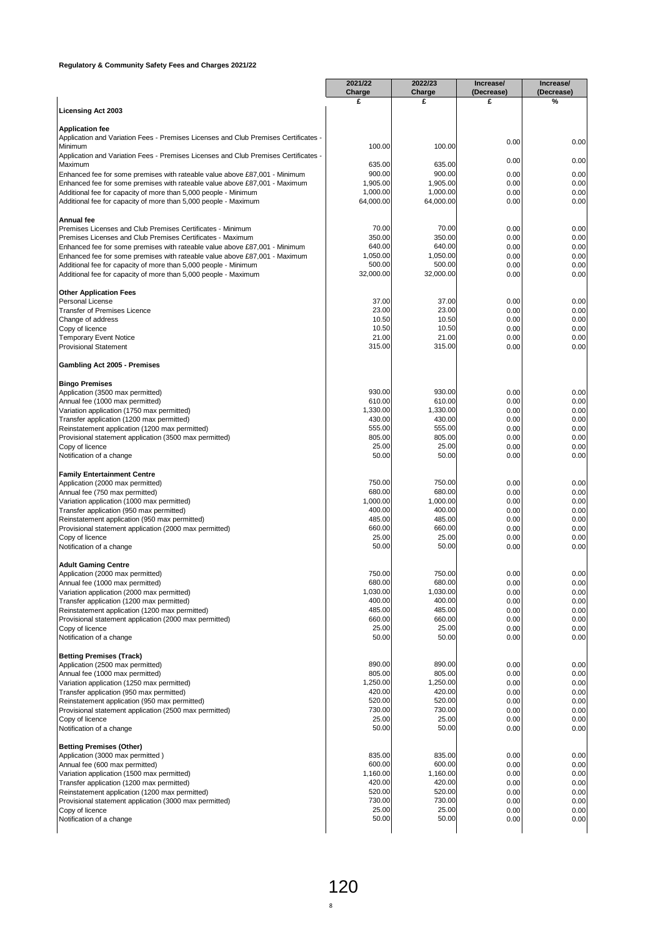|                                                                                                                                    | 2021/22               | 2022/23               | Increase/       | Increase/          |
|------------------------------------------------------------------------------------------------------------------------------------|-----------------------|-----------------------|-----------------|--------------------|
|                                                                                                                                    | Charge<br>£           | Charge<br>£           | (Decrease)<br>£ | (Decrease)<br>$\%$ |
| <b>Licensing Act 2003</b>                                                                                                          |                       |                       |                 |                    |
|                                                                                                                                    |                       |                       |                 |                    |
| <b>Application fee</b><br>Application and Variation Fees - Premises Licenses and Club Premises Certificates -                      |                       |                       |                 |                    |
| Minimum                                                                                                                            | 100.00                | 100.00                | 0.00            | 0.00               |
| Application and Variation Fees - Premises Licenses and Club Premises Certificates -                                                |                       |                       |                 |                    |
| Maximum                                                                                                                            | 635.00                | 635.00                | 0.00            | 0.00               |
| Enhanced fee for some premises with rateable value above £87,001 - Minimum                                                         | 900.00                | 900.00                | 0.00            | 0.00               |
| Enhanced fee for some premises with rateable value above £87,001 - Maximum                                                         | 1,905.00              | 1,905.00              | 0.00            | 0.00               |
| Additional fee for capacity of more than 5,000 people - Minimum<br>Additional fee for capacity of more than 5,000 people - Maximum | 1,000.00<br>64,000.00 | 1,000.00<br>64,000.00 | 0.00<br>0.00    | 0.00<br>0.00       |
|                                                                                                                                    |                       |                       |                 |                    |
| Annual fee                                                                                                                         |                       |                       |                 |                    |
| Premises Licenses and Club Premises Certificates - Minimum                                                                         | 70.00                 | 70.00                 | 0.00            | 0.00               |
| Premises Licenses and Club Premises Certificates - Maximum                                                                         | 350.00                | 350.00                | 0.00            | 0.00               |
| Enhanced fee for some premises with rateable value above £87,001 - Minimum                                                         | 640.00                | 640.00                | 0.00            | 0.00               |
| Enhanced fee for some premises with rateable value above £87,001 - Maximum                                                         | 1,050.00<br>500.00    | 1,050.00<br>500.00    | 0.00<br>0.00    | 0.00               |
| Additional fee for capacity of more than 5,000 people - Minimum<br>Additional fee for capacity of more than 5,000 people - Maximum | 32,000.00             | 32,000.00             | 0.00            | 0.00<br>0.00       |
|                                                                                                                                    |                       |                       |                 |                    |
| <b>Other Application Fees</b>                                                                                                      |                       |                       |                 |                    |
| Personal License                                                                                                                   | 37.00                 | 37.00                 | 0.00            | 0.00               |
| <b>Transfer of Premises Licence</b>                                                                                                | 23.00                 | 23.00                 | 0.00            | 0.00               |
| Change of address                                                                                                                  | 10.50                 | 10.50                 | 0.00            | 0.00               |
| Copy of licence                                                                                                                    | 10.50<br>21.00        | 10.50<br>21.00        | 0.00            | 0.00               |
| <b>Temporary Event Notice</b><br><b>Provisional Statement</b>                                                                      | 315.00                | 315.00                | 0.00<br>0.00    | 0.00<br>0.00       |
|                                                                                                                                    |                       |                       |                 |                    |
| Gambling Act 2005 - Premises                                                                                                       |                       |                       |                 |                    |
| <b>Bingo Premises</b>                                                                                                              | 930.00                | 930.00                | 0.00            | 0.00               |
| Application (3500 max permitted)<br>Annual fee (1000 max permitted)                                                                | 610.00                | 610.00                | 0.00            | 0.00               |
| Variation application (1750 max permitted)                                                                                         | 1,330.00              | 1,330.00              | 0.00            | 0.00               |
| Transfer application (1200 max permitted)                                                                                          | 430.00                | 430.00                | 0.00            | 0.00               |
| Reinstatement application (1200 max permitted)                                                                                     | 555.00                | 555.00                | 0.00            | 0.00               |
| Provisional statement application (3500 max permitted)                                                                             | 805.00                | 805.00                | 0.00            | 0.00               |
| Copy of licence                                                                                                                    | 25.00                 | 25.00                 | 0.00            | 0.00               |
| Notification of a change                                                                                                           | 50.00                 | 50.00                 | 0.00            | 0.00               |
| <b>Family Entertainment Centre</b>                                                                                                 |                       |                       |                 |                    |
| Application (2000 max permitted)                                                                                                   | 750.00                | 750.00                | 0.00            | 0.00               |
| Annual fee (750 max permitted)                                                                                                     | 680.00                | 680.00                | 0.00            | 0.00               |
| Variation application (1000 max permitted)                                                                                         | 1,000.00              | 1,000.00              | 0.00            | 0.00               |
| Transfer application (950 max permitted)                                                                                           | 400.00                | 400.00                | 0.00            | 0.00               |
| Reinstatement application (950 max permitted)                                                                                      | 485.00                | 485.00                | 0.00            | 0.00               |
| Provisional statement application (2000 max permitted)                                                                             | 660.00                | 660.00<br>25.00       | 0.00            | 0.00               |
| Copy of licence<br>Notification of a change                                                                                        | 25.00<br>50.00        | 50.00                 | 0.00<br>0.00    | 0.00<br>0.00       |
| <b>Adult Gaming Centre</b>                                                                                                         |                       |                       |                 |                    |
| Application (2000 max permitted)                                                                                                   | 750.00                | 750.00                | 0.00            | 0.00               |
| Annual fee (1000 max permitted)                                                                                                    | 680.00                | 680.00                | 0.00            | 0.00               |
| Variation application (2000 max permitted)                                                                                         | 1,030.00              | 1,030.00              | 0.00            | 0.00               |
| Transfer application (1200 max permitted)                                                                                          | 400.00                | 400.00                | 0.00            | 0.00               |
| Reinstatement application (1200 max permitted)                                                                                     | 485.00                | 485.00                | 0.00            | 0.00               |
| Provisional statement application (2000 max permitted)<br>Copy of licence                                                          | 660.00<br>25.00       | 660.00<br>25.00       | 0.00<br>0.00    | 0.00<br>0.00       |
| Notification of a change                                                                                                           | 50.00                 | 50.00                 | 0.00            | 0.00               |
|                                                                                                                                    |                       |                       |                 |                    |
| <b>Betting Premises (Track)</b><br>Application (2500 max permitted)                                                                | 890.00                | 890.00                | 0.00            | 0.00               |
| Annual fee (1000 max permitted)                                                                                                    | 805.00                | 805.00                | 0.00            | 0.00               |
| Variation application (1250 max permitted)                                                                                         | 1,250.00              | 1,250.00              | 0.00            | 0.00               |
| Transfer application (950 max permitted)                                                                                           | 420.00                | 420.00                | 0.00            | 0.00               |
| Reinstatement application (950 max permitted)                                                                                      | 520.00                | 520.00                | 0.00            | 0.00               |
| Provisional statement application (2500 max permitted)                                                                             | 730.00                | 730.00                | 0.00            | 0.00               |
| Copy of licence                                                                                                                    | 25.00                 | 25.00                 | 0.00            | 0.00               |
| Notification of a change                                                                                                           | 50.00                 | 50.00                 | 0.00            | 0.00               |
| <b>Betting Premises (Other)</b>                                                                                                    |                       |                       |                 |                    |
| Application (3000 max permitted)                                                                                                   | 835.00                | 835.00<br>600.00      | 0.00            | 0.00               |
| Annual fee (600 max permitted)<br>Variation application (1500 max permitted)                                                       | 600.00<br>1,160.00    | 1,160.00              | 0.00<br>0.00    | 0.00<br>0.00       |
| Transfer application (1200 max permitted)                                                                                          | 420.00                | 420.00                | 0.00            | 0.00               |
| Reinstatement application (1200 max permitted)                                                                                     | 520.00                | 520.00                | 0.00            | 0.00               |
| Provisional statement application (3000 max permitted)                                                                             | 730.00                | 730.00                | 0.00            | 0.00               |
| Copy of licence                                                                                                                    | 25.00                 | 25.00                 | 0.00            | 0.00               |
|                                                                                                                                    | 50.00                 | 50.00                 | 0.00            | 0.00               |
| Notification of a change                                                                                                           |                       |                       |                 |                    |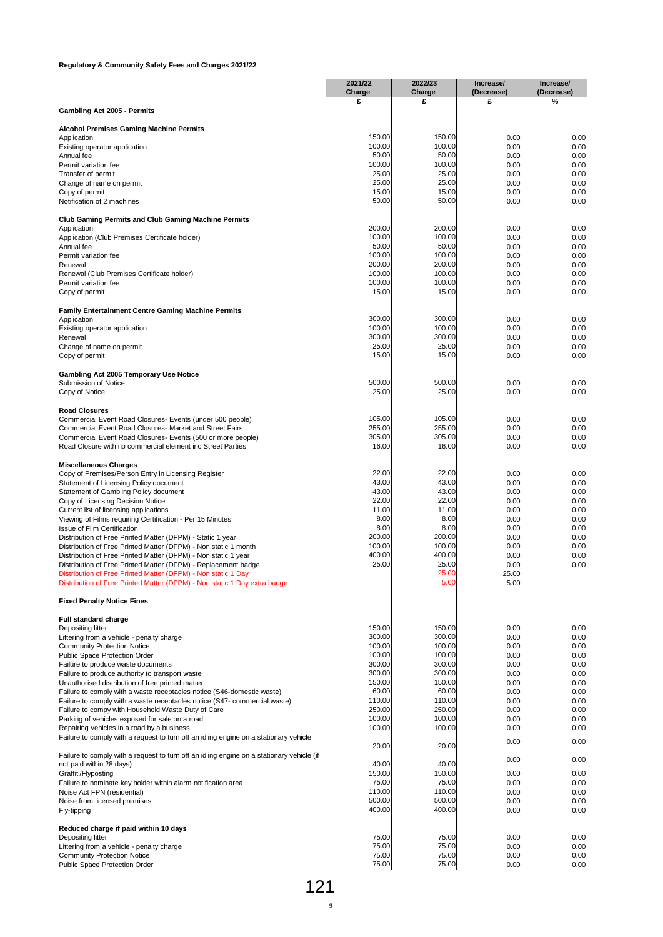|                                                                                                                                  | 2021/22<br>Charge | 2022/23<br>Charge | Increase/<br>(Decrease) | Increase/<br>(Decrease) |
|----------------------------------------------------------------------------------------------------------------------------------|-------------------|-------------------|-------------------------|-------------------------|
|                                                                                                                                  | £                 | £                 | £                       | %                       |
| Gambling Act 2005 - Permits                                                                                                      |                   |                   |                         |                         |
| <b>Alcohol Premises Gaming Machine Permits</b>                                                                                   |                   |                   |                         |                         |
| Application<br>Existing operator application                                                                                     | 150.00<br>100.00  | 150.00<br>100.00  | 0.00<br>0.00            | 0.00<br>0.00            |
| Annual fee                                                                                                                       | 50.00             | 50.00             | 0.00                    | 0.00                    |
| Permit variation fee                                                                                                             | 100.00            | 100.00            | 0.00                    | 0.00                    |
| Transfer of permit<br>Change of name on permit                                                                                   | 25.00<br>25.00    | 25.00<br>25.00    | 0.00<br>0.00            | 0.00<br>0.00            |
| Copy of permit                                                                                                                   | 15.00             | 15.00             | 0.00                    | 0.00                    |
| Notification of 2 machines                                                                                                       | 50.00             | 50.00             | 0.00                    | 0.00                    |
| <b>Club Gaming Permits and Club Gaming Machine Permits</b>                                                                       |                   |                   |                         |                         |
| Application                                                                                                                      | 200.00            | 200.00            | 0.00                    | 0.00                    |
| Application (Club Premises Certificate holder)<br>Annual fee                                                                     | 100.00<br>50.00   | 100.00<br>50.00   | 0.00<br>0.00            | 0.00<br>0.00            |
| Permit variation fee                                                                                                             | 100.00            | 100.00            | 0.00                    | 0.00                    |
| Renewal                                                                                                                          | 200.00<br>100.00  | 200.00            | 0.00                    | 0.00                    |
| Renewal (Club Premises Certificate holder)<br>Permit variation fee                                                               | 100.00            | 100.00<br>100.00  | 0.00<br>0.00            | 0.00<br>0.00            |
| Copy of permit                                                                                                                   | 15.00             | 15.00             | 0.00                    | 0.00                    |
| <b>Family Entertainment Centre Gaming Machine Permits</b>                                                                        |                   |                   |                         |                         |
| Application                                                                                                                      | 300.00            | 300.00            | 0.00                    | 0.00                    |
| Existing operator application<br>Renewal                                                                                         | 100.00<br>300.00  | 100.00<br>300.00  | 0.00<br>0.00            | 0.00<br>0.00            |
| Change of name on permit                                                                                                         | 25.00             | 25.00             | 0.00                    | 0.00                    |
| Copy of permit                                                                                                                   | 15.00             | 15.00             | 0.00                    | 0.00                    |
| Gambling Act 2005 Temporary Use Notice                                                                                           |                   |                   |                         |                         |
| Submission of Notice                                                                                                             | 500.00            | 500.00            | 0.00                    | 0.00                    |
| Copy of Notice                                                                                                                   | 25.00             | 25.00             | 0.00                    | 0.00                    |
| <b>Road Closures</b>                                                                                                             |                   |                   |                         |                         |
| Commercial Event Road Closures- Events (under 500 people)                                                                        | 105.00<br>255.00  | 105.00<br>255.00  | 0.00                    | 0.00                    |
| Commercial Event Road Closures- Market and Street Fairs<br>Commercial Event Road Closures- Events (500 or more people)           | 305.00            | 305.00            | 0.00<br>0.00            | 0.00<br>0.00            |
| Road Closure with no commercial element inc Street Parties                                                                       | 16.00             | 16.00             | 0.00                    | 0.00                    |
| <b>Miscellaneous Charges</b>                                                                                                     |                   |                   |                         |                         |
| Copy of Premises/Person Entry in Licensing Register                                                                              | 22.00             | 22.00             | 0.00                    | 0.00                    |
| Statement of Licensing Policy document                                                                                           | 43.00<br>43.00    | 43.00             | 0.00                    | 0.00                    |
| Statement of Gambling Policy document<br>Copy of Licensing Decision Notice                                                       | 22.00             | 43.00<br>22.00    | 0.00<br>0.00            | 0.00<br>0.00            |
| Current list of licensing applications                                                                                           | 11.00             | 11.00             | 0.00                    | 0.00                    |
| Viewing of Films requiring Certification - Per 15 Minutes<br><b>Issue of Film Certification</b>                                  | 8.00<br>8.00      | 8.00<br>8.00      | 0.00<br>0.00            | 0.00<br>0.00            |
| Distribution of Free Printed Matter (DFPM) - Static 1 year                                                                       | 200.00            | 200.00            | 0.00                    | 0.00                    |
| Distribution of Free Printed Matter (DFPM) - Non static 1 month                                                                  | 100.00            | 100.00            | 0.00                    | 0.00                    |
| Distribution of Free Printed Matter (DFPM) - Non static 1 year<br>Distribution of Free Printed Matter (DFPM) - Replacement badge | 400.00<br>25.00   | 400.00<br>25.00   | 0.00<br>0.00            | 0.00<br>0.00            |
| Distribution of Free Printed Matter (DFPM) - Non static 1 Day                                                                    |                   | 25.00             | 25.00                   |                         |
| Distribution of Free Printed Matter (DFPM) - Non static 1 Day extra badge                                                        |                   | 5.00              | 5.00                    |                         |
| <b>Fixed Penalty Notice Fines</b>                                                                                                |                   |                   |                         |                         |
| Full standard charge                                                                                                             |                   |                   |                         |                         |
| Depositing litter                                                                                                                | 150.00            | 150.00            | 0.00                    | 0.00                    |
| Littering from a vehicle - penalty charge<br><b>Community Protection Notice</b>                                                  | 300.00<br>100.00  | 300.00<br>100.00  | 0.00<br>0.00            | 0.00<br>0.00            |
| Public Space Protection Order                                                                                                    | 100.00            | 100.00            | 0.00                    | 0.00                    |
| Failure to produce waste documents                                                                                               | 300.00            | 300.00            | 0.00                    | 0.00                    |
| Failure to produce authority to transport waste<br>Unauthorised distribution of free printed matter                              | 300.00<br>150.00  | 300.00<br>150.00  | 0.00<br>0.00            | 0.00<br>0.00            |
| Failure to comply with a waste receptacles notice (S46-domestic waste)                                                           | 60.00             | 60.00             | 0.00                    | 0.00                    |
| Failure to comply with a waste receptacles notice (S47- commercial waste)                                                        | 110.00            | 110.00            | 0.00                    | 0.00                    |
| Failure to compy with Household Waste Duty of Care<br>Parking of vehicles exposed for sale on a road                             | 250.00<br>100.00  | 250.00<br>100.00  | 0.00<br>0.00            | 0.00<br>0.00            |
| Repairing vehicles in a road by a business                                                                                       | 100.00            | 100.00            | 0.00                    | 0.00                    |
| Failure to comply with a request to turn off an idling engine on a stationary vehicle                                            |                   |                   | 0.00                    | 0.00                    |
| Failure to comply with a request to turn off an idling engine on a stationary vehicle (if                                        | 20.00             | 20.00             |                         |                         |
| not paid within 28 days)                                                                                                         | 40.00             | 40.00             | 0.00                    | 0.00                    |
| Graffiti/Flyposting<br>Failure to nominate key holder within alarm notification area                                             | 150.00<br>75.00   | 150.00<br>75.00   | 0.00<br>0.00            | 0.00<br>0.00            |
| Noise Act FPN (residential)                                                                                                      | 110.00            | 110.00            | 0.00                    | 0.00                    |
| Noise from licensed premises                                                                                                     | 500.00            | 500.00            | 0.00                    | 0.00                    |
| Fly-tipping                                                                                                                      | 400.00            | 400.00            | 0.00                    | 0.00                    |
| Reduced charge if paid within 10 days                                                                                            |                   |                   |                         |                         |
| Depositing litter<br>Littering from a vehicle - penalty charge                                                                   | 75.00<br>75.00    | 75.00<br>75.00    | 0.00<br>0.00            | 0.00<br>0.00            |
| <b>Community Protection Notice</b>                                                                                               | 75.00             | 75.00             | 0.00                    | 0.00                    |
| Public Space Protection Order                                                                                                    | 75.00             | 75.00             | 0.00                    | 0.00                    |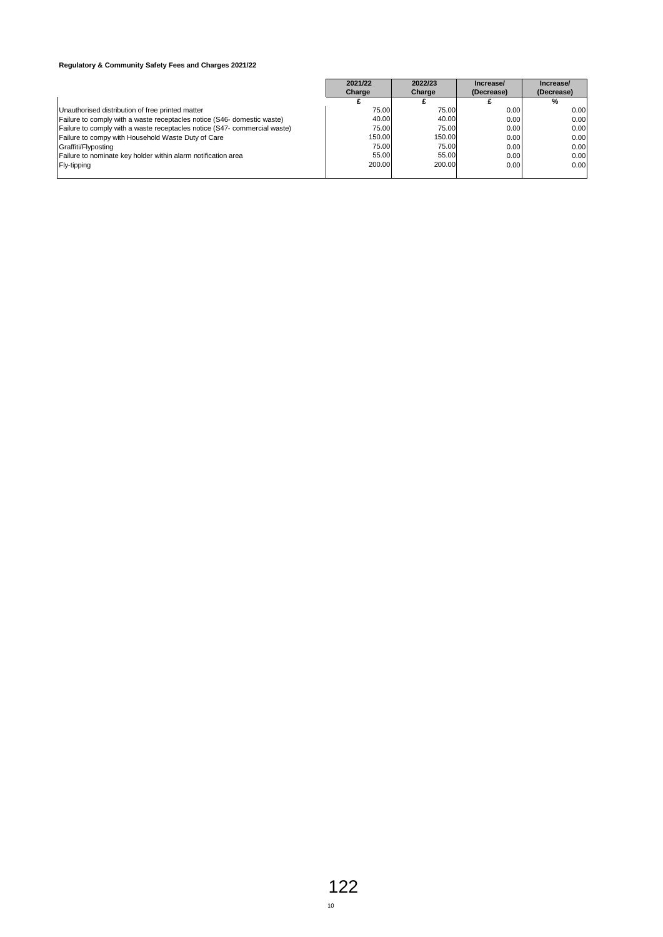|                                                                           | 2021/22 | 2022/23 | Increase/  | Increase/  |
|---------------------------------------------------------------------------|---------|---------|------------|------------|
|                                                                           | Charge  | Charge  | (Decrease) | (Decrease) |
|                                                                           |         |         |            | %          |
| Unauthorised distribution of free printed matter                          | 75.00   | 75.00   | 0.00       | 0.00       |
| Failure to comply with a waste receptacles notice (S46- domestic waste)   | 40.00   | 40.00   | 0.00       | 0.00       |
| Failure to comply with a waste receptacles notice (S47- commercial waste) | 75.00   | 75.00   | 0.00       | 0.00       |
| Failure to compy with Household Waste Duty of Care                        | 150.00  | 150.00  | 0.00       | 0.00       |
| Graffiti/Flyposting                                                       | 75.00   | 75.00   | 0.00       | 0.00       |
| Failure to nominate key holder within alarm notification area             | 55.00   | 55.00   | 0.00       | 0.00       |
| Fly-tipping                                                               | 200.00  | 200.00  | 0.00       | 0.00       |
|                                                                           |         |         |            |            |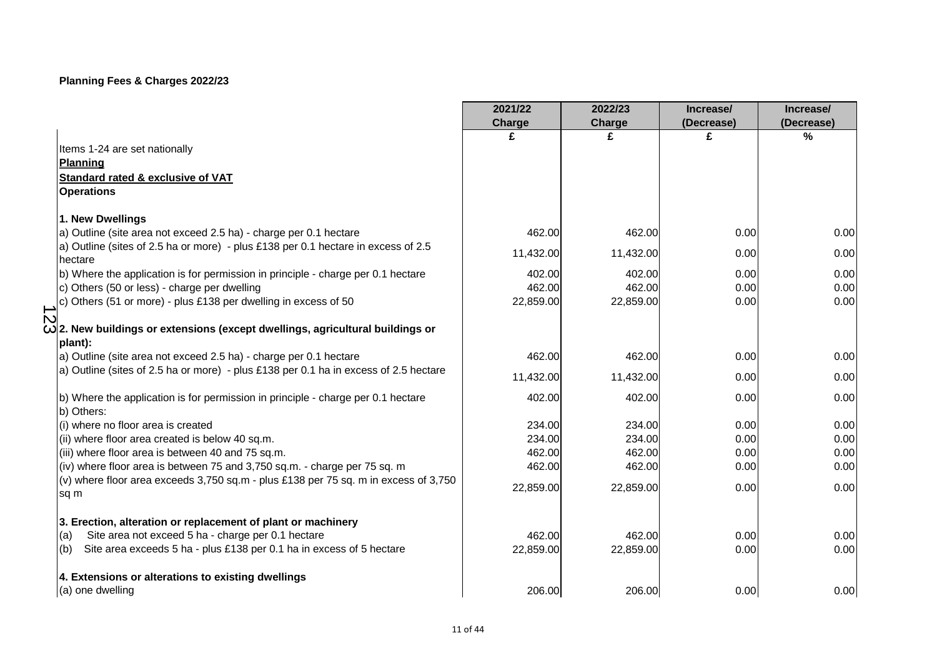|                                                                                                | 2021/22   | 2022/23       | Increase/  | Increase/  |
|------------------------------------------------------------------------------------------------|-----------|---------------|------------|------------|
|                                                                                                | Charge    | <b>Charge</b> | (Decrease) | (Decrease) |
|                                                                                                | £         | £             | £          | %          |
| Items 1-24 are set nationally                                                                  |           |               |            |            |
| <b>Planning</b>                                                                                |           |               |            |            |
| Standard rated & exclusive of VAT                                                              |           |               |            |            |
| <b>Operations</b>                                                                              |           |               |            |            |
| 1. New Dwellings                                                                               |           |               |            |            |
| a) Outline (site area not exceed 2.5 ha) - charge per 0.1 hectare                              | 462.00    | 462.00        | 0.00       | 0.00       |
| a) Outline (sites of 2.5 ha or more) - plus £138 per 0.1 hectare in excess of 2.5<br>hectare   | 11,432.00 | 11,432.00     | 0.00       | 0.00       |
| b) Where the application is for permission in principle - charge per 0.1 hectare               | 402.00    | 402.00        | 0.00       | 0.00       |
| c) Others (50 or less) - charge per dwelling                                                   | 462.00    | 462.00        | 0.00       | 0.00       |
| c) Others (51 or more) - plus £138 per dwelling in excess of 50                                | 22,859.00 | 22,859.00     | 0.00       | 0.00       |
| $\mathbf D$                                                                                    |           |               |            |            |
| $\omega$ 2. New buildings or extensions (except dwellings, agricultural buildings or           |           |               |            |            |
| plant):<br>a) Outline (site area not exceed 2.5 ha) - charge per 0.1 hectare                   | 462.00    | 462.00        | 0.00       | 0.00       |
| a) Outline (sites of 2.5 ha or more) - plus £138 per 0.1 ha in excess of 2.5 hectare           |           |               |            |            |
|                                                                                                | 11,432.00 | 11,432.00     | 0.00       | 0.00       |
| b) Where the application is for permission in principle - charge per 0.1 hectare<br>b) Others: | 402.00    | 402.00        | 0.00       | 0.00       |
| (i) where no floor area is created                                                             | 234.00    | 234.00        | 0.00       | 0.00       |
| (ii) where floor area created is below 40 sq.m.                                                | 234.00    | 234.00        | 0.00       | 0.00       |
| (iii) where floor area is between 40 and 75 sq.m.                                              | 462.00    | 462.00        | 0.00       | 0.00       |
| (iv) where floor area is between 75 and 3,750 sq.m. - charge per 75 sq. m                      | 462.00    | 462.00        | 0.00       | 0.00       |
| (v) where floor area exceeds 3,750 sq.m - plus £138 per 75 sq. m in excess of 3,750<br>sq m    | 22,859.00 | 22,859.00     | 0.00       | 0.00       |
|                                                                                                |           |               |            |            |
| 3. Erection, alteration or replacement of plant or machinery                                   |           |               |            |            |
| Site area not exceed 5 ha - charge per 0.1 hectare<br>(a)                                      | 462.00    | 462.00        | 0.00       | 0.00       |
| Site area exceeds 5 ha - plus £138 per 0.1 ha in excess of 5 hectare<br>(b)                    | 22,859.00 | 22,859.00     | 0.00       | 0.00       |
| 4. Extensions or alterations to existing dwellings                                             |           |               |            |            |
| (a) one dwelling                                                                               | 206.00    | 206.00        | 0.00       | 0.00       |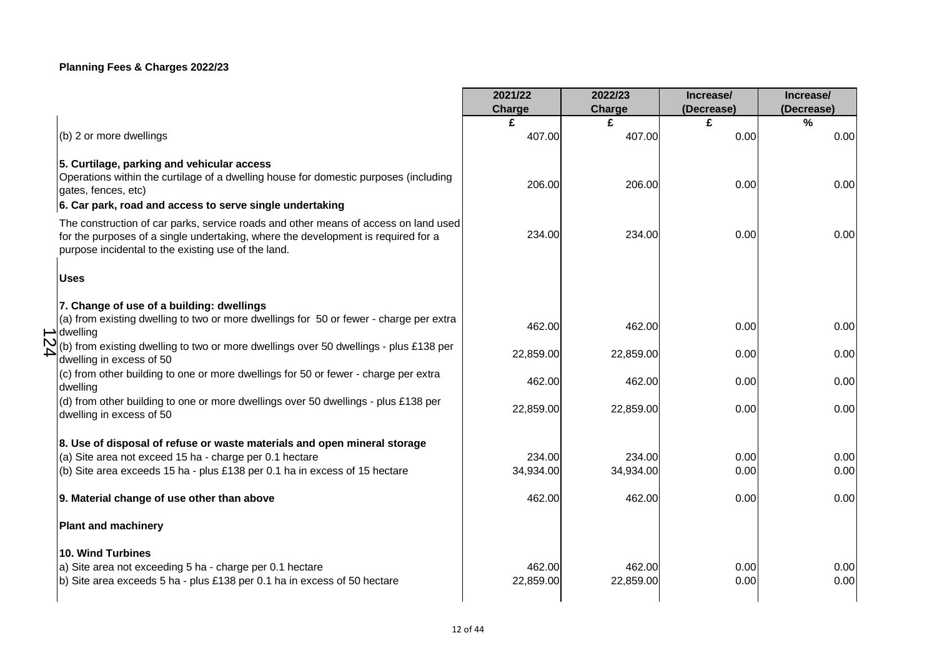|             |                                                                                                                                                                                                                                 | 2021/22   | 2022/23   | Increase/  | Increase/  |
|-------------|---------------------------------------------------------------------------------------------------------------------------------------------------------------------------------------------------------------------------------|-----------|-----------|------------|------------|
|             |                                                                                                                                                                                                                                 | Charge    | Charge    | (Decrease) | (Decrease) |
|             |                                                                                                                                                                                                                                 | £         | £         | £          | $\%$       |
|             | (b) 2 or more dwellings                                                                                                                                                                                                         | 407.00    | 407.00    | 0.00       | 0.00       |
|             | 5. Curtilage, parking and vehicular access                                                                                                                                                                                      |           |           |            |            |
|             | Operations within the curtilage of a dwelling house for domestic purposes (including<br>gates, fences, etc)                                                                                                                     | 206.00    | 206.00    | 0.00       | 0.00       |
|             | 6. Car park, road and access to serve single undertaking                                                                                                                                                                        |           |           |            |            |
|             | The construction of car parks, service roads and other means of access on land used<br>for the purposes of a single undertaking, where the development is required for a<br>purpose incidental to the existing use of the land. | 234.00    | 234.00    | 0.00       | 0.00       |
|             | <b>Uses</b>                                                                                                                                                                                                                     |           |           |            |            |
|             | 7. Change of use of a building: dwellings                                                                                                                                                                                       |           |           |            |            |
|             | (a) from existing dwelling to two or more dwellings for 50 or fewer - charge per extra<br>$\rightarrow$ dwelling                                                                                                                | 462.00    | 462.00    | 0.00       | 0.00       |
| $\mathbf D$ | (b) from existing dwelling to two or more dwellings over 50 dwellings - plus £138 per<br>dwelling in excess of 50                                                                                                               | 22,859.00 | 22,859.00 | 0.00       | 0.00       |
|             | (c) from other building to one or more dwellings for 50 or fewer - charge per extra<br>dwelling                                                                                                                                 | 462.00    | 462.00    | 0.00       | 0.00       |
|             | (d) from other building to one or more dwellings over 50 dwellings - plus £138 per<br>dwelling in excess of 50                                                                                                                  | 22,859.00 | 22,859.00 | 0.00       | 0.00       |
|             |                                                                                                                                                                                                                                 |           |           |            |            |
|             | 8. Use of disposal of refuse or waste materials and open mineral storage<br>(a) Site area not exceed 15 ha - charge per 0.1 hectare                                                                                             | 234.00    | 234.00    | 0.00       | 0.00       |
|             | (b) Site area exceeds 15 ha - plus £138 per 0.1 ha in excess of 15 hectare                                                                                                                                                      | 34,934.00 | 34,934.00 | 0.00       | 0.00       |
|             |                                                                                                                                                                                                                                 |           |           |            |            |
|             | 9. Material change of use other than above                                                                                                                                                                                      | 462.00    | 462.00    | 0.00       | 0.00       |
|             | <b>Plant and machinery</b>                                                                                                                                                                                                      |           |           |            |            |
|             | <b>10. Wind Turbines</b>                                                                                                                                                                                                        |           |           |            |            |
|             | a) Site area not exceeding 5 ha - charge per 0.1 hectare                                                                                                                                                                        | 462.00    | 462.00    | 0.00       | 0.00       |
|             | b) Site area exceeds 5 ha - plus £138 per 0.1 ha in excess of 50 hectare                                                                                                                                                        | 22,859.00 | 22,859.00 | 0.00       | 0.00       |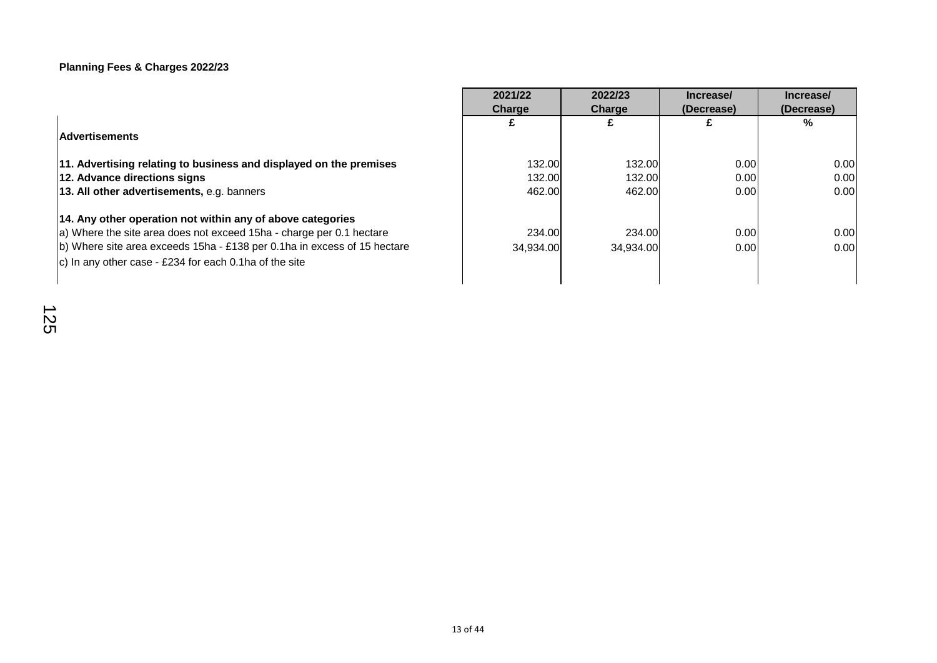|                                                                          | 2021/22   | 2022/23   | Increase/         | Increase/  |
|--------------------------------------------------------------------------|-----------|-----------|-------------------|------------|
|                                                                          | Charge    | Charge    | (Decrease)        | (Decrease) |
|                                                                          |           |           |                   | %          |
| <b>Advertisements</b>                                                    |           |           |                   |            |
|                                                                          |           |           |                   |            |
| 11. Advertising relating to business and displayed on the premises       | 132.00    | 132.00    | 0.00              | 0.00       |
| 12. Advance directions signs                                             | 132.00    | 132.00    | 0.00 <sub>l</sub> | 0.00       |
| 13. All other advertisements, e.g. banners                               | 462.00    | 462.00    | 0.00 <sub>l</sub> | 0.00       |
| 14. Any other operation not within any of above categories               |           |           |                   |            |
| a) Where the site area does not exceed 15ha - charge per 0.1 hectare     | 234.00    | 234.00    | 0.00              | 0.00       |
| b) Where site area exceeds 15ha - £138 per 0.1ha in excess of 15 hectare | 34.934.00 | 34.934.00 | 0.00 <sub>l</sub> | 0.00       |
| $ c $ In any other case - £234 for each 0.1 ha of the site               |           |           |                   |            |
|                                                                          |           |           |                   |            |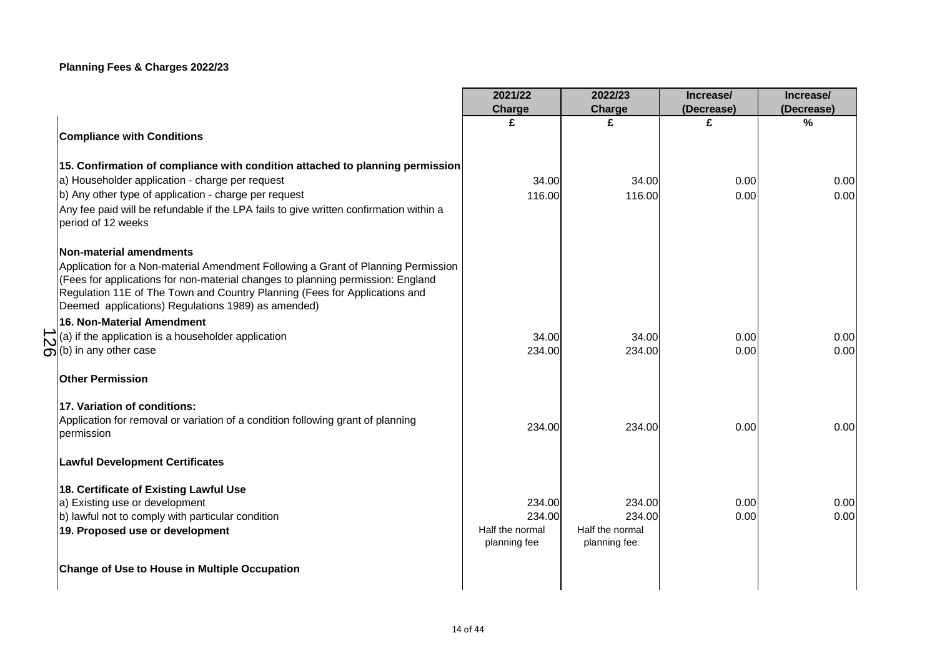|                                                                                        | 2021/22         | 2022/23         | Increase/  | Increase/  |
|----------------------------------------------------------------------------------------|-----------------|-----------------|------------|------------|
|                                                                                        | Charge          | Charge          | (Decrease) | (Decrease) |
|                                                                                        | £               | £               | £          | %          |
| <b>Compliance with Conditions</b>                                                      |                 |                 |            |            |
|                                                                                        |                 |                 |            |            |
| 15. Confirmation of compliance with condition attached to planning permission          |                 |                 |            |            |
| a) Householder application - charge per request                                        | 34.00           | 34.00           | 0.00       | 0.00       |
| b) Any other type of application - charge per request                                  | 116.00          | 116.00          | 0.00       | 0.00       |
| Any fee paid will be refundable if the LPA fails to give written confirmation within a |                 |                 |            |            |
| period of 12 weeks                                                                     |                 |                 |            |            |
|                                                                                        |                 |                 |            |            |
| Non-material amendments                                                                |                 |                 |            |            |
| Application for a Non-material Amendment Following a Grant of Planning Permission      |                 |                 |            |            |
| (Fees for applications for non-material changes to planning permission: England        |                 |                 |            |            |
| Regulation 11E of The Town and Country Planning (Fees for Applications and             |                 |                 |            |            |
| Deemed applications) Regulations 1989) as amended)                                     |                 |                 |            |            |
| 16. Non-Material Amendment                                                             |                 |                 |            |            |
| (a) if the application is a householder application                                    | 34.00           | 34.00           | 0.00       | 0.00       |
| $\omega$ (b) in any other case                                                         | 234.00          | 234.00          | 0.00       | 0.00       |
|                                                                                        |                 |                 |            |            |
| <b>Other Permission</b>                                                                |                 |                 |            |            |
| 17. Variation of conditions:                                                           |                 |                 |            |            |
| Application for removal or variation of a condition following grant of planning        |                 |                 |            |            |
| permission                                                                             | 234.00          | 234.00          | 0.00       | 0.00       |
|                                                                                        |                 |                 |            |            |
| <b>Lawful Development Certificates</b>                                                 |                 |                 |            |            |
|                                                                                        |                 |                 |            |            |
| 18. Certificate of Existing Lawful Use                                                 |                 |                 |            |            |
| a) Existing use or development                                                         | 234.00          | 234.00          | 0.00       | 0.00       |
| b) lawful not to comply with particular condition                                      | 234.00          | 234.00          | 0.00       | 0.00       |
| 19. Proposed use or development                                                        | Half the normal | Half the normal |            |            |
|                                                                                        | planning fee    | planning fee    |            |            |
| <b>Change of Use to House in Multiple Occupation</b>                                   |                 |                 |            |            |
|                                                                                        |                 |                 |            |            |
|                                                                                        |                 |                 |            |            |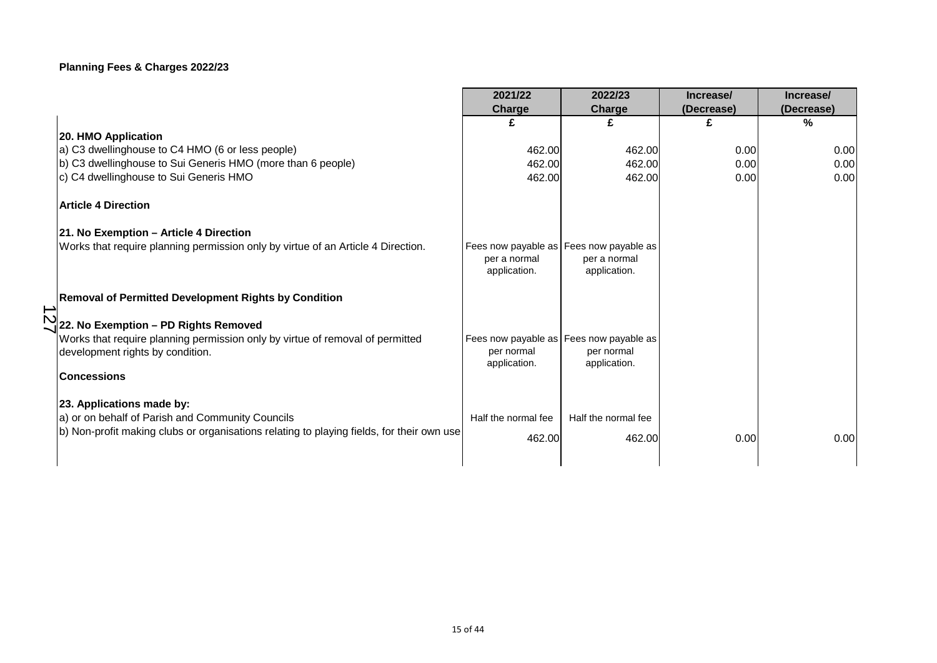|                                                                                                                                                                                   | 2021/22                                                                 | 2022/23                       | Increase/  | Increase/  |
|-----------------------------------------------------------------------------------------------------------------------------------------------------------------------------------|-------------------------------------------------------------------------|-------------------------------|------------|------------|
|                                                                                                                                                                                   | Charge                                                                  | <b>Charge</b>                 | (Decrease) | (Decrease) |
|                                                                                                                                                                                   |                                                                         |                               |            | $\%$       |
| 20. HMO Application                                                                                                                                                               |                                                                         |                               |            |            |
| a) C3 dwellinghouse to C4 HMO (6 or less people)                                                                                                                                  | 462.00                                                                  | 462.00                        | 0.00       | 0.00       |
| b) C3 dwellinghouse to Sui Generis HMO (more than 6 people)                                                                                                                       | 462.00                                                                  | 462.00                        | 0.00       | 0.00       |
| c) C4 dwellinghouse to Sui Generis HMO                                                                                                                                            | 462.00                                                                  | 462.00                        | 0.00       | 0.00       |
| <b>Article 4 Direction</b>                                                                                                                                                        |                                                                         |                               |            |            |
| 21. No Exemption - Article 4 Direction                                                                                                                                            |                                                                         |                               |            |            |
| Works that require planning permission only by virtue of an Article 4 Direction.                                                                                                  | Fees now payable as Fees now payable as<br>per a normal<br>application. | per a normal<br>application.  |            |            |
| Removal of Permitted Development Rights by Condition                                                                                                                              |                                                                         |                               |            |            |
| $\overrightarrow{N}$<br>22. No Exemption – PD Rights Removed<br>Works that require planning permission only by virtue of removal of permitted<br>development rights by condition. | Fees now payable as Fees now payable as<br>per normal<br>application.   | per normal<br>application.    |            |            |
| <b>Concessions</b>                                                                                                                                                                |                                                                         |                               |            |            |
| 23. Applications made by:<br>a) or on behalf of Parish and Community Councils<br>b) Non-profit making clubs or organisations relating to playing fields, for their own use        | Half the normal fee<br>462.00                                           | Half the normal fee<br>462.00 | 0.00       | 0.00       |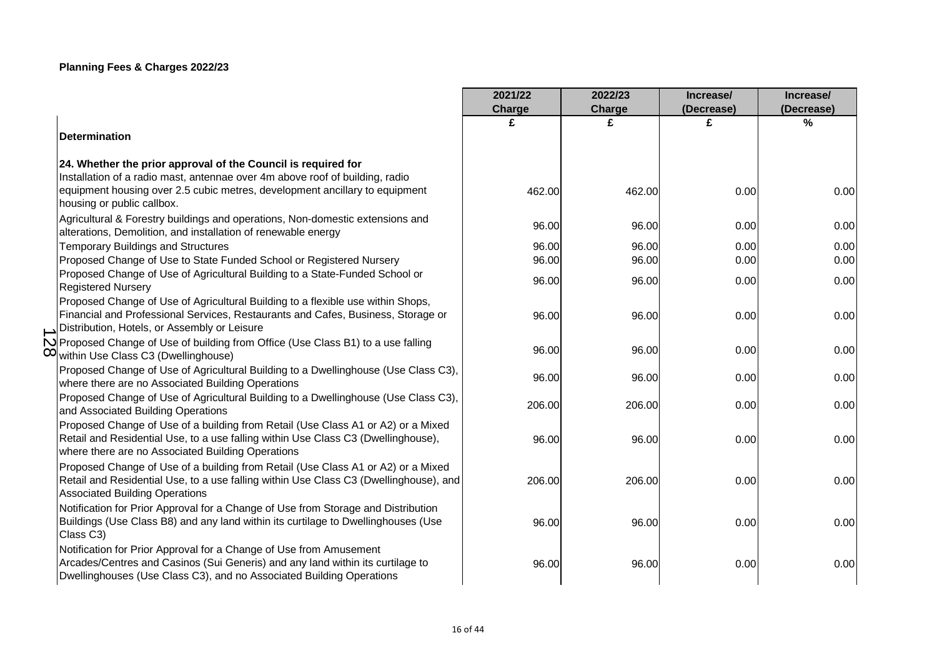|                                                                                                                                                        | 2021/22 | 2022/23 | Increase/  | Increase/  |
|--------------------------------------------------------------------------------------------------------------------------------------------------------|---------|---------|------------|------------|
|                                                                                                                                                        | Charge  | Charge  | (Decrease) | (Decrease) |
|                                                                                                                                                        | £       | £       | £          | %          |
| Determination                                                                                                                                          |         |         |            |            |
| 24. Whether the prior approval of the Council is required for                                                                                          |         |         |            |            |
| Installation of a radio mast, antennae over 4m above roof of building, radio                                                                           |         |         |            |            |
| equipment housing over 2.5 cubic metres, development ancillary to equipment                                                                            | 462.00  | 462.00  | 0.00       | 0.00       |
| housing or public callbox.                                                                                                                             |         |         |            |            |
| Agricultural & Forestry buildings and operations, Non-domestic extensions and                                                                          | 96.00   | 96.00   | 0.00       | 0.00       |
| alterations, Demolition, and installation of renewable energy                                                                                          |         |         |            |            |
| Temporary Buildings and Structures                                                                                                                     | 96.00   | 96.00   | 0.00       | 0.00       |
| Proposed Change of Use to State Funded School or Registered Nursery<br>Proposed Change of Use of Agricultural Building to a State-Funded School or     | 96.00   | 96.00   | 0.00       | 0.00       |
| <b>Registered Nursery</b>                                                                                                                              | 96.00   | 96.00   | 0.00       | 0.00       |
| Proposed Change of Use of Agricultural Building to a flexible use within Shops,                                                                        |         |         |            |            |
| Financial and Professional Services, Restaurants and Cafes, Business, Storage or                                                                       | 96.00   | 96.00   | 0.00       | 0.00       |
| Distribution, Hotels, or Assembly or Leisure                                                                                                           |         |         |            |            |
| N Proposed Change of Use of building from Office (Use Class B1) to a use falling                                                                       |         |         |            |            |
| O within Use Class C3 (Dwellinghouse)                                                                                                                  | 96.00   | 96.00   | 0.00       | 0.00       |
| Proposed Change of Use of Agricultural Building to a Dwellinghouse (Use Class C3),                                                                     | 96.00   | 96.00   | 0.00       | 0.00       |
| where there are no Associated Building Operations                                                                                                      |         |         |            |            |
| Proposed Change of Use of Agricultural Building to a Dwellinghouse (Use Class C3),                                                                     | 206.00  | 206.00  | 0.00       | 0.00       |
| and Associated Building Operations<br>Proposed Change of Use of a building from Retail (Use Class A1 or A2) or a Mixed                                 |         |         |            |            |
| Retail and Residential Use, to a use falling within Use Class C3 (Dwellinghouse),                                                                      | 96.00   | 96.00   | 0.00       | 0.00       |
| where there are no Associated Building Operations                                                                                                      |         |         |            |            |
| Proposed Change of Use of a building from Retail (Use Class A1 or A2) or a Mixed                                                                       |         |         |            |            |
| Retail and Residential Use, to a use falling within Use Class C3 (Dwellinghouse), and                                                                  | 206.00  | 206.00  | 0.00       | 0.00       |
| <b>Associated Building Operations</b>                                                                                                                  |         |         |            |            |
| Notification for Prior Approval for a Change of Use from Storage and Distribution                                                                      |         |         |            |            |
| Buildings (Use Class B8) and any land within its curtilage to Dwellinghouses (Use                                                                      | 96.00   | 96.00   | 0.00       | 0.00       |
| Class C3)                                                                                                                                              |         |         |            |            |
| Notification for Prior Approval for a Change of Use from Amusement                                                                                     |         |         |            |            |
| Arcades/Centres and Casinos (Sui Generis) and any land within its curtilage to<br>Dwellinghouses (Use Class C3), and no Associated Building Operations | 96.00   | 96.00   | 0.00       | 0.00       |
|                                                                                                                                                        |         |         |            |            |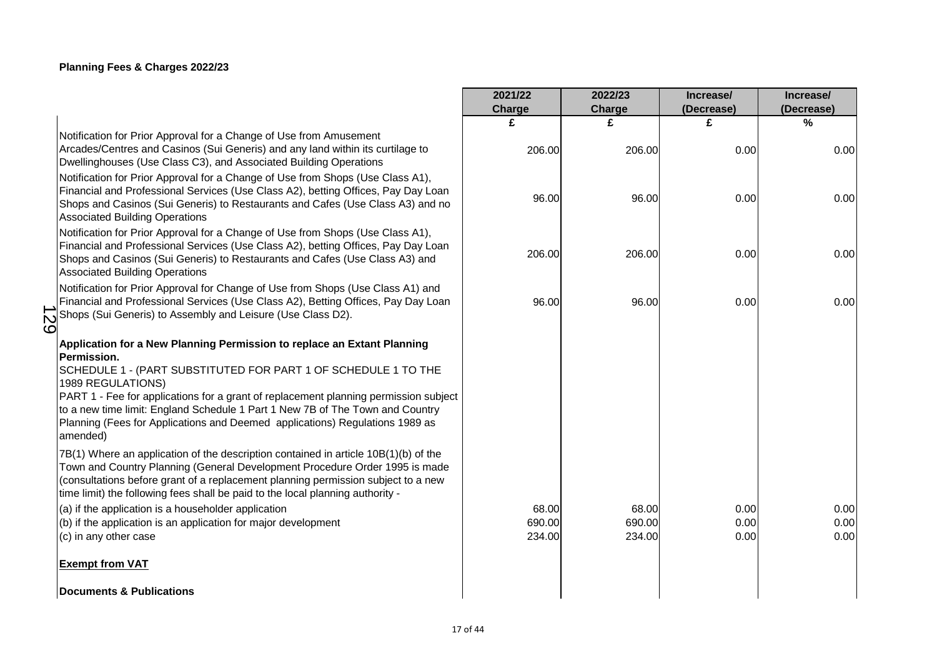|                                                                                                                                                                                                                                                                                                                                                                                                                                                    | 2021/22                   | 2022/23                   | Increase/            | Increase/            |
|----------------------------------------------------------------------------------------------------------------------------------------------------------------------------------------------------------------------------------------------------------------------------------------------------------------------------------------------------------------------------------------------------------------------------------------------------|---------------------------|---------------------------|----------------------|----------------------|
|                                                                                                                                                                                                                                                                                                                                                                                                                                                    | Charge                    | Charge                    | (Decrease)           | (Decrease)           |
|                                                                                                                                                                                                                                                                                                                                                                                                                                                    | £                         | £                         | £                    | $\frac{0}{0}$        |
| Notification for Prior Approval for a Change of Use from Amusement<br>Arcades/Centres and Casinos (Sui Generis) and any land within its curtilage to<br>Dwellinghouses (Use Class C3), and Associated Building Operations<br>Notification for Prior Approval for a Change of Use from Shops (Use Class A1),                                                                                                                                        | 206.00                    | 206.00                    | 0.00                 | 0.00                 |
| Financial and Professional Services (Use Class A2), betting Offices, Pay Day Loan<br>Shops and Casinos (Sui Generis) to Restaurants and Cafes (Use Class A3) and no<br><b>Associated Building Operations</b>                                                                                                                                                                                                                                       | 96.00                     | 96.00                     | 0.00                 | 0.00                 |
| Notification for Prior Approval for a Change of Use from Shops (Use Class A1),<br>Financial and Professional Services (Use Class A2), betting Offices, Pay Day Loan<br>Shops and Casinos (Sui Generis) to Restaurants and Cafes (Use Class A3) and<br><b>Associated Building Operations</b>                                                                                                                                                        | 206.00                    | 206.00                    | 0.00                 | 0.00                 |
| Notification for Prior Approval for Change of Use from Shops (Use Class A1) and<br>Financial and Professional Services (Use Class A2), Betting Offices, Pay Day Loan<br>Shops (Sui Generis) to Assembly and Leisure (Use Class D2).<br>$\overline{\mathcal{N}}$<br>قة                                                                                                                                                                              | 96.00                     | 96.00                     | 0.00                 | 0.00                 |
| Application for a New Planning Permission to replace an Extant Planning<br>Permission.<br>SCHEDULE 1 - (PART SUBSTITUTED FOR PART 1 OF SCHEDULE 1 TO THE<br>1989 REGULATIONS)<br>PART 1 - Fee for applications for a grant of replacement planning permission subject<br>to a new time limit: England Schedule 1 Part 1 New 7B of The Town and Country<br>Planning (Fees for Applications and Deemed applications) Regulations 1989 as<br>amended) |                           |                           |                      |                      |
| 7B(1) Where an application of the description contained in article 10B(1)(b) of the<br>Town and Country Planning (General Development Procedure Order 1995 is made<br>(consultations before grant of a replacement planning permission subject to a new<br>time limit) the following fees shall be paid to the local planning authority -                                                                                                          |                           |                           |                      |                      |
| (a) if the application is a householder application<br>(b) if the application is an application for major development<br>(c) in any other case                                                                                                                                                                                                                                                                                                     | 68.00<br>690.00<br>234.00 | 68.00<br>690.00<br>234.00 | 0.00<br>0.00<br>0.00 | 0.00<br>0.00<br>0.00 |
| <b>Exempt from VAT</b>                                                                                                                                                                                                                                                                                                                                                                                                                             |                           |                           |                      |                      |
| Documents & Publications                                                                                                                                                                                                                                                                                                                                                                                                                           |                           |                           |                      |                      |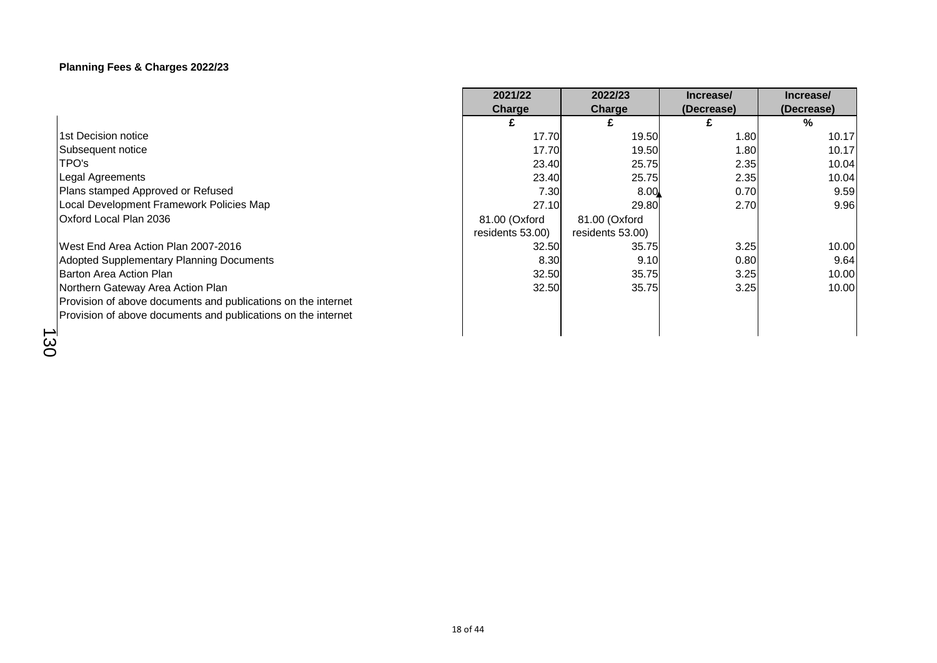|                                                               | 2021/22                           | 2022/23                           | Increase/  | Increase/  |
|---------------------------------------------------------------|-----------------------------------|-----------------------------------|------------|------------|
|                                                               | Charge                            | Charge                            | (Decrease) | (Decrease) |
|                                                               | £                                 | £                                 |            | ℅          |
| 1st Decision notice                                           | 17.70                             | 19.50                             | 1.80       | 10.17      |
| Subsequent notice                                             | 17.70                             | 19.50                             | 1.80       | 10.17      |
| TPO's                                                         | 23.40                             | 25.75                             | 2.35       | 10.04      |
| Legal Agreements                                              | 23.40                             | 25.75                             | 2.35       | 10.04      |
| Plans stamped Approved or Refused                             | 7.30                              | 8.00                              | 0.70       | 9.59       |
| Local Development Framework Policies Map                      | 27.10                             | 29.80                             | 2.70       | 9.96       |
| Oxford Local Plan 2036                                        | 81.00 (Oxford<br>residents 53.00) | 81.00 (Oxford<br>residents 53.00) |            |            |
| West End Area Action Plan 2007-2016                           | 32.50                             | 35.75                             | 3.25       | 10.00      |
| Adopted Supplementary Planning Documents                      | 8.30                              | 9.10                              | 0.80       | 9.64       |
| Barton Area Action Plan                                       | 32.50                             | 35.75                             | 3.25       | 10.00      |
| Northern Gateway Area Action Plan                             | 32.50                             | 35.75                             | 3.25       | 10.00      |
| Provision of above documents and publications on the internet |                                   |                                   |            |            |
| Provision of above documents and publications on the internet |                                   |                                   |            |            |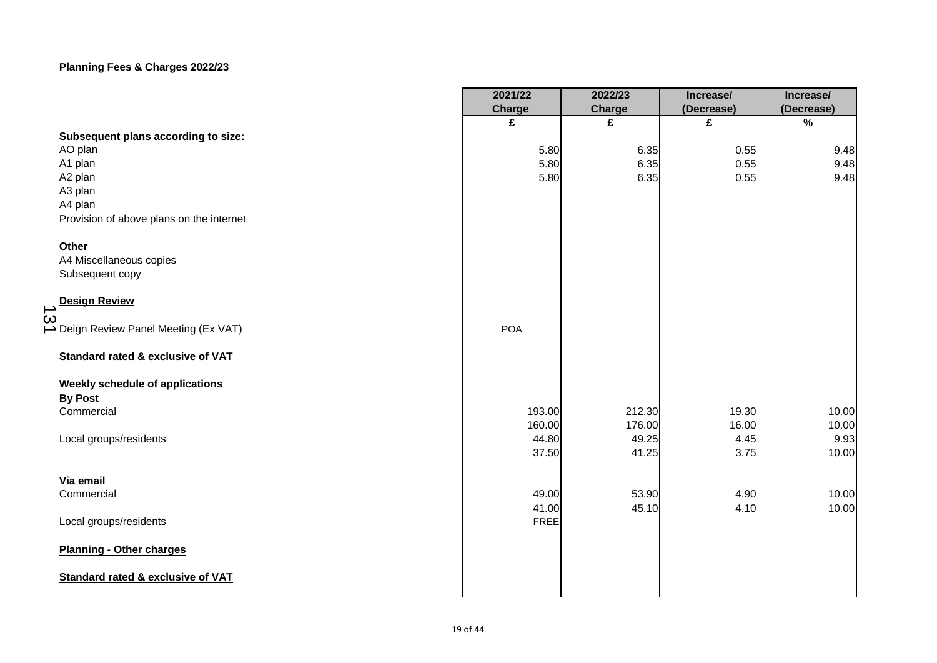|                |                                              | 2021/22     | 2022/23 | Increase/  | Increase/     |
|----------------|----------------------------------------------|-------------|---------|------------|---------------|
|                |                                              | Charge      | Charge  | (Decrease) | (Decrease)    |
|                |                                              | £           | £       | £          | $\frac{9}{6}$ |
|                | Subsequent plans according to size:          |             |         |            |               |
|                | AO plan                                      | 5.80        | 6.35    | 0.55       | 9.48          |
|                | A1 plan                                      | 5.80        | 6.35    | 0.55       | 9.48          |
|                | A2 plan                                      | 5.80        | 6.35    | 0.55       | 9.48          |
|                | A3 plan                                      |             |         |            |               |
|                | A4 plan                                      |             |         |            |               |
|                | Provision of above plans on the internet     |             |         |            |               |
|                | <b>Other</b>                                 |             |         |            |               |
|                | A4 Miscellaneous copies                      |             |         |            |               |
|                | Subsequent copy                              |             |         |            |               |
|                | <b>Design Review</b>                         |             |         |            |               |
| $\vec{\omega}$ | Deign Review Panel Meeting (Ex VAT)          | <b>POA</b>  |         |            |               |
|                | <b>Standard rated &amp; exclusive of VAT</b> |             |         |            |               |
|                | <b>Weekly schedule of applications</b>       |             |         |            |               |
|                | <b>By Post</b>                               |             |         |            |               |
|                | Commercial                                   | 193.00      | 212.30  | 19.30      | 10.00         |
|                |                                              | 160.00      | 176.00  | 16.00      | 10.00         |
|                | Local groups/residents                       | 44.80       | 49.25   | 4.45       | 9.93          |
|                |                                              | 37.50       | 41.25   | 3.75       | 10.00         |
|                | Via email                                    |             |         |            |               |
|                | Commercial                                   | 49.00       | 53.90   | 4.90       | 10.00         |
|                |                                              | 41.00       | 45.10   | 4.10       | 10.00         |
|                | Local groups/residents                       | <b>FREE</b> |         |            |               |
|                | Planning - Other charges                     |             |         |            |               |
|                | Standard rated & exclusive of VAT            |             |         |            |               |
|                |                                              |             |         |            |               |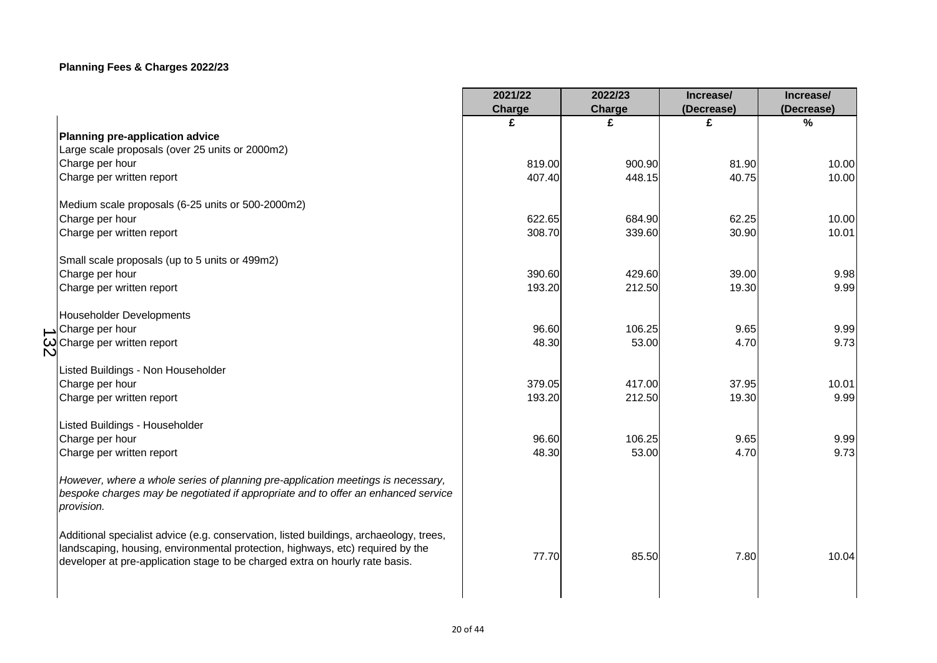|                                                                                                                                                                                                                                                          | 2021/22 | 2022/23 | Increase/  | Increase/     |
|----------------------------------------------------------------------------------------------------------------------------------------------------------------------------------------------------------------------------------------------------------|---------|---------|------------|---------------|
|                                                                                                                                                                                                                                                          | Charge  | Charge  | (Decrease) | (Decrease)    |
|                                                                                                                                                                                                                                                          | £       | £       | £          | $\frac{9}{6}$ |
| Planning pre-application advice                                                                                                                                                                                                                          |         |         |            |               |
| Large scale proposals (over 25 units or 2000m2)                                                                                                                                                                                                          |         |         |            |               |
| Charge per hour                                                                                                                                                                                                                                          | 819.00  | 900.90  | 81.90      | 10.00         |
| Charge per written report                                                                                                                                                                                                                                | 407.40  | 448.15  | 40.75      | 10.00         |
| Medium scale proposals (6-25 units or 500-2000m2)                                                                                                                                                                                                        |         |         |            |               |
| Charge per hour                                                                                                                                                                                                                                          | 622.65  | 684.90  | 62.25      | 10.00         |
| Charge per written report                                                                                                                                                                                                                                | 308.70  | 339.60  | 30.90      | 10.01         |
| Small scale proposals (up to 5 units or 499m2)                                                                                                                                                                                                           |         |         |            |               |
| Charge per hour                                                                                                                                                                                                                                          | 390.60  | 429.60  | 39.00      | 9.98          |
| Charge per written report                                                                                                                                                                                                                                | 193.20  | 212.50  | 19.30      | 9.99          |
| Householder Developments                                                                                                                                                                                                                                 |         |         |            |               |
| Charge per hour                                                                                                                                                                                                                                          | 96.60   | 106.25  | 9.65       | 9.99          |
| $\omega$ Charge per written report                                                                                                                                                                                                                       | 48.30   | 53.00   | 4.70       | 9.73          |
| Listed Buildings - Non Householder                                                                                                                                                                                                                       |         |         |            |               |
| Charge per hour                                                                                                                                                                                                                                          | 379.05  | 417.00  | 37.95      | 10.01         |
| Charge per written report                                                                                                                                                                                                                                | 193.20  | 212.50  | 19.30      | 9.99          |
| Listed Buildings - Householder                                                                                                                                                                                                                           |         |         |            |               |
| Charge per hour                                                                                                                                                                                                                                          | 96.60   | 106.25  | 9.65       | 9.99          |
| Charge per written report                                                                                                                                                                                                                                | 48.30   | 53.00   | 4.70       | 9.73          |
| However, where a whole series of planning pre-application meetings is necessary,<br>bespoke charges may be negotiated if appropriate and to offer an enhanced service<br>provision.                                                                      |         |         |            |               |
| Additional specialist advice (e.g. conservation, listed buildings, archaeology, trees,<br>landscaping, housing, environmental protection, highways, etc) required by the<br>developer at pre-application stage to be charged extra on hourly rate basis. | 77.70   | 85.50   | 7.80       | 10.04         |
|                                                                                                                                                                                                                                                          |         |         |            |               |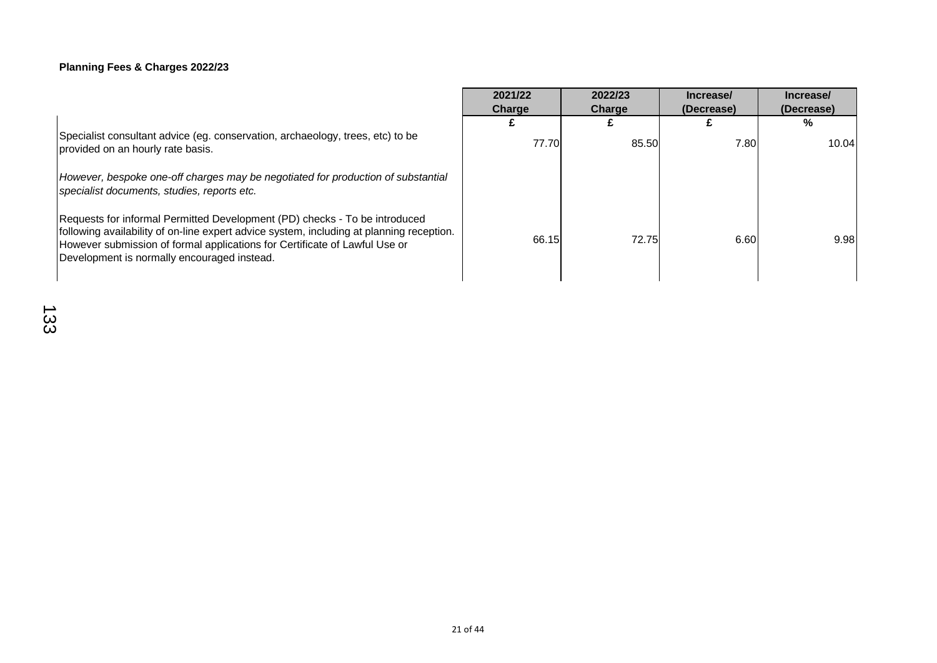|                                                                                                                                                                                                                                                                                                     | 2021/22<br>Charge | 2022/23<br>Charge | Increase/<br>(Decrease) | Increase/<br>(Decrease) |  |
|-----------------------------------------------------------------------------------------------------------------------------------------------------------------------------------------------------------------------------------------------------------------------------------------------------|-------------------|-------------------|-------------------------|-------------------------|--|
|                                                                                                                                                                                                                                                                                                     |                   |                   |                         | %                       |  |
| Specialist consultant advice (eg. conservation, archaeology, trees, etc) to be<br>provided on an hourly rate basis.                                                                                                                                                                                 | 77.70             | 85.50             | 7.80                    | 10.04                   |  |
| However, bespoke one-off charges may be negotiated for production of substantial<br>specialist documents, studies, reports etc.                                                                                                                                                                     |                   |                   |                         |                         |  |
| Requests for informal Permitted Development (PD) checks - To be introduced<br>following availability of on-line expert advice system, including at planning reception.<br>However submission of formal applications for Certificate of Lawful Use or<br>Development is normally encouraged instead. | 66.15             | 72.75             | 6.60                    | 9.98                    |  |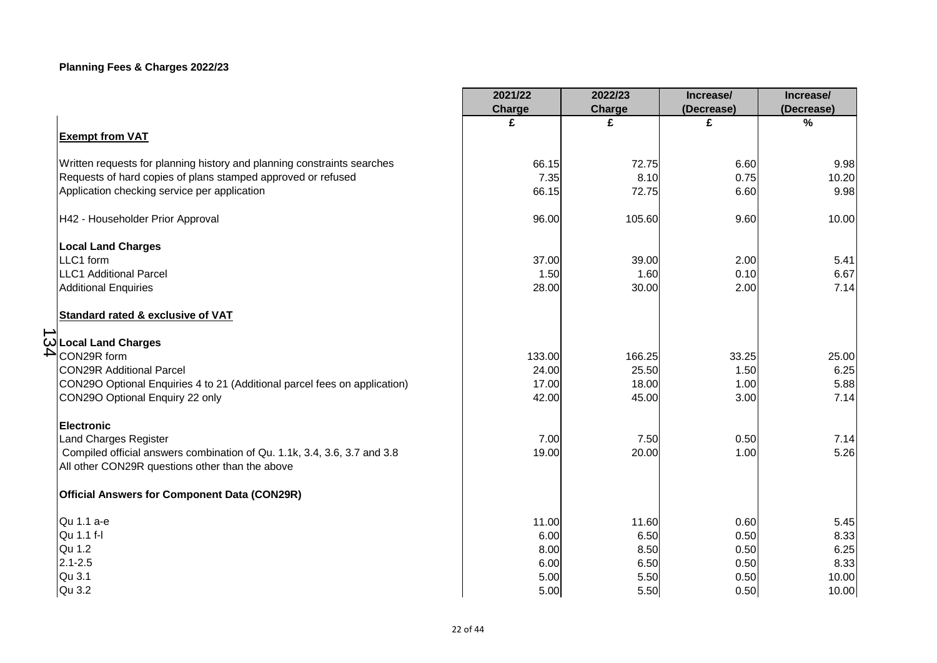|                                                                                                                             | 2021/22<br>Charge | 2022/23<br>Charge | Increase/<br>(Decrease) | Increase/<br>(Decrease) |
|-----------------------------------------------------------------------------------------------------------------------------|-------------------|-------------------|-------------------------|-------------------------|
| <b>Exempt from VAT</b>                                                                                                      | £                 | £                 | £                       | $\frac{0}{0}$           |
| Written requests for planning history and planning constraints searches                                                     | 66.15             | 72.75             | 6.60                    | 9.98                    |
| Requests of hard copies of plans stamped approved or refused                                                                | 7.35              | 8.10              | 0.75                    | 10.20                   |
| Application checking service per application                                                                                | 66.15             | 72.75             | 6.60                    | 9.98                    |
| H42 - Householder Prior Approval                                                                                            | 96.00             | 105.60            | 9.60                    | 10.00                   |
| <b>Local Land Charges</b>                                                                                                   |                   |                   |                         |                         |
| LLC1 form                                                                                                                   | 37.00             | 39.00             | 2.00                    | 5.41                    |
| <b>LLC1 Additional Parcel</b>                                                                                               | 1.50              | 1.60              | 0.10                    | 6.67                    |
| <b>Additional Enquiries</b>                                                                                                 | 28.00             | 30.00             | 2.00                    | 7.14                    |
| <b>Standard rated &amp; exclusive of VAT</b>                                                                                |                   |                   |                         |                         |
| Cocal Land Charges                                                                                                          |                   |                   |                         |                         |
| $\blacktriangle$<br>CON29R form                                                                                             | 133.00            | 166.25            | 33.25                   | 25.00                   |
| <b>CON29R Additional Parcel</b>                                                                                             | 24.00             | 25.50             | 1.50                    | 6.25                    |
| CON29O Optional Enquiries 4 to 21 (Additional parcel fees on application)                                                   | 17.00             | 18.00             | 1.00                    | 5.88                    |
| CON29O Optional Enquiry 22 only                                                                                             | 42.00             | 45.00             | 3.00                    | 7.14                    |
| <b>Electronic</b>                                                                                                           |                   |                   |                         |                         |
| Land Charges Register                                                                                                       | 7.00              | 7.50              | 0.50                    | 7.14                    |
| Compiled official answers combination of Qu. 1.1k, 3.4, 3.6, 3.7 and 3.8<br>All other CON29R questions other than the above | 19.00             | 20.00             | 1.00                    | 5.26                    |
| <b>Official Answers for Component Data (CON29R)</b>                                                                         |                   |                   |                         |                         |
| Qu 1.1 a-e                                                                                                                  | 11.00             | 11.60             | 0.60                    | 5.45                    |
| Qu 1.1 f-l                                                                                                                  | 6.00              | 6.50              | 0.50                    | 8.33                    |
| Qu 1.2                                                                                                                      | 8.00              | 8.50              | 0.50                    | 6.25                    |
| $2.1 - 2.5$                                                                                                                 | 6.00              | 6.50              | 0.50                    | 8.33                    |
| Qu 3.1                                                                                                                      | 5.00              | 5.50              | 0.50                    | 10.00                   |
| Qu 3.2                                                                                                                      | 5.00              | 5.50              | 0.50                    | 10.00                   |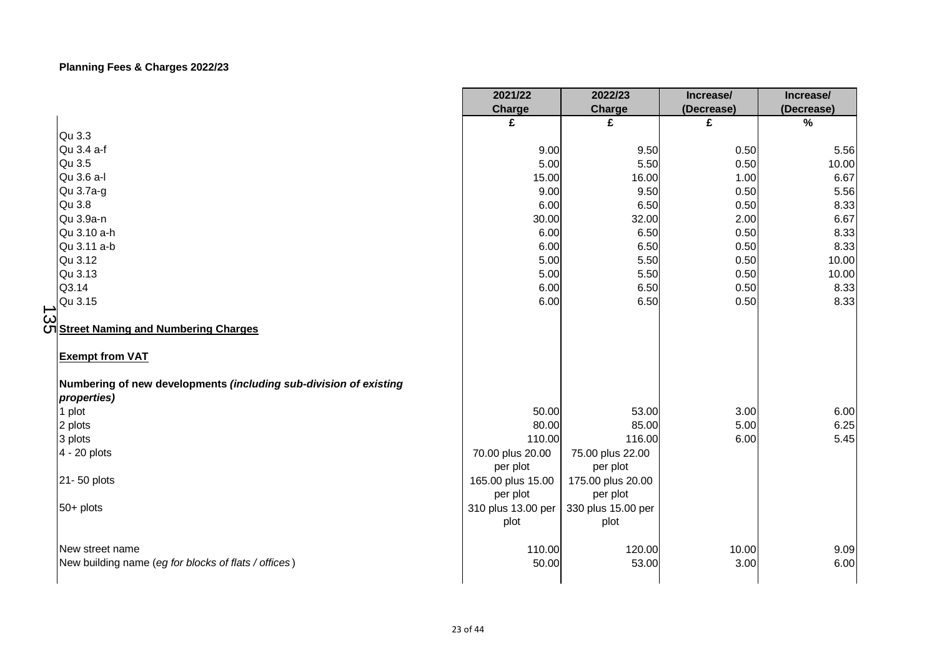|                                                                                  | 2021/22                       | 2022/23                       | Increase/  | Increase/  |
|----------------------------------------------------------------------------------|-------------------------------|-------------------------------|------------|------------|
|                                                                                  | Charge                        | Charge                        | (Decrease) | (Decrease) |
|                                                                                  | £                             | £                             | £          | $\%$       |
| Qu 3.3                                                                           |                               |                               |            |            |
| Qu 3.4 a-f                                                                       | 9.00                          | 9.50                          | 0.50       | 5.56       |
| Qu 3.5                                                                           | 5.00                          | 5.50                          | 0.50       | 10.00      |
| Qu 3.6 a-l                                                                       | 15.00                         | 16.00                         | 1.00       | 6.67       |
| Qu 3.7a-g                                                                        | 9.00                          | 9.50                          | 0.50       | 5.56       |
| Qu 3.8                                                                           | 6.00                          | 6.50                          | 0.50       | 8.33       |
| Qu 3.9a-n                                                                        | 30.00                         | 32.00                         | 2.00       | 6.67       |
| Qu 3.10 a-h                                                                      | 6.00                          | 6.50                          | 0.50       | 8.33       |
| Qu 3.11 a-b                                                                      | 6.00                          | 6.50                          | 0.50       | 8.33       |
| Qu 3.12                                                                          | 5.00                          | 5.50                          | 0.50       | 10.00      |
| Qu 3.13                                                                          | 5.00                          | 5.50                          | 0.50       | 10.00      |
| Q3.14                                                                            | 6.00                          | 6.50                          | 0.50       | 8.33       |
| Qu 3.15<br>د                                                                     | 6.00                          | 6.50                          | 0.50       | 8.33       |
| ယ<br>ပါ <u>Street Naming and Numbering Charges</u><br><b>Exempt from VAT</b>     |                               |                               |            |            |
| Numbering of new developments (including sub-division of existing<br>properties) |                               |                               |            |            |
| 1 plot                                                                           | 50.00                         | 53.00                         | 3.00       | 6.00       |
| 2 plots                                                                          | 80.00                         | 85.00                         | 5.00       | 6.25       |
| 3 plots                                                                          | 110.00                        | 116.00                        | 6.00       | 5.45       |
| 4 - 20 plots                                                                     | 70.00 plus 20.00<br>per plot  | 75.00 plus 22.00<br>per plot  |            |            |
| 21-50 plots                                                                      | 165.00 plus 15.00<br>per plot | 175.00 plus 20.00<br>per plot |            |            |
| $50+$ plots                                                                      | 310 plus 13.00 per<br>plot    | 330 plus 15.00 per<br>plot    |            |            |
| New street name                                                                  | 110.00                        | 120.00                        | 10.00      | 9.09       |
| New building name (eg for blocks of flats / offices)                             | 50.00                         | 53.00                         | 3.00       | 6.00       |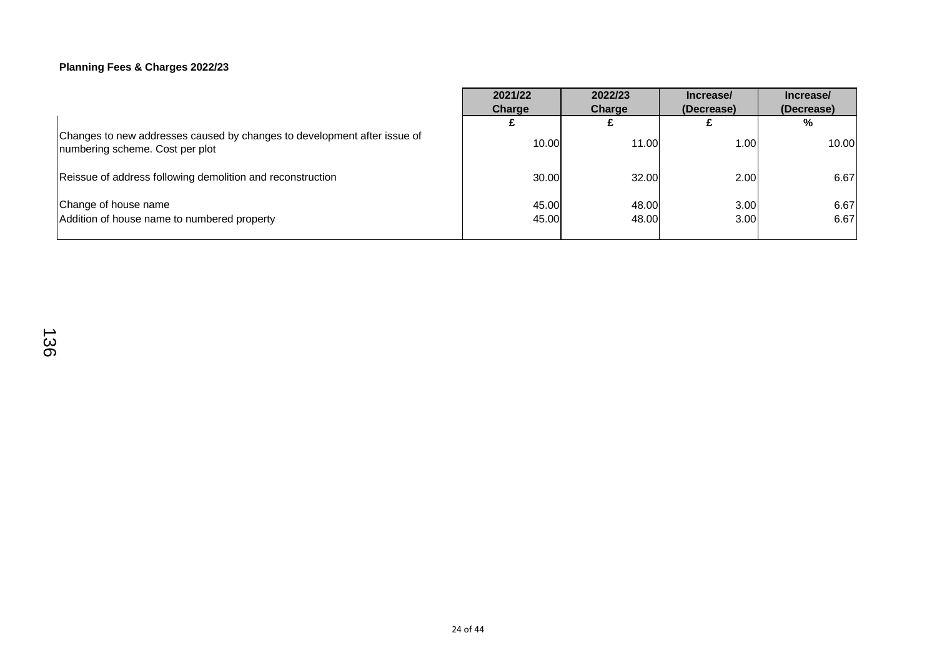|                                                                                                             | 2021/22        | 2022/23        | Increase/    | Increase/    |
|-------------------------------------------------------------------------------------------------------------|----------------|----------------|--------------|--------------|
|                                                                                                             | Charge         | Charge         | (Decrease)   | (Decrease)   |
|                                                                                                             |                |                |              | %            |
| Changes to new addresses caused by changes to development after issue of<br>numbering scheme. Cost per plot | 10.00          | 11.00          | 1.00         | 10.00        |
| Reissue of address following demolition and reconstruction                                                  | 30.00          | 32.00          | 2.00         | 6.67         |
| Change of house name<br>Addition of house name to numbered property                                         | 45.00<br>45.00 | 48.00<br>48.00 | 3.00<br>3.00 | 6.67<br>6.67 |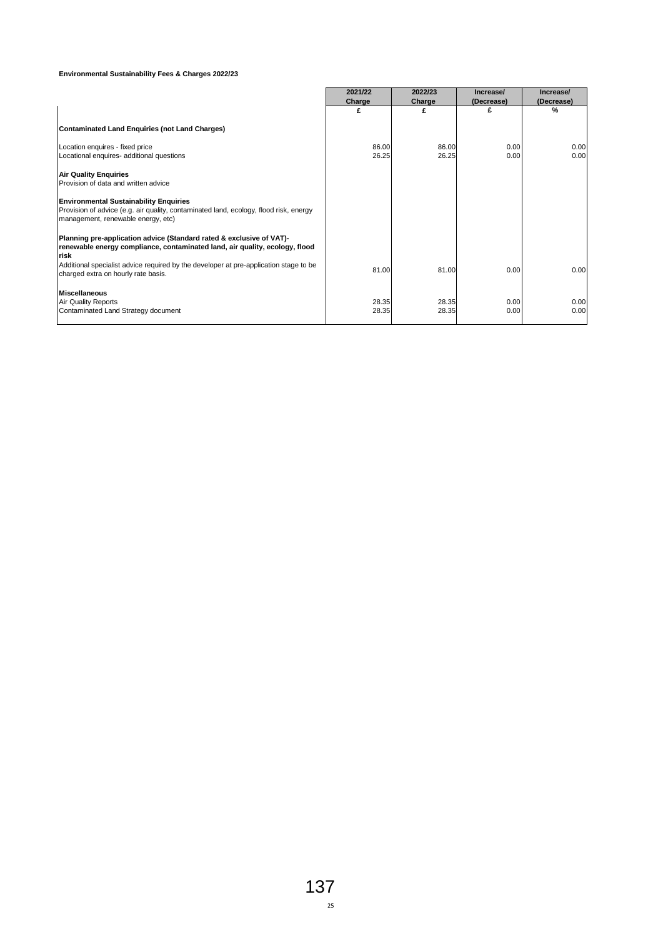#### **Environmental Sustainability Fees & Charges 2022/23**

|                                                                                                                                                                              | 2021/22 | 2022/23 | Increase/  | Increase/  |
|------------------------------------------------------------------------------------------------------------------------------------------------------------------------------|---------|---------|------------|------------|
|                                                                                                                                                                              | Charge  | Charge  | (Decrease) | (Decrease) |
|                                                                                                                                                                              | £       | £       | £          | %          |
| Contaminated Land Enquiries (not Land Charges)                                                                                                                               |         |         |            |            |
| Location enquires - fixed price                                                                                                                                              | 86.00   | 86.00   | 0.00       | 0.00       |
| Locational enquires- additional questions                                                                                                                                    | 26.25   | 26.25   | 0.00       | 0.00       |
|                                                                                                                                                                              |         |         |            |            |
| <b>Air Quality Enquiries</b>                                                                                                                                                 |         |         |            |            |
| Provision of data and written advice                                                                                                                                         |         |         |            |            |
| <b>Environmental Sustainability Enquiries</b><br>Provision of advice (e.g. air quality, contaminated land, ecology, flood risk, energy<br>management, renewable energy, etc) |         |         |            |            |
| Planning pre-application advice (Standard rated & exclusive of VAT)-<br>renewable energy compliance, contaminated land, air quality, ecology, flood<br>risk                  |         |         |            |            |
| Additional specialist advice required by the developer at pre-application stage to be<br>charged extra on hourly rate basis.                                                 | 81.00   | 81.00   | 0.00       | 0.00       |
| <b>Miscellaneous</b>                                                                                                                                                         |         |         |            |            |
| <b>Air Quality Reports</b>                                                                                                                                                   | 28.35   | 28.35   | 0.00       | 0.00       |
| Contaminated Land Strategy document                                                                                                                                          | 28.35   | 28.35   | 0.00       | 0.00       |
|                                                                                                                                                                              |         |         |            |            |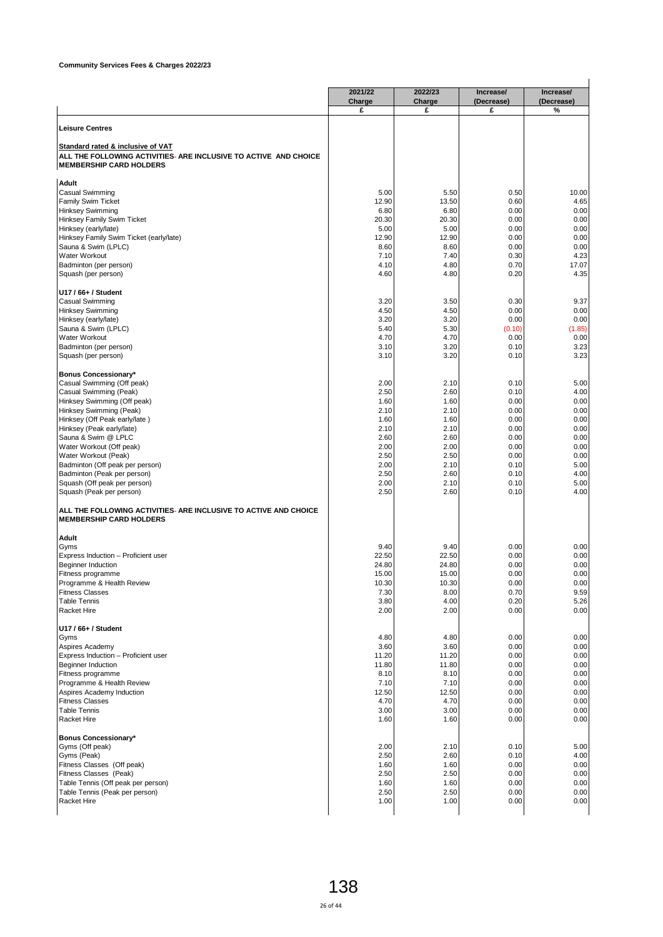|                                                                                                                                         | 2021/22<br>Charge | 2022/23<br>Charge | Increase/<br>(Decrease) | Increase/<br>(Decrease)      |
|-----------------------------------------------------------------------------------------------------------------------------------------|-------------------|-------------------|-------------------------|------------------------------|
|                                                                                                                                         | £                 | £                 | £                       | %                            |
| <b>Leisure Centres</b>                                                                                                                  |                   |                   |                         |                              |
| Standard rated & inclusive of VAT<br>ALL THE FOLLOWING ACTIVITIES- ARE INCLUSIVE TO ACTIVE AND CHOICE<br><b>MEMBERSHIP CARD HOLDERS</b> |                   |                   |                         |                              |
| Adult                                                                                                                                   |                   |                   |                         |                              |
| Casual Swimming                                                                                                                         | 5.00              | 5.50              | 0.50                    | 10.00                        |
| <b>Family Swim Ticket</b>                                                                                                               | 12.90             | 13.50             | 0.60                    | 4.65                         |
| <b>Hinksey Swimming</b>                                                                                                                 | 6.80              | 6.80              | 0.00                    | 0.00                         |
| Hinksey Family Swim Ticket                                                                                                              | 20.30             | 20.30             | 0.00                    | 0.00                         |
| Hinksey (early/late)                                                                                                                    | 5.00              | 5.00              | 0.00                    | 0.00                         |
| Hinksey Family Swim Ticket (early/late)                                                                                                 | 12.90<br>8.60     | 12.90<br>8.60     | 0.00<br>0.00            | 0.00<br>0.00                 |
| Sauna & Swim (LPLC)<br>Water Workout                                                                                                    | 7.10              | 7.40              | 0.30                    | 4.23                         |
| Badminton (per person)                                                                                                                  | 4.10              | 4.80              | 0.70                    | 17.07                        |
| Squash (per person)                                                                                                                     | 4.60              | 4.80              | 0.20                    | 4.35                         |
| U17 / 66+ / Student                                                                                                                     |                   |                   |                         |                              |
| Casual Swimming                                                                                                                         | 3.20              | 3.50              | 0.30                    | 9.37                         |
| <b>Hinksey Swimming</b>                                                                                                                 | 4.50              | 4.50              | 0.00                    | 0.00                         |
| Hinksey (early/late)                                                                                                                    | 3.20              | 3.20              | 0.00                    | 0.00                         |
| Sauna & Swim (LPLC)                                                                                                                     | 5.40              | 5.30              | (0.10)                  | (1.85)                       |
| <b>Water Workout</b>                                                                                                                    | 4.70              | 4.70<br>3.20      | 0.00<br>0.10            | 0.00<br>3.23                 |
| Badminton (per person)<br>Squash (per person)                                                                                           | 3.10<br>3.10      | 3.20              | 0.10                    | 3.23                         |
| Bonus Concessionary*                                                                                                                    |                   |                   |                         |                              |
| Casual Swimming (Off peak)                                                                                                              | 2.00              | 2.10              | 0.10                    | 5.00                         |
| Casual Swimming (Peak)                                                                                                                  | 2.50              | 2.60              | 0.10                    | 4.00                         |
| Hinksey Swimming (Off peak)                                                                                                             | 1.60              | 1.60              | 0.00                    | 0.00                         |
| Hinksey Swimming (Peak)                                                                                                                 | 2.10              | 2.10              | 0.00                    | 0.00                         |
| Hinksey (Off Peak early/late)                                                                                                           | 1.60              | 1.60              | 0.00                    | 0.00                         |
| Hinksey (Peak early/late)                                                                                                               | 2.10              | 2.10              | 0.00                    | 0.00                         |
| Sauna & Swim @ LPLC<br>Water Workout (Off peak)                                                                                         | 2.60<br>2.00      | 2.60<br>2.00      | 0.00<br>0.00            | 0.00<br>0.00                 |
| Water Workout (Peak)                                                                                                                    | 2.50              | 2.50              | 0.00                    | 0.00                         |
| Badminton (Off peak per person)                                                                                                         | 2.00              | 2.10              | 0.10                    | 5.00                         |
| Badminton (Peak per person)                                                                                                             | 2.50              | 2.60              | 0.10                    | 4.00                         |
| Squash (Off peak per person)<br>Squash (Peak per person)                                                                                | 2.00<br>2.50      | 2.10<br>2.60      | 0.10<br>0.10            | 5.00<br>4.00                 |
| ALL THE FOLLOWING ACTIVITIES- ARE INCLUSIVE TO ACTIVE AND CHOICE                                                                        |                   |                   |                         |                              |
| <b>MEMBERSHIP CARD HOLDERS</b>                                                                                                          |                   |                   |                         |                              |
| Adult<br>Gyms                                                                                                                           | 9.40              | 9.40              | 0.00                    | 0.00                         |
| Express Induction - Proficient user                                                                                                     | 22.50             | 22.50             | 0.00                    | 0.00                         |
| Beginner Induction                                                                                                                      | 24.80             | 24.80             | 0.00                    | 0.00                         |
| ⊩itness programme                                                                                                                       | 15.00             | 15.00             | 0.00                    | 0.00                         |
| Programme & Health Review                                                                                                               | 10.30             | 10.30             | 0.00                    | 0.00                         |
| <b>Fitness Classes</b>                                                                                                                  | 7.30              | 8.00              | 0.70                    | 9.59                         |
| <b>Table Tennis</b><br><b>Racket Hire</b>                                                                                               | 3.80<br>2.00      | 4.00<br>2.00      | 0.20<br>0.00            | 5.26<br>0.00                 |
|                                                                                                                                         |                   |                   |                         |                              |
| U17 / 66+ / Student                                                                                                                     |                   |                   |                         | 0.00                         |
| Gyms<br>Aspires Academy                                                                                                                 | 4.80<br>3.60      | 4.80<br>3.60      | 0.00<br>0.00            | 0.00                         |
| Express Induction - Proficient user                                                                                                     | 11.20             | 11.20             | 0.00                    | 0.00                         |
| <b>Beginner Induction</b>                                                                                                               | 11.80             | 11.80             | 0.00                    | 0.00                         |
| Fitness programme                                                                                                                       | 8.10              | 8.10              | 0.00                    | 0.00                         |
| Programme & Health Review                                                                                                               | 7.10              | 7.10              | 0.00                    | 0.00                         |
| Aspires Academy Induction                                                                                                               | 12.50             | 12.50             | 0.00                    | 0.00                         |
| <b>Fitness Classes</b>                                                                                                                  | 4.70              | 4.70              | 0.00                    | 0.00                         |
| <b>Table Tennis</b><br>Racket Hire                                                                                                      | 3.00<br>1.60      | 3.00<br>1.60      | 0.00<br>0.00            | 0.00<br>0.00                 |
| <b>Bonus Concessionary*</b>                                                                                                             |                   |                   |                         |                              |
| Gyms (Off peak)                                                                                                                         | 2.00              | 2.10              | 0.10                    | 5.00                         |
|                                                                                                                                         | 2.50              | 2.60              | 0.10                    | 4.00                         |
| Gyms (Peak)                                                                                                                             |                   | 1.60              | 0.00                    | 0.00                         |
| Fitness Classes (Off peak)                                                                                                              | 1.60              |                   |                         |                              |
| Fitness Classes (Peak)                                                                                                                  | 2.50              | 2.50              | 0.00                    |                              |
| Table Tennis (Off peak per person)                                                                                                      | 1.60              | 1.60              | 0.00                    |                              |
| Table Tennis (Peak per person)<br>Racket Hire                                                                                           | 2.50<br>1.00      | 2.50<br>1.00      | 0.00<br>0.00            | 0.00<br>0.00<br>0.00<br>0.00 |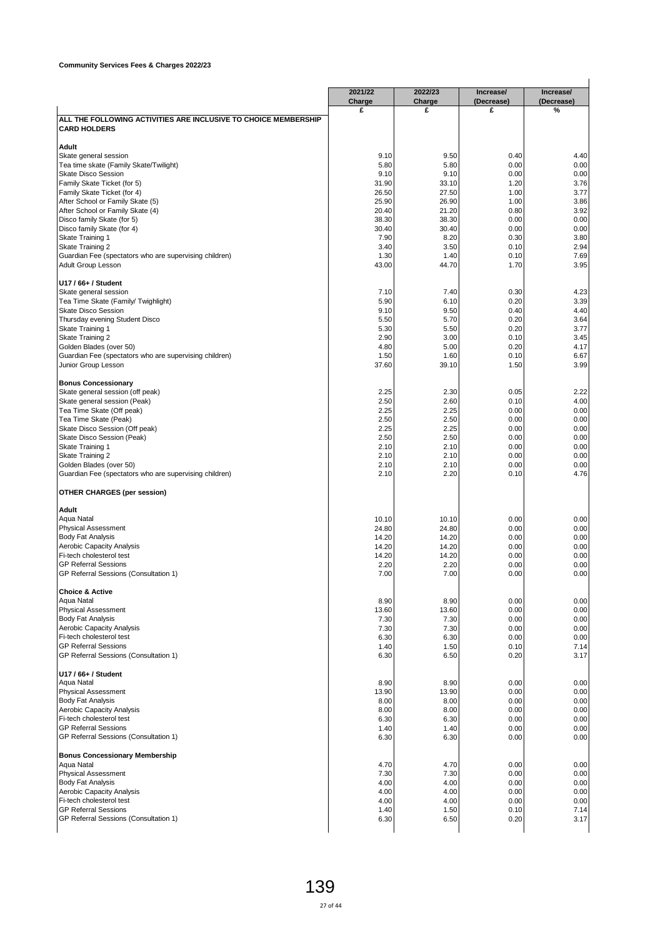|                                                                                        | 2021/22<br>Charge | 2022/23<br>Charge | Increase/<br>(Decrease) | Increase/<br>(Decrease) |
|----------------------------------------------------------------------------------------|-------------------|-------------------|-------------------------|-------------------------|
|                                                                                        | £                 | £                 | £                       | %                       |
| ALL THE FOLLOWING ACTIVITIES ARE INCLUSIVE TO CHOICE MEMBERSHIP<br><b>CARD HOLDERS</b> |                   |                   |                         |                         |
| Adult                                                                                  |                   |                   |                         |                         |
| Skate general session                                                                  | 9.10              | 9.50              | 0.40                    | 4.40                    |
| Tea time skate (Family Skate/Twilight)<br>Skate Disco Session                          | 5.80<br>9.10      | 5.80<br>9.10      | 0.00<br>0.00            | 0.00<br>0.00            |
| Family Skate Ticket (for 5)                                                            | 31.90             | 33.10             | 1.20                    | 3.76                    |
| Family Skate Ticket (for 4)                                                            | 26.50             | 27.50             | 1.00                    | 3.77                    |
| After School or Family Skate (5)                                                       | 25.90             | 26.90             | 1.00                    | 3.86                    |
| After School or Family Skate (4)                                                       | 20.40             | 21.20             | 0.80                    | 3.92                    |
| Disco family Skate (for 5)<br>Disco family Skate (for 4)                               | 38.30<br>30.40    | 38.30<br>30.40    | 0.00<br>0.00            | 0.00<br>0.00            |
| Skate Training 1                                                                       | 7.90              | 8.20              | 0.30                    | 3.80                    |
| <b>Skate Training 2</b>                                                                | 3.40              | 3.50              | 0.10                    | 2.94                    |
| Guardian Fee (spectators who are supervising children)                                 | 1.30              | 1.40              | 0.10                    | 7.69                    |
| Adult Group Lesson                                                                     | 43.00             | 44.70             | 1.70                    | 3.95                    |
| U17 / 66+ / Student                                                                    | 7.10              | 7.40              | 0.30                    | 4.23                    |
| Skate general session<br>Tea Time Skate (Family/ Twighlight)                           | 5.90              | 6.10              | 0.20                    | 3.39                    |
| <b>Skate Disco Session</b>                                                             | 9.10              | 9.50              | 0.40                    | 4.40                    |
| Thursday evening Student Disco                                                         | 5.50              | 5.70              | 0.20                    | 3.64                    |
| <b>Skate Training 1</b>                                                                | 5.30              | 5.50              | 0.20                    | 3.77                    |
| Skate Training 2                                                                       | 2.90              | 3.00              | 0.10                    | 3.45                    |
| Golden Blades (over 50)                                                                | 4.80<br>1.50      | 5.00<br>1.60      | 0.20<br>0.10            | 4.17<br>6.67            |
| Guardian Fee (spectators who are supervising children)<br>Junior Group Lesson          | 37.60             | 39.10             | 1.50                    | 3.99                    |
| <b>Bonus Concessionary</b>                                                             |                   |                   |                         |                         |
| Skate general session (off peak)                                                       | 2.25              | 2.30              | 0.05                    | 2.22                    |
| Skate general session (Peak)                                                           | 2.50              | 2.60              | 0.10                    | 4.00                    |
| Tea Time Skate (Off peak)<br>Tea Time Skate (Peak)                                     | 2.25<br>2.50      | 2.25<br>2.50      | 0.00<br>0.00            | 0.00<br>0.00            |
| Skate Disco Session (Off peak)                                                         | 2.25              | 2.25              | 0.00                    | 0.00                    |
| Skate Disco Session (Peak)                                                             | 2.50              | 2.50              | 0.00                    | 0.00                    |
| Skate Training 1                                                                       | 2.10              | 2.10              | 0.00                    | 0.00                    |
| Skate Training 2                                                                       | 2.10              | 2.10              | 0.00                    | 0.00                    |
| Golden Blades (over 50)<br>Guardian Fee (spectators who are supervising children)      | 2.10<br>2.10      | 2.10<br>2.20      | 0.00<br>0.10            | 0.00<br>4.76            |
| <b>OTHER CHARGES (per session)</b>                                                     |                   |                   |                         |                         |
| Adult                                                                                  |                   |                   |                         |                         |
| Aqua Natal                                                                             | 10.10             | 10.10             | 0.00                    | 0.00                    |
| <b>Physical Assessment</b>                                                             | 24.80             | 24.80             | 0.00                    | 0.00                    |
| <b>Body Fat Analysis</b><br>Aerobic Capacity Analysis                                  | 14.20<br>14.20    | 14.20<br>14.20    | 0.00<br>0.00            | 0.00<br>0.00            |
| Fi-tech cholesterol test                                                               | 14.20             | 14.20             | 0.00                    | 0.00                    |
| <b>GP Referral Sessions</b>                                                            | 2.20              | 2.20              | 0.00                    | 0.00                    |
| GP Referral Sessions (Consultation 1)                                                  | 7.00              | 7.00              | 0.00                    | 0.00                    |
| <b>Choice &amp; Active</b>                                                             |                   |                   |                         |                         |
| Aqua Natal<br><b>Physical Assessment</b>                                               | 8.90<br>13.60     | 8.90<br>13.60     | 0.00<br>0.00            | 0.00<br>0.00            |
| <b>Body Fat Analysis</b>                                                               | 7.30              | 7.30              | 0.00                    | 0.00                    |
| Aerobic Capacity Analysis                                                              | 7.30              | 7.30              | 0.00                    | 0.00                    |
| Fi-tech cholesterol test                                                               | 6.30              | 6.30              | 0.00                    | 0.00                    |
| <b>GP Referral Sessions</b><br>GP Referral Sessions (Consultation 1)                   | 1.40<br>6.30      | 1.50<br>6.50      | 0.10<br>0.20            | 7.14<br>3.17            |
| U17 / 66+ / Student                                                                    |                   |                   |                         |                         |
| Aqua Natal                                                                             | 8.90              | 8.90              | 0.00                    | 0.00                    |
| <b>Physical Assessment</b>                                                             | 13.90             | 13.90             | 0.00                    | 0.00                    |
| <b>Body Fat Analysis</b>                                                               | 8.00              | 8.00              | 0.00                    | 0.00                    |
| Aerobic Capacity Analysis<br>Fi-tech cholesterol test                                  | 8.00              | 8.00              | 0.00                    | 0.00<br>0.00            |
| <b>GP Referral Sessions</b>                                                            | 6.30<br>1.40      | 6.30<br>1.40      | 0.00<br>0.00            | 0.00                    |
| GP Referral Sessions (Consultation 1)                                                  | 6.30              | 6.30              | 0.00                    | 0.00                    |
| <b>Bonus Concessionary Membership</b>                                                  |                   |                   |                         |                         |
| Aqua Natal                                                                             | 4.70              | 4.70              | 0.00                    | 0.00                    |
| <b>Physical Assessment</b><br><b>Body Fat Analysis</b>                                 | 7.30              | 7.30              | 0.00                    | 0.00                    |
| Aerobic Capacity Analysis                                                              | 4.00<br>4.00      | 4.00<br>4.00      | 0.00<br>0.00            | 0.00<br>0.00            |
| Fi-tech cholesterol test                                                               | 4.00              | 4.00              | 0.00                    | 0.00                    |
| <b>GP Referral Sessions</b>                                                            | 1.40              | 1.50              | 0.10                    | 7.14                    |
| GP Referral Sessions (Consultation 1)                                                  | 6.30              | 6.50              | 0.20                    | 3.17                    |
|                                                                                        |                   |                   |                         |                         |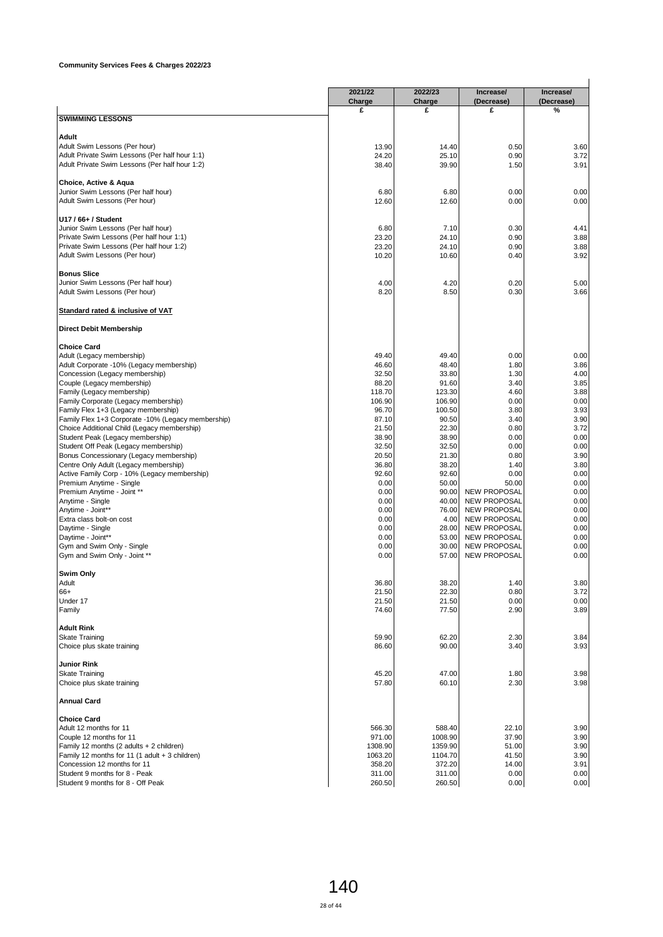|                                                                                                  | 2021/22           | 2022/23           | Increase/                                  | Increase/          |
|--------------------------------------------------------------------------------------------------|-------------------|-------------------|--------------------------------------------|--------------------|
|                                                                                                  | Charge<br>£       | Charge<br>£       | (Decrease)<br>£                            | (Decrease)<br>$\%$ |
| <b>SWIMMING LESSONS</b>                                                                          |                   |                   |                                            |                    |
|                                                                                                  |                   |                   |                                            |                    |
| Adult                                                                                            |                   |                   |                                            |                    |
| Adult Swim Lessons (Per hour)                                                                    | 13.90             | 14.40             | 0.50                                       | 3.60               |
| Adult Private Swim Lessons (Per half hour 1:1)<br>Adult Private Swim Lessons (Per half hour 1:2) | 24.20<br>38.40    | 25.10<br>39.90    | 0.90<br>1.50                               | 3.72<br>3.91       |
|                                                                                                  |                   |                   |                                            |                    |
| Choice, Active & Aqua                                                                            |                   |                   |                                            |                    |
| Junior Swim Lessons (Per half hour)                                                              | 6.80              | 6.80              | 0.00                                       | 0.00               |
| Adult Swim Lessons (Per hour)                                                                    | 12.60             | 12.60             | 0.00                                       | 0.00               |
| U17 / 66+ / Student                                                                              |                   |                   |                                            |                    |
| Junior Swim Lessons (Per half hour)                                                              | 6.80              | 7.10              | 0.30                                       | 4.41               |
| Private Swim Lessons (Per half hour 1:1)                                                         | 23.20             | 24.10             | 0.90                                       | 3.88               |
| Private Swim Lessons (Per half hour 1:2)                                                         | 23.20             | 24.10             | 0.90                                       | 3.88               |
| Adult Swim Lessons (Per hour)                                                                    | 10.20             | 10.60             | 0.40                                       | 3.92               |
| <b>Bonus Slice</b>                                                                               |                   |                   |                                            |                    |
| Junior Swim Lessons (Per half hour)                                                              | 4.00              | 4.20              | 0.20                                       | 5.00               |
| Adult Swim Lessons (Per hour)                                                                    | 8.20              | 8.50              | 0.30                                       | 3.66               |
| Standard rated & inclusive of VAT                                                                |                   |                   |                                            |                    |
| <b>Direct Debit Membership</b>                                                                   |                   |                   |                                            |                    |
|                                                                                                  |                   |                   |                                            |                    |
| <b>Choice Card</b>                                                                               |                   |                   |                                            |                    |
| Adult (Legacy membership)                                                                        | 49.40             | 49.40             | 0.00                                       | 0.00               |
| Adult Corporate -10% (Legacy membership)<br>Concession (Legacy membership)                       | 46.60<br>32.50    | 48.40<br>33.80    | 1.80<br>1.30                               | 3.86<br>4.00       |
| Couple (Legacy membership)                                                                       | 88.20             | 91.60             | 3.40                                       | 3.85               |
| Family (Legacy membership)                                                                       | 118.70            | 123.30            | 4.60                                       | 3.88               |
| Family Corporate (Legacy membership)                                                             | 106.90            | 106.90            | 0.00                                       | 0.00               |
| Family Flex 1+3 (Legacy membership)                                                              | 96.70             | 100.50            | 3.80                                       | 3.93               |
| Family Flex 1+3 Corporate -10% (Legacy membership)                                               | 87.10             | 90.50             | 3.40                                       | 3.90               |
| Choice Additional Child (Legacy membership)                                                      | 21.50             | 22.30             | 0.80                                       | 3.72               |
| Student Peak (Legacy membership)                                                                 | 38.90             | 38.90             | 0.00                                       | 0.00               |
| Student Off Peak (Legacy membership)                                                             | 32.50             | 32.50             | 0.00                                       | 0.00               |
| Bonus Concessionary (Legacy membership)                                                          | 20.50             | 21.30             | 0.80                                       | 3.90               |
| Centre Only Adult (Legacy membership)<br>Active Family Corp - 10% (Legacy membership)            | 36.80<br>92.60    | 38.20<br>92.60    | 1.40<br>0.00                               | 3.80<br>0.00       |
| Premium Anytime - Single                                                                         | 0.00              | 50.00             | 50.00                                      | 0.00               |
| Premium Anytime - Joint **                                                                       | 0.00              | 90.00             | <b>NEW PROPOSAL</b>                        | 0.00               |
| Anytime - Single                                                                                 | 0.00              | 40.00             | <b>NEW PROPOSAL</b>                        | 0.00               |
| Anytime - Joint**                                                                                | 0.00              | 76.00             | <b>NEW PROPOSAL</b>                        | 0.00               |
| Extra class bolt-on cost                                                                         | 0.00              | 4.00              | <b>NEW PROPOSAL</b>                        | 0.00               |
| Daytime - Single                                                                                 | 0.00              | 28.00             | <b>NEW PROPOSAL</b>                        | 0.00               |
| Daytime - Joint**                                                                                | 0.00              | 53.00             | <b>NEW PROPOSAL</b><br><b>NEW PROPOSAL</b> | 0.00<br>0.00       |
| Gym and Swim Only - Single<br>Gym and Swim Only - Joint **                                       | 0.00<br>0.00      | 30.00<br>57.00    | <b>NEW PROPOSAL</b>                        | 0.00               |
|                                                                                                  |                   |                   |                                            |                    |
| Swim Only<br>Adult                                                                               | 36.80             | 38.20             | 1.40                                       | 3.80               |
| 66+                                                                                              | 21.50             | 22.30             | 0.80                                       | 3.72               |
| Under 17                                                                                         | 21.50             | 21.50             | 0.00                                       | 0.00               |
| Family                                                                                           | 74.60             | 77.50             | 2.90                                       | 3.89               |
| <b>Adult Rink</b>                                                                                |                   |                   |                                            |                    |
| <b>Skate Training</b>                                                                            | 59.90             | 62.20             | 2.30                                       | 3.84               |
| Choice plus skate training                                                                       | 86.60             | 90.00             | 3.40                                       | 3.93               |
| <b>Junior Rink</b>                                                                               |                   |                   |                                            |                    |
| <b>Skate Training</b>                                                                            | 45.20             | 47.00             | 1.80                                       | 3.98               |
| Choice plus skate training                                                                       | 57.80             | 60.10             | 2.30                                       | 3.98               |
| <b>Annual Card</b>                                                                               |                   |                   |                                            |                    |
| <b>Choice Card</b>                                                                               |                   |                   |                                            |                    |
| Adult 12 months for 11                                                                           | 566.30            | 588.40            | 22.10                                      | 3.90               |
| Couple 12 months for 11                                                                          | 971.00            | 1008.90           | 37.90                                      | 3.90               |
| Family 12 months (2 adults + 2 children)                                                         | 1308.90           | 1359.90           | 51.00                                      | 3.90               |
| Family 12 months for 11 (1 adult + 3 children)<br>Concession 12 months for 11                    | 1063.20<br>358.20 | 1104.70<br>372.20 | 41.50<br>14.00                             | 3.90<br>3.91       |
| Student 9 months for 8 - Peak                                                                    | 311.00            | 311.00            | 0.00                                       | 0.00               |
| Student 9 months for 8 - Off Peak                                                                | 260.50            | 260.50            | 0.00                                       | 0.00               |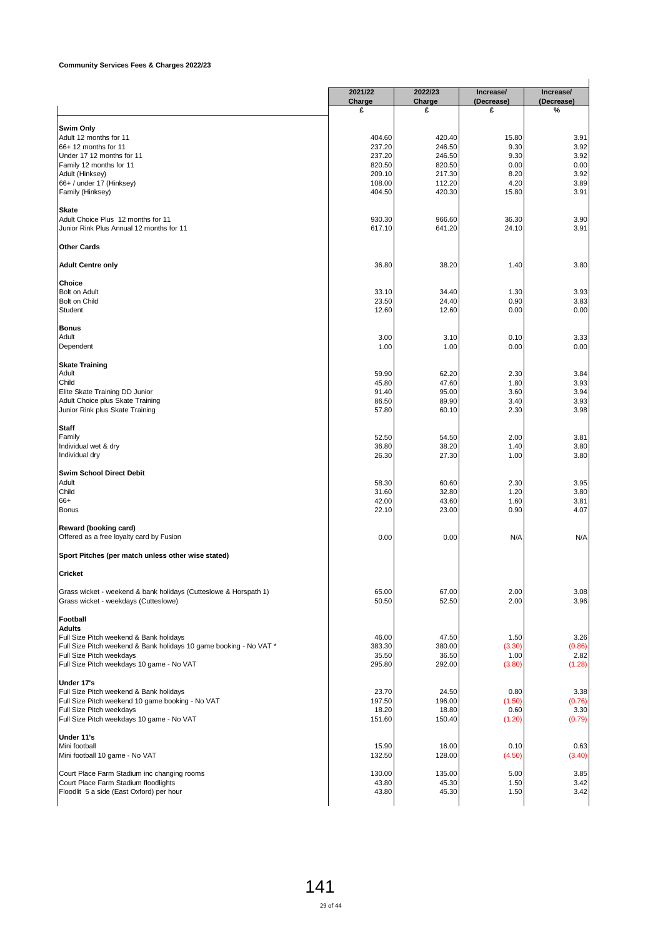|                                                                                                               | 2021/22<br>Charge | 2022/23<br>Charge | Increase/<br>(Decrease) | Increase/<br>(Decrease) |
|---------------------------------------------------------------------------------------------------------------|-------------------|-------------------|-------------------------|-------------------------|
|                                                                                                               | £                 | £                 | £                       | %                       |
| Swim Only                                                                                                     |                   |                   |                         |                         |
| Adult 12 months for 11                                                                                        | 404.60            | 420.40            | 15.80                   | 3.91                    |
| 66+ 12 months for 11                                                                                          | 237.20            | 246.50            | 9.30                    | 3.92                    |
| Under 17 12 months for 11                                                                                     | 237.20            | 246.50            | 9.30                    | 3.92                    |
| Family 12 months for 11                                                                                       | 820.50            | 820.50            | 0.00                    | 0.00                    |
| Adult (Hinksey)                                                                                               | 209.10            | 217.30            | 8.20                    | 3.92                    |
| 66+ / under 17 (Hinksey)                                                                                      | 108.00            | 112.20            | 4.20                    | 3.89                    |
| Family (Hinksey)                                                                                              | 404.50            | 420.30            | 15.80                   | 3.91                    |
| <b>Skate</b>                                                                                                  |                   |                   |                         |                         |
| Adult Choice Plus 12 months for 11                                                                            | 930.30            | 966.60            | 36.30                   | 3.90                    |
| Junior Rink Plus Annual 12 months for 11                                                                      | 617.10            | 641.20            | 24.10                   | 3.91                    |
| <b>Other Cards</b>                                                                                            |                   |                   |                         |                         |
| <b>Adult Centre only</b>                                                                                      | 36.80             | 38.20             | 1.40                    | 3.80                    |
| Choice                                                                                                        |                   |                   |                         |                         |
| Bolt on Adult                                                                                                 | 33.10             | 34.40             | 1.30                    | 3.93                    |
| Bolt on Child                                                                                                 | 23.50             | 24.40             | 0.90                    | 3.83                    |
| Student                                                                                                       | 12.60             | 12.60             | 0.00                    | 0.00                    |
|                                                                                                               |                   |                   |                         |                         |
| <b>Bonus</b><br>Adult                                                                                         | 3.00              | 3.10              | 0.10                    | 3.33                    |
| Dependent                                                                                                     | 1.00              | 1.00              | 0.00                    | 0.00                    |
| <b>Skate Training</b>                                                                                         |                   |                   |                         |                         |
| Adult                                                                                                         | 59.90             | 62.20             | 2.30                    | 3.84                    |
| Child                                                                                                         | 45.80             | 47.60             | 1.80                    | 3.93                    |
| Elite Skate Training DD Junior                                                                                | 91.40             | 95.00             | 3.60                    | 3.94                    |
| Adult Choice plus Skate Training                                                                              | 86.50             | 89.90             | 3.40                    | 3.93                    |
| Junior Rink plus Skate Training                                                                               | 57.80             | 60.10             | 2.30                    | 3.98                    |
| <b>Staff</b>                                                                                                  |                   |                   |                         |                         |
| Family                                                                                                        | 52.50             | 54.50             | 2.00                    | 3.81                    |
| Individual wet & dry                                                                                          | 36.80             | 38.20             | 1.40                    | 3.80                    |
| Individual dry                                                                                                | 26.30             | 27.30             | 1.00                    | 3.80                    |
| Swim School Direct Debit                                                                                      |                   |                   |                         |                         |
| Adult                                                                                                         | 58.30             | 60.60             | 2.30                    | 3.95                    |
| Child                                                                                                         | 31.60             | 32.80             | 1.20                    | 3.80                    |
| 66+                                                                                                           | 42.00             | 43.60             | 1.60                    | 3.81                    |
| <b>Bonus</b>                                                                                                  | 22.10             | 23.00             | 0.90                    | 4.07                    |
| Reward (booking card)                                                                                         |                   |                   |                         |                         |
| Offered as a free loyalty card by Fusion                                                                      | 0.00              | 0.00              | N/A                     | N/A                     |
| Sport Pitches (per match unless other wise stated)                                                            |                   |                   |                         |                         |
| Cricket                                                                                                       |                   |                   |                         |                         |
| Grass wicket - weekend & bank holidays (Cutteslowe & Horspath 1)<br>Grass wicket - weekdays (Cutteslowe)      | 65.00<br>50.50    | 67.00<br>52.50    | 2.00<br>2.00            | 3.08<br>3.96            |
|                                                                                                               |                   |                   |                         |                         |
| Football<br><b>Adults</b>                                                                                     |                   |                   |                         |                         |
|                                                                                                               | 46.00             | 47.50             | 1.50                    | 3.26                    |
| Full Size Pitch weekend & Bank holidays<br>Full Size Pitch weekend & Bank holidays 10 game booking - No VAT * | 383.30            | 380.00            | (3.30)                  | (0.86)                  |
| Full Size Pitch weekdays                                                                                      | 35.50             | 36.50             | 1.00                    | 2.82                    |
| Full Size Pitch weekdays 10 game - No VAT                                                                     | 295.80            | 292.00            | (3.80)                  | (1.28)                  |
| Under 17's                                                                                                    |                   |                   |                         |                         |
| Full Size Pitch weekend & Bank holidays                                                                       | 23.70             | 24.50             | 0.80                    | 3.38                    |
| Full Size Pitch weekend 10 game booking - No VAT                                                              | 197.50            | 196.00            | (1.50)                  | (0.76)                  |
| Full Size Pitch weekdays                                                                                      | 18.20             | 18.80             | 0.60                    | 3.30                    |
| Full Size Pitch weekdays 10 game - No VAT                                                                     | 151.60            | 150.40            | (1.20)                  | (0.79)                  |
| Under 11's                                                                                                    |                   |                   |                         |                         |
|                                                                                                               | 15.90             | 16.00             | 0.10                    | 0.63                    |
| Mini football                                                                                                 |                   | 128.00            | (4.50)                  | (3.40)                  |
|                                                                                                               | 132.50            |                   |                         |                         |
| Mini football 10 game - No VAT<br>Court Place Farm Stadium inc changing rooms                                 | 130.00            | 135.00            | 5.00                    |                         |
| Court Place Farm Stadium floodlights                                                                          | 43.80             | 45.30             | 1.50                    | 3.85<br>3.42            |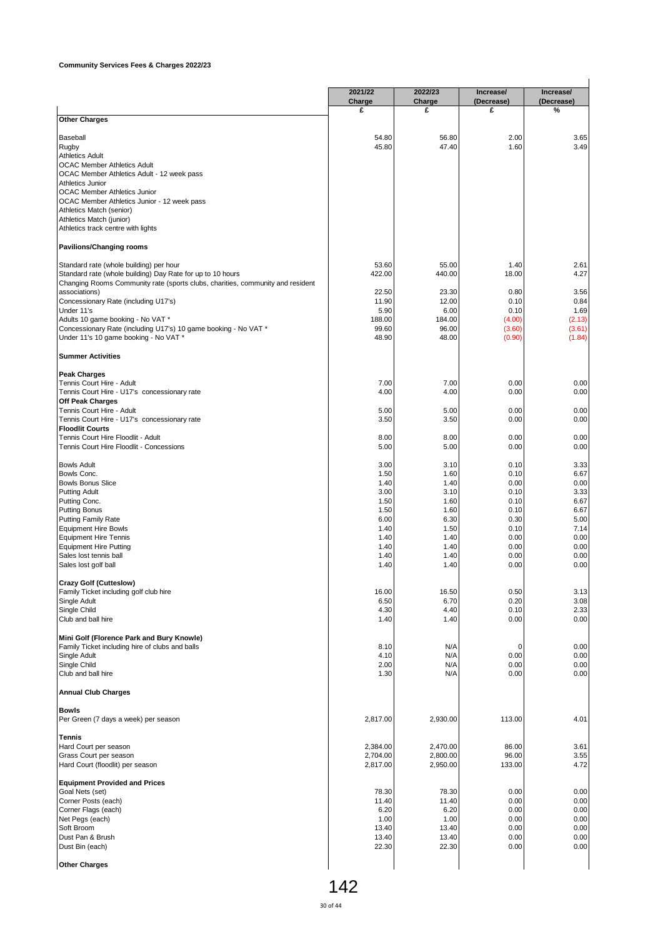|                                                                                | 2021/22<br>Charge    | 2022/23<br>Charge    | Increase/<br>(Decrease) | Increase/<br>(Decrease) |
|--------------------------------------------------------------------------------|----------------------|----------------------|-------------------------|-------------------------|
|                                                                                | £                    | £                    | £                       | %                       |
| <b>Other Charges</b>                                                           |                      |                      |                         |                         |
| Baseball                                                                       | 54.80                | 56.80                | 2.00                    | 3.65                    |
| Rugby                                                                          | 45.80                | 47.40                | 1.60                    | 3.49                    |
| <b>Athletics Adult</b><br><b>OCAC Member Athletics Adult</b>                   |                      |                      |                         |                         |
| OCAC Member Athletics Adult - 12 week pass                                     |                      |                      |                         |                         |
| Athletics Junior                                                               |                      |                      |                         |                         |
| <b>OCAC Member Athletics Junior</b>                                            |                      |                      |                         |                         |
| OCAC Member Athletics Junior - 12 week pass                                    |                      |                      |                         |                         |
| Athletics Match (senior)                                                       |                      |                      |                         |                         |
| Athletics Match (junior)<br>Athletics track centre with lights                 |                      |                      |                         |                         |
|                                                                                |                      |                      |                         |                         |
| <b>Pavilions/Changing rooms</b>                                                |                      |                      |                         |                         |
| Standard rate (whole building) per hour                                        | 53.60                | 55.00                | 1.40                    | 2.61                    |
| Standard rate (whole building) Day Rate for up to 10 hours                     | 422.00               | 440.00               | 18.00                   | 4.27                    |
| Changing Rooms Community rate (sports clubs, charities, community and resident |                      |                      |                         |                         |
| associations)<br>Concessionary Rate (including U17's)                          | 22.50<br>11.90       | 23.30<br>12.00       | 0.80<br>0.10            | 3.56<br>0.84            |
| Under 11's                                                                     | 5.90                 | 6.00                 | 0.10                    | 1.69                    |
| Adults 10 game booking - No VAT *                                              | 188.00               | 184.00               | (4.00)                  | (2.13)                  |
| Concessionary Rate (including U17's) 10 game booking - No VAT *                | 99.60                | 96.00                | (3.60)                  | (3.61)                  |
| Under 11's 10 game booking - No VAT *                                          | 48.90                | 48.00                | (0.90)                  | (1.84)                  |
| <b>Summer Activities</b>                                                       |                      |                      |                         |                         |
| <b>Peak Charges</b>                                                            |                      |                      |                         |                         |
| Tennis Court Hire - Adult                                                      | 7.00                 | 7.00                 | 0.00                    | 0.00                    |
| Tennis Court Hire - U17's concessionary rate                                   | 4.00                 | 4.00                 | 0.00                    | 0.00                    |
| <b>Off Peak Charges</b><br>Tennis Court Hire - Adult                           | 5.00                 | 5.00                 | 0.00                    | 0.00                    |
| Tennis Court Hire - U17's concessionary rate                                   | 3.50                 | 3.50                 | 0.00                    | 0.00                    |
| <b>Floodlit Courts</b>                                                         |                      |                      |                         |                         |
| Tennis Court Hire Floodlit - Adult                                             | 8.00                 | 8.00                 | 0.00                    | 0.00                    |
| Tennis Court Hire Floodlit - Concessions                                       | 5.00                 | 5.00                 | 0.00                    | 0.00                    |
| <b>Bowls Adult</b>                                                             | 3.00                 | 3.10                 | 0.10                    | 3.33                    |
| Bowls Conc.                                                                    | 1.50                 | 1.60                 | 0.10                    | 6.67                    |
| <b>Bowls Bonus Slice</b>                                                       | 1.40                 | 1.40                 | 0.00                    | 0.00                    |
| <b>Putting Adult</b>                                                           | 3.00<br>1.50         | 3.10<br>1.60         | 0.10<br>0.10            | 3.33<br>6.67            |
| Putting Conc.<br><b>Putting Bonus</b>                                          | 1.50                 | 1.60                 | 0.10                    | 6.67                    |
| <b>Putting Family Rate</b>                                                     | 6.00                 | 6.30                 | 0.30                    | 5.00                    |
| <b>Equipment Hire Bowls</b>                                                    | 1.40                 | 1.50                 | 0.10                    | 7.14                    |
| <b>Equipment Hire Tennis</b>                                                   | 1.40                 | 1.40                 | 0.00                    | 0.00                    |
| <b>Equipment Hire Putting</b>                                                  | 1.40                 | 1.40                 | 0.00                    | 0.00                    |
| Sales lost tennis ball<br>Sales lost golf ball                                 | 1.40<br>1.40         | 1.40<br>1.40         | 0.00<br>0.00            | 0.00<br>0.00            |
|                                                                                |                      |                      |                         |                         |
| Crazy Golf (Cutteslow)                                                         |                      |                      |                         |                         |
| Family Ticket including golf club hire<br>Single Adult                         | 16.00<br>6.50        | 16.50<br>6.70        | 0.50<br>0.20            | 3.13<br>3.08            |
| Single Child                                                                   | 4.30                 | 4.40                 | 0.10                    | 2.33                    |
| Club and ball hire                                                             | 1.40                 | 1.40                 | 0.00                    | 0.00                    |
| Mini Golf (Florence Park and Bury Knowle)                                      |                      |                      |                         |                         |
| Family Ticket including hire of clubs and balls                                | 8.10                 | N/A                  | 0                       | 0.00                    |
| Single Adult                                                                   | 4.10                 | N/A                  | 0.00                    | 0.00                    |
| Single Child<br>Club and ball hire                                             | 2.00<br>1.30         | N/A<br>N/A           | 0.00<br>0.00            | 0.00<br>0.00            |
| <b>Annual Club Charges</b>                                                     |                      |                      |                         |                         |
|                                                                                |                      |                      |                         |                         |
| <b>Bowls</b><br>Per Green (7 days a week) per season                           | 2,817.00             | 2,930.00             | 113.00                  | 4.01                    |
| Tennis                                                                         |                      |                      |                         |                         |
| Hard Court per season                                                          | 2,384.00             | 2,470.00             | 86.00                   | 3.61                    |
| Grass Court per season<br>Hard Court (floodlit) per season                     | 2,704.00<br>2,817.00 | 2,800.00<br>2,950.00 | 96.00<br>133.00         | 3.55<br>4.72            |
|                                                                                |                      |                      |                         |                         |
| <b>Equipment Provided and Prices</b><br>Goal Nets (set)                        | 78.30                | 78.30                | 0.00                    | 0.00                    |
| Corner Posts (each)                                                            | 11.40                | 11.40                | 0.00                    | 0.00                    |
| Corner Flags (each)                                                            | 6.20                 | 6.20                 | 0.00                    | 0.00                    |
| Net Pegs (each)                                                                | 1.00                 | 1.00                 | 0.00                    | 0.00                    |
| Soft Broom                                                                     | 13.40                | 13.40                | 0.00                    | 0.00                    |
| Dust Pan & Brush                                                               | 13.40                | 13.40                | 0.00                    | 0.00                    |
| Dust Bin (each)                                                                | 22.30                | 22.30                | 0.00                    | 0.00                    |
| <b>Other Charges</b>                                                           |                      |                      |                         |                         |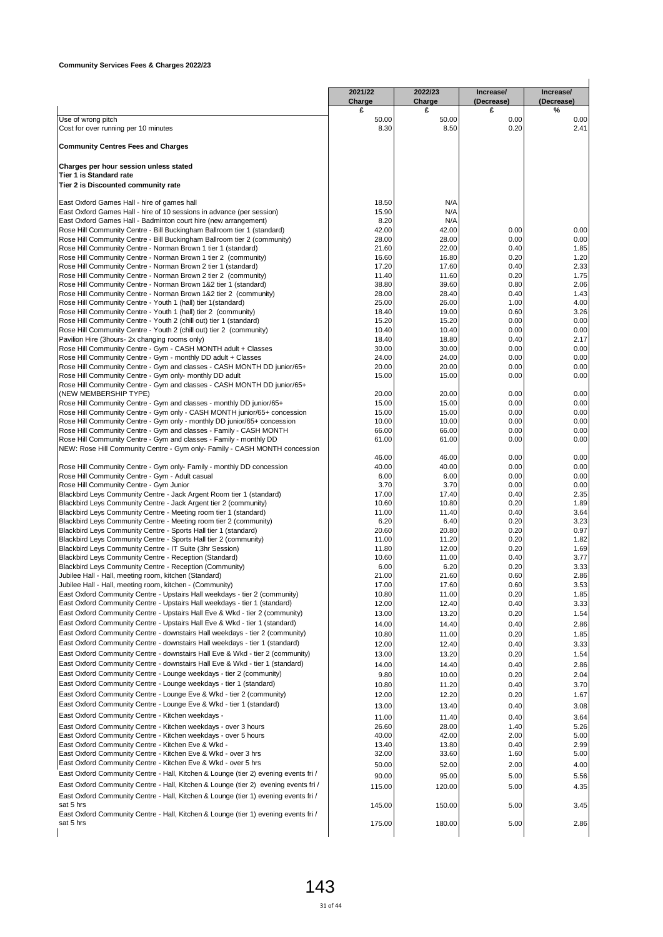| £<br>50.00<br>0.00<br>8.50<br>0.20<br>N/A<br>N/A<br>N/A<br>42.00<br>0.00<br>0.00<br>28.00<br>22.00<br>0.40<br>16.80<br>0.20<br>17.60<br>0.40<br>11.60<br>0.20<br>39.60<br>0.80<br>28.40<br>0.40<br>26.00<br>1.00<br>19.00<br>0.60<br>15.20<br>0.00<br>10.40<br>0.00<br>0.40<br>18.80<br>30.00<br>0.00<br>24.00<br>0.00<br>20.00<br>0.00<br>15.00<br>0.00<br>20.00<br>0.00<br>0.00<br>15.00<br>0.00<br>15.00<br>10.00<br>0.00<br>66.00<br>0.00<br>0.00<br>61.00 | %<br>0.00<br>2.41<br>0.00<br>0.00<br>1.85<br>1.20<br>2.33<br>1.75<br>2.06<br>1.43<br>4.00<br>3.26<br>0.00<br>0.00<br>2.17<br>0.00<br>0.00<br>0.00<br>0.00<br>0.00<br>0.00<br>0.00<br>0.00<br>0.00<br>0.00                                                                                                                                                                                                                                                                                                                                                                                                                       |
|----------------------------------------------------------------------------------------------------------------------------------------------------------------------------------------------------------------------------------------------------------------------------------------------------------------------------------------------------------------------------------------------------------------------------------------------------------------|---------------------------------------------------------------------------------------------------------------------------------------------------------------------------------------------------------------------------------------------------------------------------------------------------------------------------------------------------------------------------------------------------------------------------------------------------------------------------------------------------------------------------------------------------------------------------------------------------------------------------------|
|                                                                                                                                                                                                                                                                                                                                                                                                                                                                |                                                                                                                                                                                                                                                                                                                                                                                                                                                                                                                                                                                                                                 |
|                                                                                                                                                                                                                                                                                                                                                                                                                                                                |                                                                                                                                                                                                                                                                                                                                                                                                                                                                                                                                                                                                                                 |
|                                                                                                                                                                                                                                                                                                                                                                                                                                                                |                                                                                                                                                                                                                                                                                                                                                                                                                                                                                                                                                                                                                                 |
|                                                                                                                                                                                                                                                                                                                                                                                                                                                                |                                                                                                                                                                                                                                                                                                                                                                                                                                                                                                                                                                                                                                 |
|                                                                                                                                                                                                                                                                                                                                                                                                                                                                |                                                                                                                                                                                                                                                                                                                                                                                                                                                                                                                                                                                                                                 |
|                                                                                                                                                                                                                                                                                                                                                                                                                                                                |                                                                                                                                                                                                                                                                                                                                                                                                                                                                                                                                                                                                                                 |
|                                                                                                                                                                                                                                                                                                                                                                                                                                                                |                                                                                                                                                                                                                                                                                                                                                                                                                                                                                                                                                                                                                                 |
|                                                                                                                                                                                                                                                                                                                                                                                                                                                                |                                                                                                                                                                                                                                                                                                                                                                                                                                                                                                                                                                                                                                 |
|                                                                                                                                                                                                                                                                                                                                                                                                                                                                |                                                                                                                                                                                                                                                                                                                                                                                                                                                                                                                                                                                                                                 |
|                                                                                                                                                                                                                                                                                                                                                                                                                                                                |                                                                                                                                                                                                                                                                                                                                                                                                                                                                                                                                                                                                                                 |
|                                                                                                                                                                                                                                                                                                                                                                                                                                                                |                                                                                                                                                                                                                                                                                                                                                                                                                                                                                                                                                                                                                                 |
|                                                                                                                                                                                                                                                                                                                                                                                                                                                                |                                                                                                                                                                                                                                                                                                                                                                                                                                                                                                                                                                                                                                 |
|                                                                                                                                                                                                                                                                                                                                                                                                                                                                |                                                                                                                                                                                                                                                                                                                                                                                                                                                                                                                                                                                                                                 |
|                                                                                                                                                                                                                                                                                                                                                                                                                                                                |                                                                                                                                                                                                                                                                                                                                                                                                                                                                                                                                                                                                                                 |
|                                                                                                                                                                                                                                                                                                                                                                                                                                                                |                                                                                                                                                                                                                                                                                                                                                                                                                                                                                                                                                                                                                                 |
|                                                                                                                                                                                                                                                                                                                                                                                                                                                                |                                                                                                                                                                                                                                                                                                                                                                                                                                                                                                                                                                                                                                 |
|                                                                                                                                                                                                                                                                                                                                                                                                                                                                |                                                                                                                                                                                                                                                                                                                                                                                                                                                                                                                                                                                                                                 |
|                                                                                                                                                                                                                                                                                                                                                                                                                                                                |                                                                                                                                                                                                                                                                                                                                                                                                                                                                                                                                                                                                                                 |
|                                                                                                                                                                                                                                                                                                                                                                                                                                                                |                                                                                                                                                                                                                                                                                                                                                                                                                                                                                                                                                                                                                                 |
|                                                                                                                                                                                                                                                                                                                                                                                                                                                                |                                                                                                                                                                                                                                                                                                                                                                                                                                                                                                                                                                                                                                 |
|                                                                                                                                                                                                                                                                                                                                                                                                                                                                |                                                                                                                                                                                                                                                                                                                                                                                                                                                                                                                                                                                                                                 |
|                                                                                                                                                                                                                                                                                                                                                                                                                                                                |                                                                                                                                                                                                                                                                                                                                                                                                                                                                                                                                                                                                                                 |
|                                                                                                                                                                                                                                                                                                                                                                                                                                                                |                                                                                                                                                                                                                                                                                                                                                                                                                                                                                                                                                                                                                                 |
|                                                                                                                                                                                                                                                                                                                                                                                                                                                                |                                                                                                                                                                                                                                                                                                                                                                                                                                                                                                                                                                                                                                 |
|                                                                                                                                                                                                                                                                                                                                                                                                                                                                |                                                                                                                                                                                                                                                                                                                                                                                                                                                                                                                                                                                                                                 |
|                                                                                                                                                                                                                                                                                                                                                                                                                                                                |                                                                                                                                                                                                                                                                                                                                                                                                                                                                                                                                                                                                                                 |
|                                                                                                                                                                                                                                                                                                                                                                                                                                                                |                                                                                                                                                                                                                                                                                                                                                                                                                                                                                                                                                                                                                                 |
|                                                                                                                                                                                                                                                                                                                                                                                                                                                                |                                                                                                                                                                                                                                                                                                                                                                                                                                                                                                                                                                                                                                 |
|                                                                                                                                                                                                                                                                                                                                                                                                                                                                |                                                                                                                                                                                                                                                                                                                                                                                                                                                                                                                                                                                                                                 |
| 46.00<br>0.00                                                                                                                                                                                                                                                                                                                                                                                                                                                  | 0.00                                                                                                                                                                                                                                                                                                                                                                                                                                                                                                                                                                                                                            |
|                                                                                                                                                                                                                                                                                                                                                                                                                                                                | 0.00                                                                                                                                                                                                                                                                                                                                                                                                                                                                                                                                                                                                                            |
|                                                                                                                                                                                                                                                                                                                                                                                                                                                                | 0.00<br>0.00                                                                                                                                                                                                                                                                                                                                                                                                                                                                                                                                                                                                                    |
|                                                                                                                                                                                                                                                                                                                                                                                                                                                                | 2.35                                                                                                                                                                                                                                                                                                                                                                                                                                                                                                                                                                                                                            |
|                                                                                                                                                                                                                                                                                                                                                                                                                                                                | 1.89                                                                                                                                                                                                                                                                                                                                                                                                                                                                                                                                                                                                                            |
|                                                                                                                                                                                                                                                                                                                                                                                                                                                                | 3.64                                                                                                                                                                                                                                                                                                                                                                                                                                                                                                                                                                                                                            |
|                                                                                                                                                                                                                                                                                                                                                                                                                                                                | 3.23<br>0.97                                                                                                                                                                                                                                                                                                                                                                                                                                                                                                                                                                                                                    |
|                                                                                                                                                                                                                                                                                                                                                                                                                                                                | 1.82                                                                                                                                                                                                                                                                                                                                                                                                                                                                                                                                                                                                                            |
|                                                                                                                                                                                                                                                                                                                                                                                                                                                                | 1.69                                                                                                                                                                                                                                                                                                                                                                                                                                                                                                                                                                                                                            |
|                                                                                                                                                                                                                                                                                                                                                                                                                                                                | 3.77                                                                                                                                                                                                                                                                                                                                                                                                                                                                                                                                                                                                                            |
|                                                                                                                                                                                                                                                                                                                                                                                                                                                                | 3.33                                                                                                                                                                                                                                                                                                                                                                                                                                                                                                                                                                                                                            |
|                                                                                                                                                                                                                                                                                                                                                                                                                                                                | 2.86<br>3.53                                                                                                                                                                                                                                                                                                                                                                                                                                                                                                                                                                                                                    |
|                                                                                                                                                                                                                                                                                                                                                                                                                                                                | 1.85                                                                                                                                                                                                                                                                                                                                                                                                                                                                                                                                                                                                                            |
|                                                                                                                                                                                                                                                                                                                                                                                                                                                                | 3.33                                                                                                                                                                                                                                                                                                                                                                                                                                                                                                                                                                                                                            |
|                                                                                                                                                                                                                                                                                                                                                                                                                                                                | 1.54                                                                                                                                                                                                                                                                                                                                                                                                                                                                                                                                                                                                                            |
|                                                                                                                                                                                                                                                                                                                                                                                                                                                                | 2.86                                                                                                                                                                                                                                                                                                                                                                                                                                                                                                                                                                                                                            |
|                                                                                                                                                                                                                                                                                                                                                                                                                                                                | 1.85                                                                                                                                                                                                                                                                                                                                                                                                                                                                                                                                                                                                                            |
|                                                                                                                                                                                                                                                                                                                                                                                                                                                                | 3.33                                                                                                                                                                                                                                                                                                                                                                                                                                                                                                                                                                                                                            |
|                                                                                                                                                                                                                                                                                                                                                                                                                                                                | 1.54                                                                                                                                                                                                                                                                                                                                                                                                                                                                                                                                                                                                                            |
|                                                                                                                                                                                                                                                                                                                                                                                                                                                                | 2.86<br>2.04                                                                                                                                                                                                                                                                                                                                                                                                                                                                                                                                                                                                                    |
|                                                                                                                                                                                                                                                                                                                                                                                                                                                                | 3.70                                                                                                                                                                                                                                                                                                                                                                                                                                                                                                                                                                                                                            |
|                                                                                                                                                                                                                                                                                                                                                                                                                                                                | 1.67                                                                                                                                                                                                                                                                                                                                                                                                                                                                                                                                                                                                                            |
|                                                                                                                                                                                                                                                                                                                                                                                                                                                                | 3.08                                                                                                                                                                                                                                                                                                                                                                                                                                                                                                                                                                                                                            |
|                                                                                                                                                                                                                                                                                                                                                                                                                                                                | 3.64                                                                                                                                                                                                                                                                                                                                                                                                                                                                                                                                                                                                                            |
|                                                                                                                                                                                                                                                                                                                                                                                                                                                                | 5.26                                                                                                                                                                                                                                                                                                                                                                                                                                                                                                                                                                                                                            |
|                                                                                                                                                                                                                                                                                                                                                                                                                                                                | 5.00                                                                                                                                                                                                                                                                                                                                                                                                                                                                                                                                                                                                                            |
|                                                                                                                                                                                                                                                                                                                                                                                                                                                                | 2.99                                                                                                                                                                                                                                                                                                                                                                                                                                                                                                                                                                                                                            |
|                                                                                                                                                                                                                                                                                                                                                                                                                                                                | 5.00                                                                                                                                                                                                                                                                                                                                                                                                                                                                                                                                                                                                                            |
|                                                                                                                                                                                                                                                                                                                                                                                                                                                                | 4.00                                                                                                                                                                                                                                                                                                                                                                                                                                                                                                                                                                                                                            |
|                                                                                                                                                                                                                                                                                                                                                                                                                                                                | 5.56                                                                                                                                                                                                                                                                                                                                                                                                                                                                                                                                                                                                                            |
|                                                                                                                                                                                                                                                                                                                                                                                                                                                                | 4.35                                                                                                                                                                                                                                                                                                                                                                                                                                                                                                                                                                                                                            |
|                                                                                                                                                                                                                                                                                                                                                                                                                                                                | 3.45                                                                                                                                                                                                                                                                                                                                                                                                                                                                                                                                                                                                                            |
|                                                                                                                                                                                                                                                                                                                                                                                                                                                                |                                                                                                                                                                                                                                                                                                                                                                                                                                                                                                                                                                                                                                 |
|                                                                                                                                                                                                                                                                                                                                                                                                                                                                | 2.86                                                                                                                                                                                                                                                                                                                                                                                                                                                                                                                                                                                                                            |
|                                                                                                                                                                                                                                                                                                                                                                                                                                                                | 40.00<br>0.00<br>6.00<br>0.00<br>3.70<br>0.00<br>17.40<br>0.40<br>0.20<br>10.80<br>0.40<br>11.40<br>6.40<br>0.20<br>20.80<br>0.20<br>0.20<br>11.20<br>12.00<br>0.20<br>11.00<br>0.40<br>6.20<br>0.20<br>21.60<br>0.60<br>0.60<br>17.60<br>0.20<br>11.00<br>12.40<br>0.40<br>13.20<br>0.20<br>14.40<br>0.40<br>11.00<br>0.20<br>12.40<br>0.40<br>13.20<br>0.20<br>0.40<br>14.40<br>0.20<br>10.00<br>0.40<br>11.20<br>12.20<br>0.20<br>13.40<br>0.40<br>11.40<br>0.40<br>1.40<br>28.00<br>42.00<br>2.00<br>0.40<br>13.80<br>33.60<br>1.60<br>52.00<br>2.00<br>95.00<br>5.00<br>5.00<br>120.00<br>150.00<br>5.00<br>180.00<br>5.00 |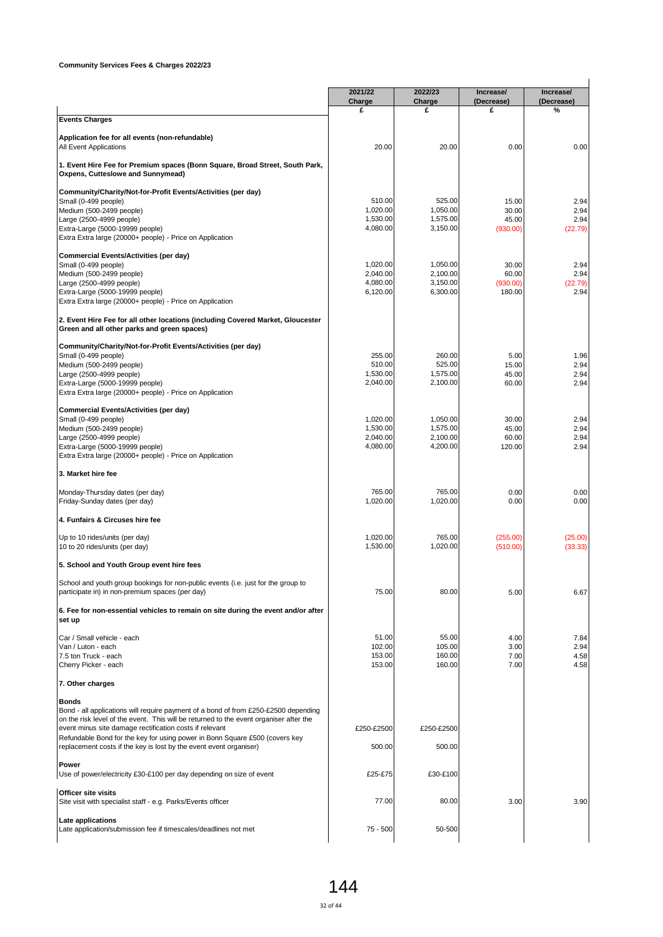|                                                                                                                                                                                                                                                                                               | 2021/22<br>Charge    | 2022/23<br>Charge    | Increase/<br>(Decrease) | Increase/<br>(Decrease) |
|-----------------------------------------------------------------------------------------------------------------------------------------------------------------------------------------------------------------------------------------------------------------------------------------------|----------------------|----------------------|-------------------------|-------------------------|
| <b>Events Charges</b>                                                                                                                                                                                                                                                                         | £                    | £                    | £                       | %                       |
| Application fee for all events (non-refundable)                                                                                                                                                                                                                                               |                      |                      |                         |                         |
| All Event Applications                                                                                                                                                                                                                                                                        | 20.00                | 20.00                | 0.00                    | 0.00                    |
| 1. Event Hire Fee for Premium spaces (Bonn Square, Broad Street, South Park,<br>Oxpens, Cutteslowe and Sunnymead)                                                                                                                                                                             |                      |                      |                         |                         |
| Community/Charity/Not-for-Profit Events/Activities (per day)                                                                                                                                                                                                                                  |                      |                      |                         |                         |
| Small (0-499 people)<br>Medium (500-2499 people)                                                                                                                                                                                                                                              | 510.00<br>1,020.00   | 525.00<br>1.050.00   | 15.00<br>30.00          | 2.94<br>2.94            |
| Large (2500-4999 people)                                                                                                                                                                                                                                                                      | 1,530.00             | 1,575.00             | 45.00                   | 2.94                    |
| Extra-Large (5000-19999 people)<br>Extra Extra large (20000+ people) - Price on Application                                                                                                                                                                                                   | 4,080.00             | 3,150.00             | (930.00)                | (22.79)                 |
| <b>Commercial Events/Activities (per day)</b>                                                                                                                                                                                                                                                 |                      |                      |                         |                         |
| Small (0-499 people)                                                                                                                                                                                                                                                                          | 1,020.00             | 1,050.00             | 30.00                   | 2.94                    |
| Medium (500-2499 people)                                                                                                                                                                                                                                                                      | 2,040.00             | 2,100.00             | 60.00                   | 2.94                    |
| Large (2500-4999 people)                                                                                                                                                                                                                                                                      | 4,080.00             | 3,150.00             | (930.00)                | (22.79)                 |
| Extra-Large (5000-19999 people)<br>Extra Extra large (20000+ people) - Price on Application                                                                                                                                                                                                   | 6,120.00             | 6,300.00             | 180.00                  | 2.94                    |
| 2. Event Hire Fee for all other locations (including Covered Market, Gloucester                                                                                                                                                                                                               |                      |                      |                         |                         |
| Green and all other parks and green spaces)                                                                                                                                                                                                                                                   |                      |                      |                         |                         |
| Community/Charity/Not-for-Profit Events/Activities (per day)                                                                                                                                                                                                                                  |                      |                      |                         |                         |
| Small (0-499 people)                                                                                                                                                                                                                                                                          | 255.00               | 260.00               | 5.00                    | 1.96                    |
| Medium (500-2499 people)<br>Large (2500-4999 people)                                                                                                                                                                                                                                          | 510.00<br>1,530.00   | 525.00<br>1,575.00   | 15.00<br>45.00          | 2.94<br>2.94            |
| Extra-Large (5000-19999 people)                                                                                                                                                                                                                                                               | 2,040.00             | 2,100.00             | 60.00                   | 2.94                    |
| Extra Extra large (20000+ people) - Price on Application                                                                                                                                                                                                                                      |                      |                      |                         |                         |
| <b>Commercial Events/Activities (per day)</b>                                                                                                                                                                                                                                                 | 1,020.00             |                      |                         |                         |
| Small (0-499 people)                                                                                                                                                                                                                                                                          | 1,530.00             | 1,050.00<br>1,575.00 | 30.00<br>45.00          | 2.94<br>2.94            |
| Medium (500-2499 people)<br>Large (2500-4999 people)                                                                                                                                                                                                                                          | 2,040.00             | 2,100.00             | 60.00                   | 2.94                    |
| Extra-Large (5000-19999 people)                                                                                                                                                                                                                                                               | 4,080.00             | 4,200.00             | 120.00                  | 2.94                    |
| Extra Extra large (20000+ people) - Price on Application                                                                                                                                                                                                                                      |                      |                      |                         |                         |
| 3. Market hire fee                                                                                                                                                                                                                                                                            |                      |                      |                         |                         |
| Monday-Thursday dates (per day)                                                                                                                                                                                                                                                               | 765.00<br>1,020.00   | 765.00               | 0.00                    | 0.00                    |
| Friday-Sunday dates (per day)                                                                                                                                                                                                                                                                 |                      | 1,020.00             | 0.00                    | 0.00                    |
| 4. Funfairs & Circuses hire fee                                                                                                                                                                                                                                                               |                      |                      |                         |                         |
| Up to 10 rides/units (per day)<br>10 to 20 rides/units (per day)                                                                                                                                                                                                                              | 1,020.00<br>1,530.00 | 765.00<br>1,020.00   | (255.00)<br>(510.00)    | (25.00)<br>(33.33)      |
| 5. School and Youth Group event hire fees                                                                                                                                                                                                                                                     |                      |                      |                         |                         |
| School and youth group bookings for non-public events (i.e. just for the group to                                                                                                                                                                                                             |                      |                      |                         |                         |
| participate in) in non-premium spaces (per day)                                                                                                                                                                                                                                               | 75.00                | 80.00                | 5.00                    | 6.67                    |
| 6. Fee for non-essential vehicles to remain on site during the event and/or after<br>set up                                                                                                                                                                                                   |                      |                      |                         |                         |
| Car / Small vehicle - each                                                                                                                                                                                                                                                                    | 51.00                | 55.00                | 4.00                    | 7.84                    |
| Van / Luton - each                                                                                                                                                                                                                                                                            | 102.00               | 105.00               | 3.00                    | 2.94                    |
|                                                                                                                                                                                                                                                                                               | 153.00               | 160.00               | 7.00                    | 4.58                    |
|                                                                                                                                                                                                                                                                                               | 153.00               | 160.00               | 7.00                    |                         |
|                                                                                                                                                                                                                                                                                               |                      |                      |                         |                         |
| 7.5 ton Truck - each<br>Cherry Picker - each<br>7. Other charges<br>Bonds                                                                                                                                                                                                                     |                      |                      |                         |                         |
| Bond - all applications will require payment of a bond of from £250-£2500 depending<br>on the risk level of the event. This will be returned to the event organiser after the                                                                                                                 |                      |                      |                         |                         |
|                                                                                                                                                                                                                                                                                               | £250-£2500           | £250-£2500           |                         |                         |
|                                                                                                                                                                                                                                                                                               | 500.00               | 500.00               |                         |                         |
|                                                                                                                                                                                                                                                                                               |                      |                      |                         |                         |
| event minus site damage rectification costs if relevant<br>Refundable Bond for the key for using power in Bonn Square £500 (covers key<br>replacement costs if the key is lost by the event event organiser)<br>Power<br>Use of power/electricity £30-£100 per day depending on size of event | £25-£75              | £30-£100             |                         | 4.58                    |
| Officer site visits                                                                                                                                                                                                                                                                           |                      |                      |                         |                         |
| Site visit with specialist staff - e.g. Parks/Events officer<br>Late applications                                                                                                                                                                                                             | 77.00                | 80.00                | 3.00                    | 3.90                    |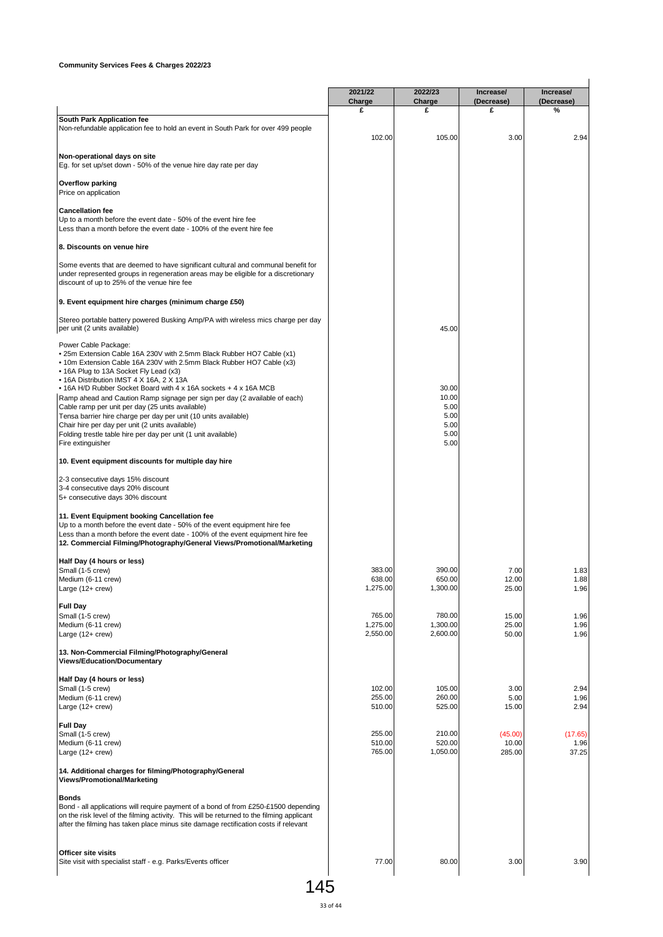|                                                                                                                                                                                                                                                                                         | 2021/22                      | 2022/23                      | Increase/              | Increase/            |
|-----------------------------------------------------------------------------------------------------------------------------------------------------------------------------------------------------------------------------------------------------------------------------------------|------------------------------|------------------------------|------------------------|----------------------|
|                                                                                                                                                                                                                                                                                         | Charge<br>£                  | Charge<br>£                  | (Decrease)<br>£        | (Decrease)<br>%      |
| South Park Application fee<br>Non-refundable application fee to hold an event in South Park for over 499 people                                                                                                                                                                         | 102.00                       | 105.00                       | 3.00                   | 2.94                 |
| Non-operational days on site<br>Eg. for set up/set down - 50% of the venue hire day rate per day                                                                                                                                                                                        |                              |                              |                        |                      |
| <b>Overflow parking</b><br>Price on application                                                                                                                                                                                                                                         |                              |                              |                        |                      |
| <b>Cancellation fee</b><br>Up to a month before the event date - 50% of the event hire fee<br>Less than a month before the event date - 100% of the event hire fee                                                                                                                      |                              |                              |                        |                      |
| 8. Discounts on venue hire                                                                                                                                                                                                                                                              |                              |                              |                        |                      |
| Some events that are deemed to have significant cultural and communal benefit for<br>under represented groups in regeneration areas may be eligible for a discretionary<br>discount of up to 25% of the venue hire fee                                                                  |                              |                              |                        |                      |
| 9. Event equipment hire charges (minimum charge £50)                                                                                                                                                                                                                                    |                              |                              |                        |                      |
| Stereo portable battery powered Busking Amp/PA with wireless mics charge per day<br>per unit (2 units available)                                                                                                                                                                        |                              | 45.00                        |                        |                      |
| Power Cable Package:<br>. 25m Extension Cable 16A 230V with 2.5mm Black Rubber HO7 Cable (x1)<br>• 10m Extension Cable 16A 230V with 2.5mm Black Rubber HO7 Cable (x3)<br>• 16A Plug to 13A Socket Fly Lead (x3)<br>• 16A Distribution IMST 4 X 16A, 2 X 13A                            |                              |                              |                        |                      |
| • 16A H/D Rubber Socket Board with 4 x 16A sockets + 4 x 16A MCB<br>Ramp ahead and Caution Ramp signage per sign per day (2 available of each)<br>Cable ramp per unit per day (25 units available)                                                                                      |                              | 30.00<br>10.00<br>5.00       |                        |                      |
| Tensa barrier hire charge per day per unit (10 units available)<br>Chair hire per day per unit (2 units available)<br>Folding trestle table hire per day per unit (1 unit available)<br>Fire extinguisher                                                                               |                              | 5.00<br>5.00<br>5.00<br>5.00 |                        |                      |
| 10. Event equipment discounts for multiple day hire                                                                                                                                                                                                                                     |                              |                              |                        |                      |
| 2-3 consecutive days 15% discount<br>3-4 consecutive days 20% discount<br>5+ consecutive days 30% discount                                                                                                                                                                              |                              |                              |                        |                      |
| 11. Event Equipment booking Cancellation fee<br>Up to a month before the event date - 50% of the event equipment hire fee<br>Less than a month before the event date - 100% of the event equipment hire fee<br>12. Commercial Filming/Photography/General Views/Promotional/Marketing   |                              |                              |                        |                      |
| Half Day (4 hours or less)                                                                                                                                                                                                                                                              |                              |                              |                        |                      |
| Small (1-5 crew)<br>Medium (6-11 crew)<br>Large (12+ crew)                                                                                                                                                                                                                              | 383.00<br>638.00<br>1,275.00 | 390.00<br>650.00<br>1,300.00 | 7.00<br>12.00<br>25.00 | 1.83<br>1.88<br>1.96 |
| <b>Full Day</b><br>Small (1-5 crew)                                                                                                                                                                                                                                                     | 765.00                       | 780.00                       | 15.00                  | 1.96                 |
| Medium (6-11 crew)<br>Large $(12 + crew)$                                                                                                                                                                                                                                               | 1,275.00<br>2,550.00         | 1,300.00<br>2,600.00         | 25.00<br>50.00         | 1.96<br>1.96         |
| 13. Non-Commercial Filming/Photography/General<br><b>Views/Education/Documentary</b>                                                                                                                                                                                                    |                              |                              |                        |                      |
| Half Day (4 hours or less)<br>Small (1-5 crew)                                                                                                                                                                                                                                          | 102.00                       | 105.00                       | 3.00                   | 2.94                 |
| Medium (6-11 crew)<br>Large (12+ crew)                                                                                                                                                                                                                                                  | 255.00<br>510.00             | 260.00<br>525.00             | 5.00<br>15.00          | 1.96<br>2.94         |
| <b>Full Day</b><br>Small (1-5 crew)<br>Medium (6-11 crew)                                                                                                                                                                                                                               | 255.00<br>510.00             | 210.00<br>520.00             | (45.00)<br>10.00       | (17.65)<br>1.96      |
| Large $(12 + crew)$                                                                                                                                                                                                                                                                     | 765.00                       | 1,050.00                     | 285.00                 | 37.25                |
| 14. Additional charges for filming/Photography/General<br>Views/Promotional/Marketing                                                                                                                                                                                                   |                              |                              |                        |                      |
| <b>Bonds</b><br>Bond - all applications will require payment of a bond of from £250-£1500 depending<br>on the risk level of the filming activity. This will be returned to the filming applicant<br>after the filming has taken place minus site damage rectification costs if relevant |                              |                              |                        |                      |
| Officer site visits<br>Site visit with specialist staff - e.g. Parks/Events officer                                                                                                                                                                                                     | 77.00                        | 80.00                        | 3.00                   | 3.90                 |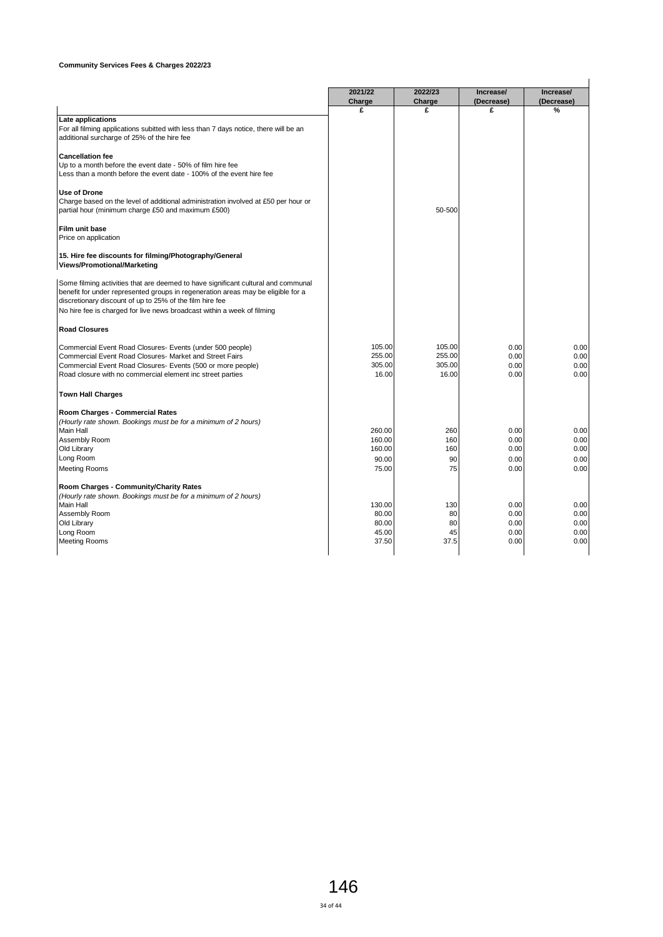|                                                                                                                                     | 2021/22 | 2022/23 | Increase/  | Increase/  |
|-------------------------------------------------------------------------------------------------------------------------------------|---------|---------|------------|------------|
|                                                                                                                                     | Charge  | Charge  | (Decrease) | (Decrease) |
|                                                                                                                                     | £       | £       | £          | %          |
| Late applications                                                                                                                   |         |         |            |            |
| For all filming applications subitted with less than 7 days notice, there will be an<br>additional surcharge of 25% of the hire fee |         |         |            |            |
|                                                                                                                                     |         |         |            |            |
| <b>Cancellation fee</b>                                                                                                             |         |         |            |            |
| Up to a month before the event date - 50% of film hire fee                                                                          |         |         |            |            |
| Less than a month before the event date - 100% of the event hire fee                                                                |         |         |            |            |
| <b>Use of Drone</b>                                                                                                                 |         |         |            |            |
| Charge based on the level of additional administration involved at £50 per hour or                                                  |         |         |            |            |
| partial hour (minimum charge £50 and maximum £500)                                                                                  |         | 50-500  |            |            |
|                                                                                                                                     |         |         |            |            |
| Film unit base                                                                                                                      |         |         |            |            |
| Price on application                                                                                                                |         |         |            |            |
| 15. Hire fee discounts for filming/Photography/General                                                                              |         |         |            |            |
| Views/Promotional/Marketing                                                                                                         |         |         |            |            |
|                                                                                                                                     |         |         |            |            |
| Some filming activities that are deemed to have significant cultural and communal                                                   |         |         |            |            |
| benefit for under represented groups in regeneration areas may be eligible for a                                                    |         |         |            |            |
| discretionary discount of up to 25% of the film hire fee                                                                            |         |         |            |            |
| No hire fee is charged for live news broadcast within a week of filming                                                             |         |         |            |            |
| <b>Road Closures</b>                                                                                                                |         |         |            |            |
| Commercial Event Road Closures- Events (under 500 people)                                                                           | 105.00  | 105.00  | 0.00       | 0.00       |
| Commercial Event Road Closures- Market and Street Fairs                                                                             | 255.00  | 255.00  | 0.00       | 0.00       |
| Commercial Event Road Closures- Events (500 or more people)                                                                         | 305.00  | 305.00  | 0.00       | 0.00       |
| Road closure with no commercial element inc street parties                                                                          | 16.00   | 16.00   | 0.00       | 0.00       |
|                                                                                                                                     |         |         |            |            |
| <b>Town Hall Charges</b>                                                                                                            |         |         |            |            |
| Room Charges - Commercial Rates                                                                                                     |         |         |            |            |
| (Hourly rate shown. Bookings must be for a minimum of 2 hours)                                                                      |         |         |            |            |
| Main Hall                                                                                                                           | 260.00  | 260     | 0.00       | 0.00       |
| Assembly Room                                                                                                                       | 160.00  | 160     | 0.00       | 0.00       |
| Old Library                                                                                                                         | 160.00  | 160     | 0.00       | 0.00       |
| Long Room                                                                                                                           | 90.00   | 90      | 0.00       | 0.00       |
| <b>Meeting Rooms</b>                                                                                                                | 75.00   | 75      | 0.00       | 0.00       |
| Room Charges - Community/Charity Rates                                                                                              |         |         |            |            |
| (Hourly rate shown. Bookings must be for a minimum of 2 hours)                                                                      |         |         |            |            |
| <b>Main Hall</b>                                                                                                                    | 130.00  | 130     | 0.00       | 0.00       |
| Assembly Room                                                                                                                       | 80.00   | 80      | 0.00       | 0.00       |
| Old Library                                                                                                                         | 80.00   | 80      | 0.00       | 0.00       |
| Long Room                                                                                                                           | 45.00   | 45      | 0.00       | 0.00       |
| <b>Meeting Rooms</b>                                                                                                                | 37.50   | 37.5    | 0.00       | 0.00       |
|                                                                                                                                     |         |         |            |            |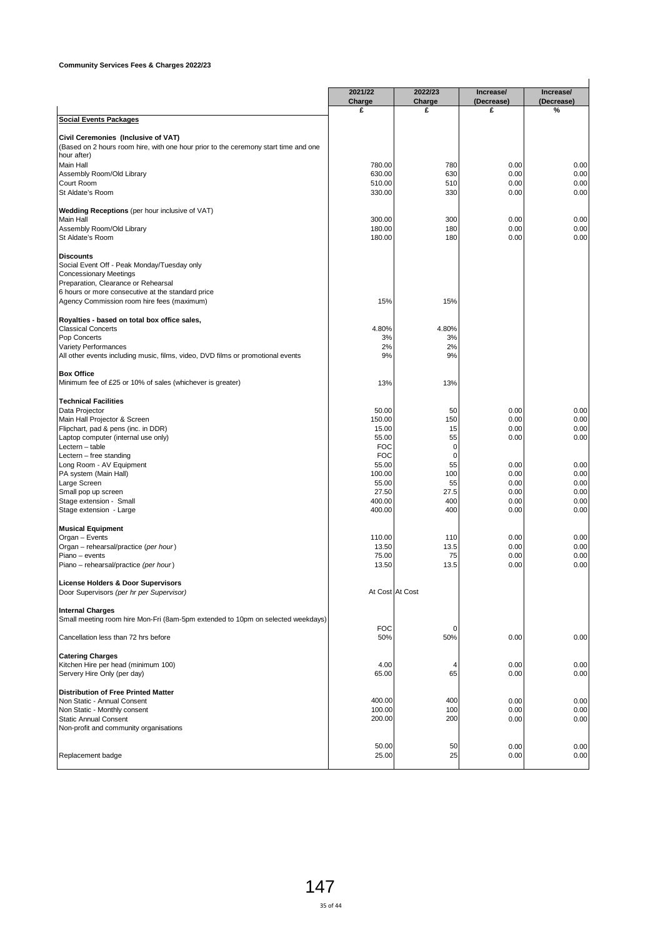|                                                                                                    | 2021/22             | 2022/23           | Increase/       | Increase/       |
|----------------------------------------------------------------------------------------------------|---------------------|-------------------|-----------------|-----------------|
|                                                                                                    | Charge<br>£         | Charge<br>£       | (Decrease)<br>£ | (Decrease)<br>% |
| <b>Social Events Packages</b>                                                                      |                     |                   |                 |                 |
|                                                                                                    |                     |                   |                 |                 |
| Civil Ceremonies (Inclusive of VAT)                                                                |                     |                   |                 |                 |
| (Based on 2 hours room hire, with one hour prior to the ceremony start time and one<br>hour after) |                     |                   |                 |                 |
| <b>Main Hall</b>                                                                                   | 780.00              | 780               | 0.00            | 0.00            |
| Assembly Room/Old Library                                                                          | 630.00              | 630               | 0.00            | 0.00            |
| Court Room                                                                                         | 510.00              | 510               | 0.00            | 0.00            |
| St Aldate's Room                                                                                   | 330.00              | 330               | 0.00            | 0.00            |
| Wedding Receptions (per hour inclusive of VAT)                                                     |                     |                   |                 |                 |
| Main Hall                                                                                          | 300.00              | 300               | 0.00            | 0.00            |
| Assembly Room/Old Library                                                                          | 180.00              | 180               | 0.00            | 0.00            |
| St Aldate's Room                                                                                   | 180.00              | 180               | 0.00            | 0.00            |
| <b>Discounts</b>                                                                                   |                     |                   |                 |                 |
| Social Event Off - Peak Monday/Tuesday only                                                        |                     |                   |                 |                 |
| <b>Concessionary Meetings</b>                                                                      |                     |                   |                 |                 |
| Preparation, Clearance or Rehearsal                                                                |                     |                   |                 |                 |
| 6 hours or more consecutive at the standard price                                                  |                     |                   |                 |                 |
| Agency Commission room hire fees (maximum)                                                         | 15%                 | 15%               |                 |                 |
| Royalties - based on total box office sales,                                                       |                     |                   |                 |                 |
| <b>Classical Concerts</b>                                                                          | 4.80%               | 4.80%             |                 |                 |
| Pop Concerts                                                                                       | 3%                  | 3%                |                 |                 |
| Variety Performances                                                                               | 2%                  | 2%                |                 |                 |
| All other events including music, films, video, DVD films or promotional events                    | 9%                  | 9%                |                 |                 |
| <b>Box Office</b>                                                                                  |                     |                   |                 |                 |
| Minimum fee of £25 or 10% of sales (whichever is greater)                                          | 13%                 | 13%               |                 |                 |
|                                                                                                    |                     |                   |                 |                 |
| <b>Technical Facilities</b><br>Data Projector                                                      | 50.00               | 50                | 0.00            | 0.00            |
| Main Hall Projector & Screen                                                                       | 150.00              | 150               | 0.00            | 0.00            |
| Flipchart, pad & pens (inc. in DDR)                                                                | 15.00               | 15                | 0.00            | 0.00            |
| Laptop computer (internal use only)                                                                | 55.00               | 55                | 0.00            | 0.00            |
| Lectern - table                                                                                    | <b>FOC</b>          | 0                 |                 |                 |
| Lectern - free standing                                                                            | <b>FOC</b><br>55.00 | $\mathbf 0$<br>55 | 0.00            | 0.00            |
| Long Room - AV Equipment<br>PA system (Main Hall)                                                  | 100.00              | 100               | 0.00            | 0.00            |
| Large Screen                                                                                       | 55.00               | 55                | 0.00            | 0.00            |
| Small pop up screen                                                                                | 27.50               | 27.5              | 0.00            | 0.00            |
| Stage extension - Small                                                                            | 400.00              | 400               | 0.00            | 0.00            |
| Stage extension - Large                                                                            | 400.00              | 400               | 0.00            | 0.00            |
| <b>Musical Equipment</b>                                                                           |                     |                   |                 |                 |
| Organ - Events                                                                                     | 110.00              | 110               | 0.00            | 0.00            |
| Organ - rehearsal/practice (per hour)                                                              | 13.50               | 13.5              | 0.00            | 0.00            |
| Piano - events                                                                                     | 75.00               | 75                | 0.00            | 0.00            |
| Piano – rehearsal/practice (per hour)                                                              | 13.50               | 13.5              | 0.00            | 0.00            |
| License Holders & Door Supervisors                                                                 |                     |                   |                 |                 |
| Door Supervisors (per hr per Supervisor)                                                           |                     | At Cost At Cost   |                 |                 |
|                                                                                                    |                     |                   |                 |                 |
| <b>Internal Charges</b>                                                                            |                     |                   |                 |                 |
| Small meeting room hire Mon-Fri (8am-5pm extended to 10pm on selected weekdays)                    | <b>FOC</b>          | 0                 |                 |                 |
| Cancellation less than 72 hrs before                                                               | 50%                 | 50%               | 0.00            | 0.00            |
|                                                                                                    |                     |                   |                 |                 |
| <b>Catering Charges</b>                                                                            |                     |                   |                 |                 |
| Kitchen Hire per head (minimum 100)                                                                | 4.00                | 4                 | 0.00            | 0.00            |
| Servery Hire Only (per day)                                                                        | 65.00               | 65                | 0.00            | 0.00            |
| <b>Distribution of Free Printed Matter</b>                                                         |                     |                   |                 |                 |
| Non Static - Annual Consent                                                                        | 400.00              | 400               | 0.00            | 0.00            |
| Non Static - Monthly consent                                                                       | 100.00              | 100               | 0.00            | 0.00            |
| <b>Static Annual Consent</b>                                                                       | 200.00              | 200               | 0.00            | 0.00            |
| Non-profit and community organisations                                                             |                     |                   |                 |                 |
|                                                                                                    | 50.00               | 50                | 0.00            | 0.00            |
| Replacement badge                                                                                  | 25.00               | 25                | 0.00            | 0.00            |
|                                                                                                    |                     |                   |                 |                 |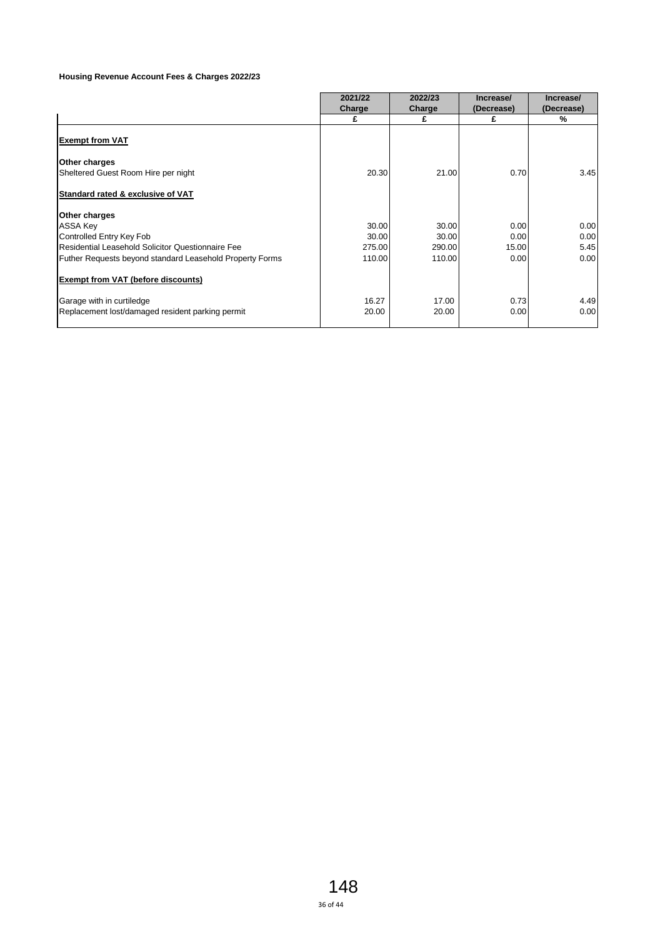### **Housing Revenue Account Fees & Charges 2022/23**

|                                                          | 2021/22<br><b>Charge</b> | 2022/23<br>Charge | Increase/<br>(Decrease) | Increase/<br>(Decrease) |
|----------------------------------------------------------|--------------------------|-------------------|-------------------------|-------------------------|
|                                                          | £                        | £                 | £                       | %                       |
| <b>Exempt from VAT</b>                                   |                          |                   |                         |                         |
| Other charges                                            |                          |                   |                         |                         |
| Sheltered Guest Room Hire per night                      | 20.30                    | 21.00             | 0.70                    | 3.45                    |
| Standard rated & exclusive of VAT                        |                          |                   |                         |                         |
| Other charges                                            |                          |                   |                         |                         |
| <b>ASSA Key</b>                                          | 30.00                    | 30.00             | 0.00                    | 0.00                    |
| Controlled Entry Key Fob                                 | 30.00                    | 30.00             | 0.00                    | 0.00                    |
| Residential Leasehold Solicitor Questionnaire Fee        | 275.00                   | 290.00            | 15.00                   | 5.45                    |
| Futher Requests beyond standard Leasehold Property Forms | 110.00                   | 110.00            | 0.00                    | 0.00                    |
| <b>Exempt from VAT (before discounts)</b>                |                          |                   |                         |                         |
| Garage with in curtiledge                                | 16.27                    | 17.00             | 0.73                    | 4.49                    |
| Replacement lost/damaged resident parking permit         | 20.00                    | 20.00             | 0.00                    | 0.00                    |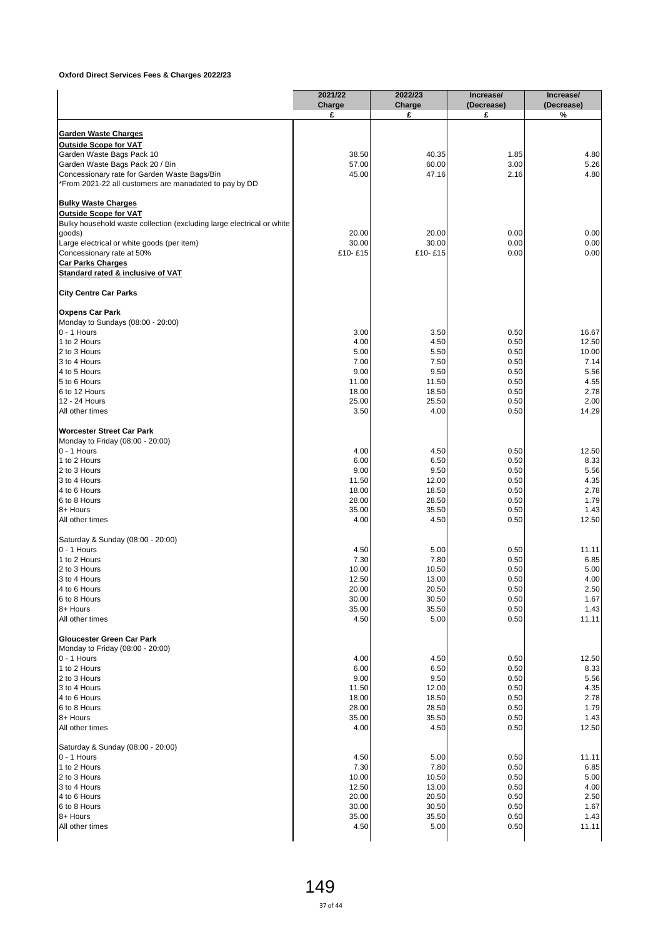|                                                                                                        | 2021/22        | 2022/23        | Increase/       | Increase/       |
|--------------------------------------------------------------------------------------------------------|----------------|----------------|-----------------|-----------------|
|                                                                                                        | Charge<br>£    | Charge<br>£    | (Decrease)<br>£ | (Decrease)<br>% |
|                                                                                                        |                |                |                 |                 |
| <b>Garden Waste Charges</b>                                                                            |                |                |                 |                 |
| <b>Outside Scope for VAT</b>                                                                           |                |                |                 |                 |
| Garden Waste Bags Pack 10                                                                              | 38.50          | 40.35          | 1.85            | 4.80            |
| Garden Waste Bags Pack 20 / Bin                                                                        | 57.00          | 60.00          | 3.00            | 5.26            |
| Concessionary rate for Garden Waste Bags/Bin<br>*From 2021-22 all customers are manadated to pay by DD | 45.00          | 47.16          | 2.16            | 4.80            |
|                                                                                                        |                |                |                 |                 |
| <b>Bulky Waste Charges</b>                                                                             |                |                |                 |                 |
| <b>Outside Scope for VAT</b>                                                                           |                |                |                 |                 |
| Bulky household waste collection (excluding large electrical or white                                  |                |                |                 | 0.00            |
| goods)                                                                                                 | 20.00<br>30.00 | 20.00<br>30.00 | 0.00<br>0.00    | 0.00            |
| Large electrical or white goods (per item)                                                             | £10-£15        | £10-£15        | 0.00            | 0.00            |
| Concessionary rate at 50%                                                                              |                |                |                 |                 |
| <b>Car Parks Charges</b><br>Standard rated & inclusive of VAT                                          |                |                |                 |                 |
| <b>City Centre Car Parks</b>                                                                           |                |                |                 |                 |
|                                                                                                        |                |                |                 |                 |
| <b>Oxpens Car Park</b>                                                                                 |                |                |                 |                 |
| Monday to Sundays (08:00 - 20:00)                                                                      |                |                |                 |                 |
| $0 - 1$ Hours                                                                                          | 3.00           | 3.50           | 0.50            | 16.67           |
| 1 to 2 Hours                                                                                           | 4.00           | 4.50           | 0.50            | 12.50           |
| 2 to 3 Hours                                                                                           | 5.00           | 5.50           | 0.50            | 10.00           |
| 3 to 4 Hours                                                                                           | 7.00           | 7.50           | 0.50            | 7.14            |
| 4 to 5 Hours                                                                                           | 9.00           | 9.50           | 0.50            | 5.56            |
| 5 to 6 Hours                                                                                           | 11.00          | 11.50          | 0.50            | 4.55            |
| 6 to 12 Hours                                                                                          | 18.00          | 18.50          | 0.50            | 2.78            |
| 12 - 24 Hours                                                                                          | 25.00          | 25.50          | 0.50            | 2.00            |
| All other times                                                                                        | 3.50           | 4.00           | 0.50            | 14.29           |
| <b>Worcester Street Car Park</b>                                                                       |                |                |                 |                 |
| Monday to Friday (08:00 - 20:00)                                                                       |                |                |                 |                 |
| $0 - 1$ Hours                                                                                          | 4.00           | 4.50           | 0.50            | 12.50           |
| 1 to 2 Hours                                                                                           | 6.00           | 6.50           | 0.50            | 8.33            |
| 2 to 3 Hours                                                                                           | 9.00           | 9.50           | 0.50            | 5.56            |
| 3 to 4 Hours                                                                                           | 11.50          | 12.00          | 0.50            | 4.35            |
| 4 to 6 Hours                                                                                           | 18.00          | 18.50          | 0.50            | 2.78            |
| 6 to 8 Hours                                                                                           | 28.00          | 28.50          | 0.50            | 1.79            |
| 8+ Hours                                                                                               | 35.00          | 35.50          | 0.50            | 1.43            |
| All other times                                                                                        | 4.00           | 4.50           | 0.50            | 12.50           |
| Saturday & Sunday (08:00 - 20:00)                                                                      |                |                |                 |                 |
| $0 - 1$ Hours                                                                                          | 4.50           | 5.00           | 0.50            | 11.11           |
| 1 to 2 Hours                                                                                           | 7.30           | 7.80           | 0.50            | 6.85            |
| 2 to 3 Hours                                                                                           | 10.00          | 10.50          | 0.50            | 5.00            |
|                                                                                                        | 12.50          | 13.00          | 0.50            | 4.00            |
| 3 to 4 Hours<br>4 to 6 Hours                                                                           |                | 20.50          | 0.50            | 2.50            |
|                                                                                                        | 20.00          |                |                 |                 |
| 6 to 8 Hours<br>8+ Hours                                                                               | 30.00          | 30.50          | 0.50            | 1.67            |
| All other times                                                                                        | 35.00<br>4.50  | 35.50<br>5.00  | 0.50<br>0.50    | 1.43<br>11.11   |
| Gloucester Green Car Park                                                                              |                |                |                 |                 |
| Monday to Friday (08:00 - 20:00)                                                                       |                |                |                 |                 |
| $0 - 1$ Hours                                                                                          | 4.00           | 4.50           | 0.50            | 12.50           |
| 1 to 2 Hours                                                                                           | 6.00           | 6.50           | 0.50            | 8.33            |
| 2 to 3 Hours                                                                                           | 9.00           | 9.50           | 0.50            | 5.56            |
| 3 to 4 Hours                                                                                           | 11.50          | 12.00          | 0.50            | 4.35            |
| 4 to 6 Hours                                                                                           | 18.00          | 18.50          | 0.50            | 2.78            |
| 6 to 8 Hours                                                                                           | 28.00          | 28.50          | 0.50            | 1.79            |
| 8+ Hours                                                                                               | 35.00          | 35.50          | 0.50            | 1.43            |
| All other times                                                                                        | 4.00           | 4.50           | 0.50            | 12.50           |
| Saturday & Sunday (08:00 - 20:00)                                                                      |                |                |                 |                 |
|                                                                                                        |                |                |                 |                 |
| $0 - 1$ Hours                                                                                          | 4.50           | 5.00           | 0.50            | 11.11           |
| 1 to 2 Hours                                                                                           | 7.30           | 7.80           | 0.50            | 6.85            |
| 2 to 3 Hours                                                                                           | 10.00          | 10.50          | 0.50            | 5.00            |
| 3 to 4 Hours                                                                                           | 12.50          | 13.00          | 0.50            | 4.00            |
|                                                                                                        | 20.00          | 20.50          | 0.50            | 2.50            |
| 4 to 6 Hours                                                                                           |                |                |                 |                 |
| 6 to 8 Hours                                                                                           | 30.00          | 30.50          | 0.50            | 1.67            |
|                                                                                                        |                |                |                 | 1.43            |
| 8+ Hours<br>All other times                                                                            | 35.00<br>4.50  | 35.50<br>5.00  | 0.50<br>0.50    | 11.11           |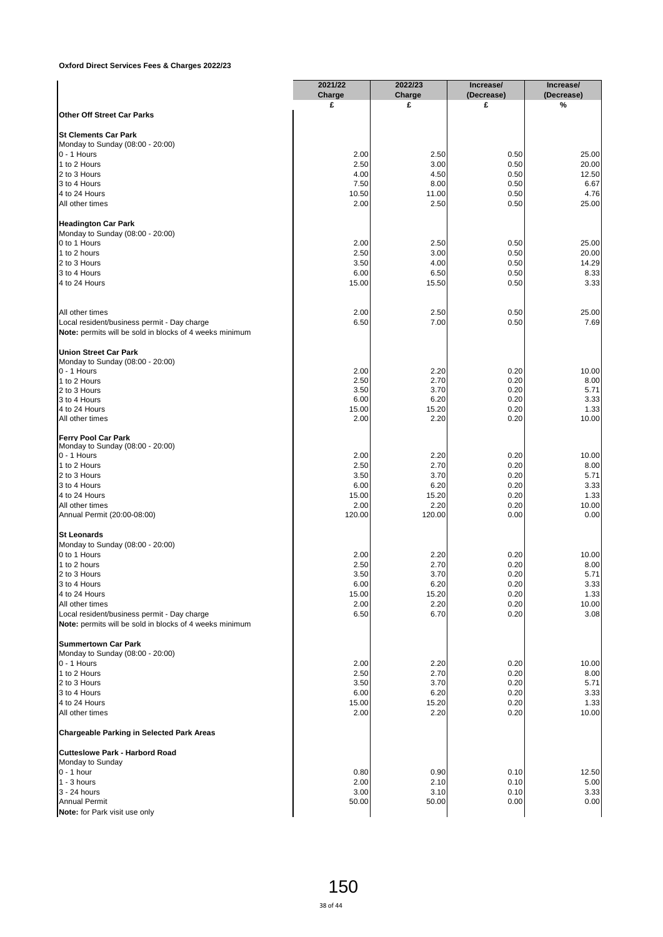|                                                                                                        | 2021/22 | 2022/23 | Increase/  | Increase/  |
|--------------------------------------------------------------------------------------------------------|---------|---------|------------|------------|
|                                                                                                        | Charge  | Charge  | (Decrease) | (Decrease) |
| <b>Other Off Street Car Parks</b>                                                                      | £       | £       | £          | %          |
|                                                                                                        |         |         |            |            |
| <b>St Clements Car Park</b><br>Monday to Sunday (08:00 - 20:00)                                        |         |         |            |            |
| $0 - 1$ Hours                                                                                          | 2.00    | 2.50    | 0.50       | 25.00      |
|                                                                                                        |         |         |            |            |
| 1 to 2 Hours                                                                                           | 2.50    | 3.00    | 0.50       | 20.00      |
| 2 to 3 Hours                                                                                           | 4.00    | 4.50    | 0.50       | 12.50      |
| 3 to 4 Hours                                                                                           | 7.50    | 8.00    | 0.50       | 6.67       |
| 4 to 24 Hours                                                                                          | 10.50   | 11.00   | 0.50       | 4.76       |
| All other times                                                                                        | 2.00    | 2.50    | 0.50       | 25.00      |
| <b>Headington Car Park</b>                                                                             |         |         |            |            |
| Monday to Sunday (08:00 - 20:00)                                                                       |         |         |            |            |
| 0 to 1 Hours                                                                                           | 2.00    | 2.50    | 0.50       | 25.00      |
| 1 to 2 hours                                                                                           | 2.50    | 3.00    | 0.50       | 20.00      |
| 2 to 3 Hours                                                                                           | 3.50    | 4.00    | 0.50       | 14.29      |
| 3 to 4 Hours                                                                                           | 6.00    | 6.50    | 0.50       | 8.33       |
| 4 to 24 Hours                                                                                          | 15.00   | 15.50   | 0.50       | 3.33       |
|                                                                                                        |         |         |            |            |
| All other times                                                                                        | 2.00    | 2.50    | 0.50       | 25.00      |
| Local resident/business permit - Day charge                                                            | 6.50    | 7.00    | 0.50       | 7.69       |
| Note: permits will be sold in blocks of 4 weeks minimum                                                |         |         |            |            |
| <b>Union Street Car Park</b>                                                                           |         |         |            |            |
| Monday to Sunday (08:00 - 20:00)                                                                       |         |         |            |            |
| 0 - 1 Hours                                                                                            | 2.00    | 2.20    | 0.20       | 10.00      |
| 1 to 2 Hours                                                                                           | 2.50    | 2.70    | 0.20       | 8.00       |
| 2 to 3 Hours                                                                                           | 3.50    | 3.70    | 0.20       | 5.71       |
| 3 to 4 Hours                                                                                           | 6.00    | 6.20    | 0.20       | 3.33       |
| 4 to 24 Hours                                                                                          | 15.00   | 15.20   | 0.20       | 1.33       |
| All other times                                                                                        | 2.00    | 2.20    | 0.20       | 10.00      |
| <b>Ferry Pool Car Park</b>                                                                             |         |         |            |            |
| Monday to Sunday (08:00 - 20:00)                                                                       |         |         |            |            |
| $0 - 1$ Hours                                                                                          | 2.00    | 2.20    | 0.20       | 10.00      |
| 1 to 2 Hours                                                                                           | 2.50    | 2.70    | 0.20       | 8.00       |
| 2 to 3 Hours                                                                                           | 3.50    | 3.70    | 0.20       | 5.71       |
|                                                                                                        |         |         |            |            |
| 3 to 4 Hours                                                                                           | 6.00    | 6.20    | 0.20       | 3.33       |
| 4 to 24 Hours                                                                                          | 15.00   | 15.20   | 0.20       | 1.33       |
| All other times                                                                                        | 2.00    | 2.20    | 0.20       | 10.00      |
| Annual Permit (20:00-08:00)                                                                            | 120.00  | 120.00  | 0.00       | 0.00       |
| <b>St Leonards</b>                                                                                     |         |         |            |            |
| Monday to Sunday (08:00 - 20:00)                                                                       |         |         |            |            |
| 0 to 1 Hours                                                                                           | 2.00    | 2.20    | 0.20       | 10.00      |
| 1 to 2 hours                                                                                           | 2.50    | 2.70    | 0.20       | 8.00       |
| 2 to 3 Hours                                                                                           | 3.50    | 3.70    | 0.20       | 5.71       |
| 3 to 4 Hours                                                                                           | 6.00    | 6.20    | 0.20       | 3.33       |
| 4 to 24 Hours                                                                                          | 15.00   | 15.20   | 0.20       | 1.33       |
| All other times                                                                                        | 2.00    | 2.20    | 0.20       | 10.00      |
|                                                                                                        |         |         |            |            |
| Local resident/business permit - Day charge<br>Note: permits will be sold in blocks of 4 weeks minimum | 6.50    | 6.70    | 0.20       | 3.08       |
|                                                                                                        |         |         |            |            |
| <b>Summertown Car Park</b>                                                                             |         |         |            |            |
| Monday to Sunday (08:00 - 20:00)                                                                       |         |         |            |            |
| $0 - 1$ Hours                                                                                          | 2.00    | 2.20    | 0.20       | 10.00      |
| 1 to 2 Hours                                                                                           | 2.50    | 2.70    | 0.20       | 8.00       |
| 2 to 3 Hours                                                                                           | 3.50    | 3.70    | 0.20       | 5.71       |
| 3 to 4 Hours                                                                                           | 6.00    | 6.20    | 0.20       | 3.33       |
| 4 to 24 Hours                                                                                          | 15.00   | 15.20   | 0.20       | 1.33       |
| All other times                                                                                        | 2.00    | 2.20    | 0.20       | 10.00      |
| <b>Chargeable Parking in Selected Park Areas</b>                                                       |         |         |            |            |
| <b>Cutteslowe Park - Harbord Road</b>                                                                  |         |         |            |            |
| Monday to Sunday                                                                                       |         |         |            |            |
| $0 - 1$ hour                                                                                           | 0.80    | 0.90    | 0.10       | 12.50      |
| $1 - 3$ hours                                                                                          | 2.00    | 2.10    | 0.10       | 5.00       |
| 3 - 24 hours                                                                                           |         |         |            |            |
|                                                                                                        | 3.00    | 3.10    | 0.10       | 3.33       |
| <b>Annual Permit</b>                                                                                   | 50.00   | 50.00   | 0.00       | 0.00       |
| Note: for Park visit use only                                                                          |         |         |            |            |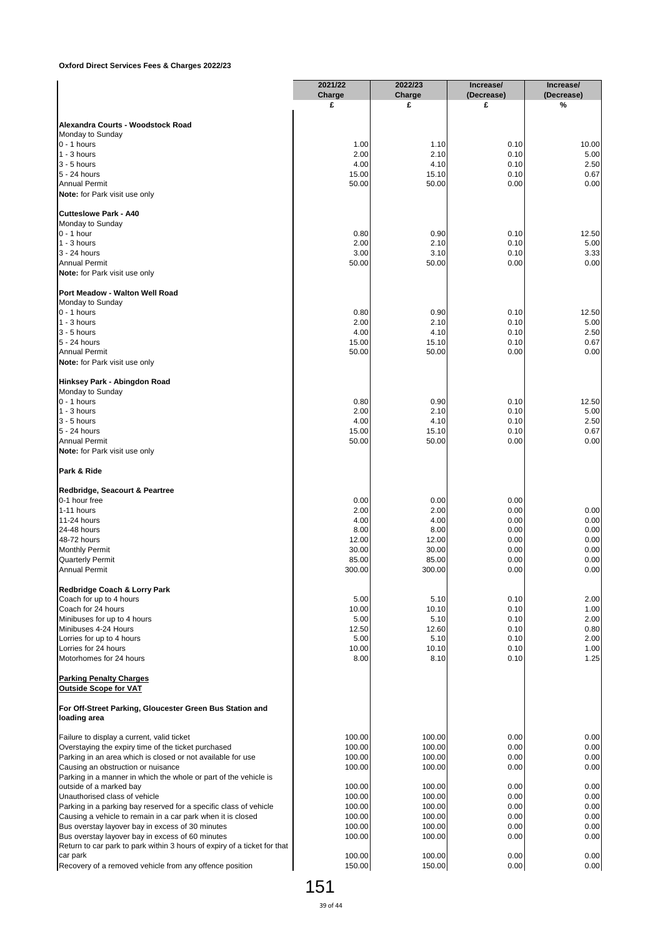|                                                                                                                                  | 2021/22<br>Charge | 2022/23<br>Charge | Increase/<br>(Decrease) | Increase/<br>(Decrease) |
|----------------------------------------------------------------------------------------------------------------------------------|-------------------|-------------------|-------------------------|-------------------------|
|                                                                                                                                  | £                 | £                 | £                       | %                       |
| Alexandra Courts - Woodstock Road                                                                                                |                   |                   |                         |                         |
| Monday to Sunday                                                                                                                 |                   |                   |                         |                         |
| $0 - 1$ hours                                                                                                                    | 1.00              | 1.10              | 0.10                    | 10.00                   |
| $1 - 3$ hours<br>$3 - 5$ hours                                                                                                   | 2.00<br>4.00      | 2.10<br>4.10      | 0.10<br>0.10            | 5.00<br>2.50            |
| 5 - 24 hours                                                                                                                     | 15.00             | 15.10             | 0.10                    | 0.67                    |
| <b>Annual Permit</b>                                                                                                             | 50.00             | 50.00             | 0.00                    | 0.00                    |
| <b>Note:</b> for Park visit use only                                                                                             |                   |                   |                         |                         |
| Cutteslowe Park - A40                                                                                                            |                   |                   |                         |                         |
| Monday to Sunday                                                                                                                 |                   |                   |                         |                         |
| $0 - 1$ hour<br>$1 - 3$ hours                                                                                                    | 0.80<br>2.00      | 0.90<br>2.10      | 0.10<br>0.10            | 12.50<br>5.00           |
| 3 - 24 hours                                                                                                                     | 3.00              | 3.10              | 0.10                    | 3.33                    |
| <b>Annual Permit</b>                                                                                                             | 50.00             | 50.00             | 0.00                    | 0.00                    |
| Note: for Park visit use only                                                                                                    |                   |                   |                         |                         |
| Port Meadow - Walton Well Road                                                                                                   |                   |                   |                         |                         |
| Monday to Sunday                                                                                                                 |                   |                   |                         |                         |
| $0 - 1$ hours<br>$1 - 3$ hours                                                                                                   | 0.80<br>2.00      | 0.90<br>2.10      | 0.10<br>0.10            | 12.50<br>5.00           |
| $3 - 5$ hours                                                                                                                    | 4.00              | 4.10              | 0.10                    | 2.50                    |
| 5 - 24 hours                                                                                                                     | 15.00             | 15.10             | 0.10                    | 0.67                    |
| <b>Annual Permit</b>                                                                                                             | 50.00             | 50.00             | 0.00                    | 0.00                    |
| <b>Note:</b> for Park visit use only                                                                                             |                   |                   |                         |                         |
| Hinksey Park - Abingdon Road                                                                                                     |                   |                   |                         |                         |
| Monday to Sunday                                                                                                                 |                   |                   |                         |                         |
| $0 - 1$ hours<br>$1 - 3$ hours                                                                                                   | 0.80<br>2.00      | 0.90<br>2.10      | 0.10<br>0.10            | 12.50<br>5.00           |
| $3 - 5$ hours                                                                                                                    | 4.00              | 4.10              | 0.10                    | 2.50                    |
| 5 - 24 hours                                                                                                                     | 15.00             | 15.10             | 0.10                    | 0.67                    |
| <b>Annual Permit</b>                                                                                                             | 50.00             | 50.00             | 0.00                    | 0.00                    |
| Note: for Park visit use only                                                                                                    |                   |                   |                         |                         |
| Park & Ride                                                                                                                      |                   |                   |                         |                         |
| Redbridge, Seacourt & Peartree                                                                                                   |                   |                   |                         |                         |
| 0-1 hour free                                                                                                                    | 0.00              | 0.00              | 0.00                    |                         |
| 1-11 hours<br>11-24 hours                                                                                                        | 2.00<br>4.00      | 2.00<br>4.00      | 0.00<br>0.00            | 0.00<br>0.00            |
| 24-48 hours                                                                                                                      | 8.00              | 8.00              | 0.00                    | 0.00                    |
| 48-72 hours                                                                                                                      | 12.00             | 12.00             | 0.00                    | 0.00                    |
| <b>Monthly Permit</b>                                                                                                            | 30.00             | 30.00             | 0.00                    | 0.00                    |
| <b>Quarterly Permit</b><br><b>Annual Permit</b>                                                                                  | 85.00<br>300.00   | 85.00<br>300.00   | 0.00<br>0.00            | 0.00<br>0.00            |
|                                                                                                                                  |                   |                   |                         |                         |
| Redbridge Coach & Lorry Park<br>Coach for up to 4 hours                                                                          | 5.00              | 5.10              | 0.10                    | 2.00                    |
| Coach for 24 hours                                                                                                               | 10.00             | 10.10             | 0.10                    | 1.00                    |
| Minibuses for up to 4 hours                                                                                                      | 5.00              | 5.10              | 0.10                    | 2.00                    |
| Minibuses 4-24 Hours                                                                                                             | 12.50             | 12.60             | 0.10                    | 0.80                    |
| Lorries for up to 4 hours                                                                                                        | 5.00              | 5.10              | 0.10<br>0.10            | 2.00                    |
| Lorries for 24 hours<br>Motorhomes for 24 hours                                                                                  | 10.00<br>8.00     | 10.10<br>8.10     | 0.10                    | 1.00<br>1.25            |
| <b>Parking Penalty Charges</b>                                                                                                   |                   |                   |                         |                         |
| <b>Outside Scope for VAT</b>                                                                                                     |                   |                   |                         |                         |
| For Off-Street Parking, Gloucester Green Bus Station and                                                                         |                   |                   |                         |                         |
| loading area                                                                                                                     |                   |                   |                         |                         |
| Failure to display a current, valid ticket                                                                                       | 100.00            | 100.00            | 0.00                    | 0.00                    |
| Overstaying the expiry time of the ticket purchased                                                                              | 100.00            | 100.00            | 0.00                    | 0.00                    |
| Parking in an area which is closed or not available for use<br>Causing an obstruction or nuisance                                | 100.00<br>100.00  | 100.00<br>100.00  | 0.00<br>0.00            | 0.00<br>0.00            |
| Parking in a manner in which the whole or part of the vehicle is                                                                 |                   |                   |                         |                         |
| outside of a marked bay                                                                                                          | 100.00            | 100.00            | 0.00                    | 0.00                    |
| Unauthorised class of vehicle                                                                                                    | 100.00            | 100.00            | 0.00                    | 0.00                    |
| Parking in a parking bay reserved for a specific class of vehicle<br>Causing a vehicle to remain in a car park when it is closed | 100.00<br>100.00  | 100.00<br>100.00  | 0.00<br>0.00            | 0.00<br>0.00            |
| Bus overstay layover bay in excess of 30 minutes                                                                                 | 100.00            | 100.00            | 0.00                    | 0.00                    |
| Bus overstay layover bay in excess of 60 minutes                                                                                 | 100.00            | 100.00            | 0.00                    | 0.00                    |
| Return to car park to park within 3 hours of expiry of a ticket for that                                                         |                   |                   |                         |                         |
| car park<br>Recovery of a removed vehicle from any offence position                                                              | 100.00<br>150.00  | 100.00<br>150.00  | 0.00<br>0.00            | 0.00<br>0.00            |
|                                                                                                                                  |                   |                   |                         |                         |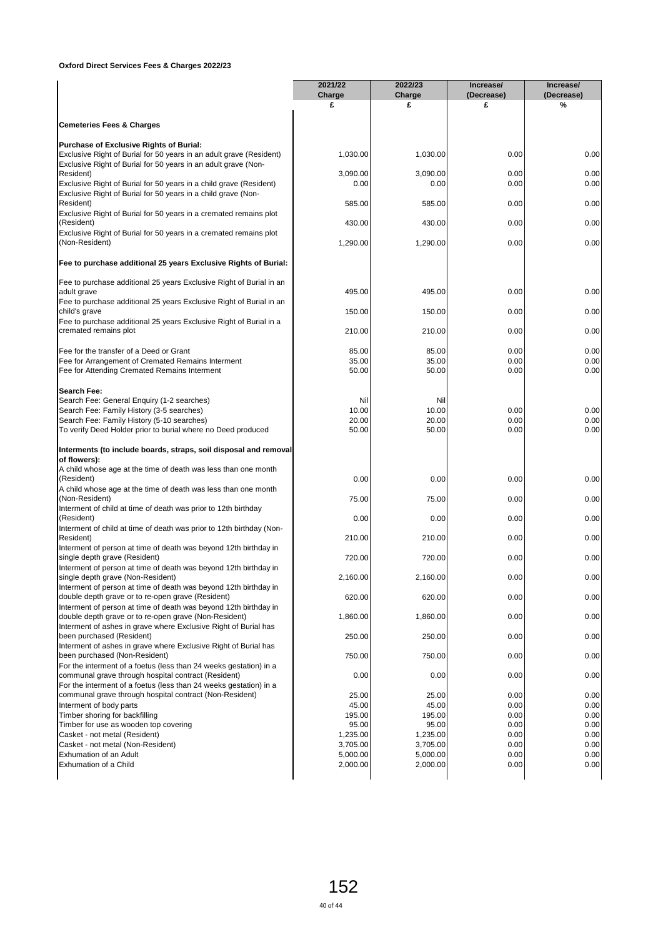|                                                                                                                              | 2021/22<br>Charge<br>£ | 2022/23<br>Charge<br>£ | Increase/<br>(Decrease)<br>£ | Increase/<br>(Decrease)<br>% |
|------------------------------------------------------------------------------------------------------------------------------|------------------------|------------------------|------------------------------|------------------------------|
| <b>Cemeteries Fees &amp; Charges</b>                                                                                         |                        |                        |                              |                              |
| Purchase of Exclusive Rights of Burial:                                                                                      |                        |                        |                              |                              |
| Exclusive Right of Burial for 50 years in an adult grave (Resident)                                                          | 1,030.00               | 1,030.00               | 0.00                         | 0.00                         |
| Exclusive Right of Burial for 50 years in an adult grave (Non-                                                               |                        |                        |                              |                              |
| Resident)                                                                                                                    | 3,090.00               | 3,090.00               | 0.00                         | 0.00                         |
| Exclusive Right of Burial for 50 years in a child grave (Resident)                                                           | 0.00                   | 0.00                   | 0.00                         | 0.00                         |
| Exclusive Right of Burial for 50 years in a child grave (Non-                                                                |                        |                        |                              |                              |
| Resident)                                                                                                                    | 585.00                 | 585.00                 | 0.00                         | 0.00                         |
| Exclusive Right of Burial for 50 years in a cremated remains plot<br>(Resident)                                              | 430.00                 | 430.00                 | 0.00                         | 0.00                         |
| Exclusive Right of Burial for 50 years in a cremated remains plot                                                            |                        |                        |                              |                              |
| (Non-Resident)                                                                                                               | 1,290.00               | 1,290.00               | 0.00                         | 0.00                         |
| Fee to purchase additional 25 years Exclusive Rights of Burial:                                                              |                        |                        |                              |                              |
|                                                                                                                              |                        |                        |                              |                              |
| Fee to purchase additional 25 years Exclusive Right of Burial in an                                                          |                        |                        |                              |                              |
| adult grave<br>Fee to purchase additional 25 years Exclusive Right of Burial in an                                           | 495.00                 | 495.00                 | 0.00                         | 0.00                         |
| child's grave                                                                                                                | 150.00                 | 150.00                 | 0.00                         | 0.00                         |
| Fee to purchase additional 25 years Exclusive Right of Burial in a                                                           |                        |                        |                              |                              |
| cremated remains plot                                                                                                        | 210.00                 | 210.00                 | 0.00                         | 0.00                         |
|                                                                                                                              |                        |                        |                              |                              |
| Fee for the transfer of a Deed or Grant                                                                                      | 85.00                  | 85.00                  | 0.00                         | 0.00                         |
| Fee for Arrangement of Cremated Remains Interment                                                                            | 35.00                  | 35.00                  | 0.00                         | 0.00                         |
| Fee for Attending Cremated Remains Interment                                                                                 | 50.00                  | 50.00                  | 0.00                         | 0.00                         |
| Search Fee:                                                                                                                  |                        |                        |                              |                              |
| Search Fee: General Enquiry (1-2 searches)                                                                                   | Nil                    | Nil                    |                              |                              |
| Search Fee: Family History (3-5 searches)                                                                                    | 10.00                  | 10.00                  | 0.00                         | 0.00                         |
| Search Fee: Family History (5-10 searches)                                                                                   | 20.00<br>50.00         | 20.00<br>50.00         | 0.00<br>0.00                 | 0.00<br>0.00                 |
| To verify Deed Holder prior to burial where no Deed produced                                                                 |                        |                        |                              |                              |
| Interments (to include boards, straps, soil disposal and removal                                                             |                        |                        |                              |                              |
| of flowers):<br>A child whose age at the time of death was less than one month                                               |                        |                        |                              |                              |
| (Resident)                                                                                                                   | 0.00                   | 0.00                   | 0.00                         | 0.00                         |
| A child whose age at the time of death was less than one month                                                               |                        |                        |                              |                              |
| (Non-Resident)                                                                                                               | 75.00                  | 75.00                  | 0.00                         | 0.00                         |
| Interment of child at time of death was prior to 12th birthday                                                               |                        |                        |                              |                              |
| (Resident)                                                                                                                   | 0.00                   | 0.00                   | 0.00                         | 0.00                         |
| Interment of child at time of death was prior to 12th birthday (Non-                                                         |                        |                        |                              |                              |
| Resident)<br>Interment of person at time of death was beyond 12th birthday in                                                | 210.00                 | 210.00                 | 0.00                         | 0.00                         |
| single depth grave (Resident)                                                                                                | 720.00                 | 720.00                 | 0.00                         | 0.00                         |
| Interment of person at time of death was beyond 12th birthday in                                                             |                        |                        |                              |                              |
| single depth grave (Non-Resident)                                                                                            | 2,160.00               | 2,160.00               | 0.00                         | 0.00                         |
| Interment of person at time of death was beyond 12th birthday in                                                             |                        |                        |                              |                              |
| double depth grave or to re-open grave (Resident)                                                                            | 620.00                 | 620.00                 | 0.00                         | 0.00                         |
| Interment of person at time of death was beyond 12th birthday in<br>double depth grave or to re-open grave (Non-Resident)    | 1,860.00               | 1,860.00               | 0.00                         | 0.00                         |
| Interment of ashes in grave where Exclusive Right of Burial has                                                              |                        |                        |                              |                              |
| been purchased (Resident)                                                                                                    | 250.00                 | 250.00                 | 0.00                         | 0.00                         |
| Interment of ashes in grave where Exclusive Right of Burial has                                                              |                        |                        |                              |                              |
| been purchased (Non-Resident)                                                                                                | 750.00                 | 750.00                 | 0.00                         | 0.00                         |
| For the interment of a foetus (less than 24 weeks gestation) in a                                                            |                        |                        |                              |                              |
| communal grave through hospital contract (Resident)                                                                          | 0.00                   | 0.00                   | 0.00                         | 0.00                         |
| For the interment of a foetus (less than 24 weeks gestation) in a<br>communal grave through hospital contract (Non-Resident) | 25.00                  | 25.00                  | 0.00                         | 0.00                         |
| Interment of body parts                                                                                                      | 45.00                  | 45.00                  | 0.00                         | 0.00                         |
| Timber shoring for backfilling                                                                                               | 195.00                 | 195.00                 | 0.00                         | 0.00                         |
| Timber for use as wooden top covering                                                                                        | 95.00                  | 95.00                  | 0.00                         | 0.00                         |
| Casket - not metal (Resident)                                                                                                | 1,235.00               | 1,235.00               | 0.00                         | 0.00                         |
| Casket - not metal (Non-Resident)                                                                                            | 3,705.00               | 3,705.00               | 0.00                         | 0.00                         |
| Exhumation of an Adult                                                                                                       | 5,000.00               | 5,000.00               | 0.00                         | 0.00                         |
| Exhumation of a Child                                                                                                        | 2,000.00               | 2,000.00               | 0.00                         | 0.00                         |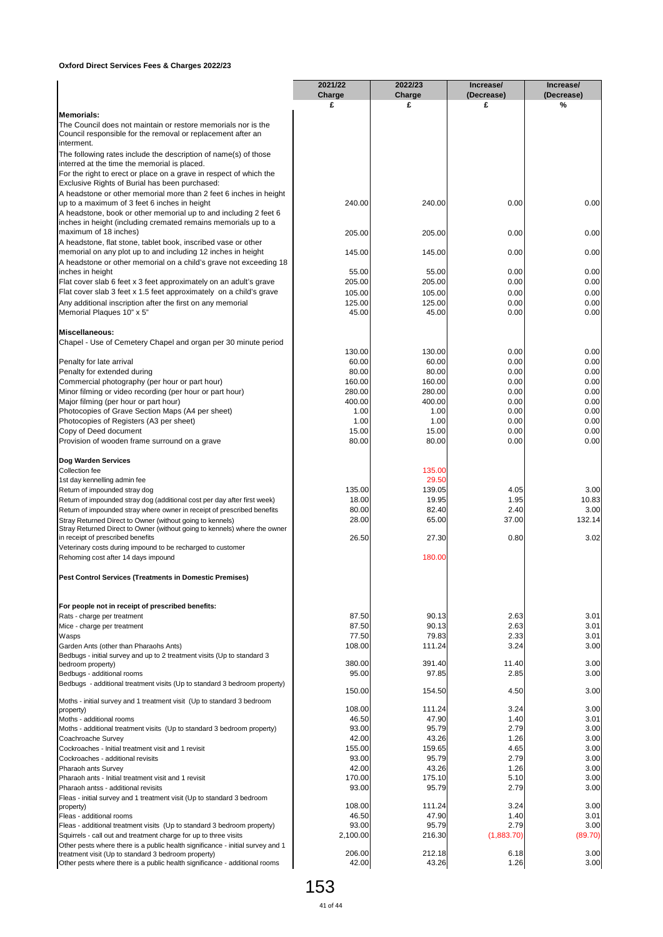|                                                                                                                                                    | 2021/22         | 2022/23         | Increase/       | Increase/       |
|----------------------------------------------------------------------------------------------------------------------------------------------------|-----------------|-----------------|-----------------|-----------------|
|                                                                                                                                                    | Charge<br>£     | Charge<br>£     | (Decrease)<br>£ | (Decrease)<br>% |
| <b>Memorials:</b>                                                                                                                                  |                 |                 |                 |                 |
| The Council does not maintain or restore memorials nor is the                                                                                      |                 |                 |                 |                 |
| Council responsible for the removal or replacement after an<br>interment.                                                                          |                 |                 |                 |                 |
| The following rates include the description of name(s) of those                                                                                    |                 |                 |                 |                 |
| interred at the time the memorial is placed.                                                                                                       |                 |                 |                 |                 |
| For the right to erect or place on a grave in respect of which the                                                                                 |                 |                 |                 |                 |
| Exclusive Rights of Burial has been purchased:<br>A headstone or other memorial more than 2 feet 6 inches in height                                |                 |                 |                 |                 |
| up to a maximum of 3 feet 6 inches in height                                                                                                       | 240.00          | 240.00          | 0.00            | 0.00            |
| A headstone, book or other memorial up to and including 2 feet 6                                                                                   |                 |                 |                 |                 |
| inches in height (including cremated remains memorials up to a<br>maximum of 18 inches)                                                            | 205.00          |                 |                 |                 |
| A headstone, flat stone, tablet book, inscribed vase or other                                                                                      |                 | 205.00          | 0.00            | 0.00            |
| memorial on any plot up to and including 12 inches in height                                                                                       | 145.00          | 145.00          | 0.00            | 0.00            |
| A headstone or other memorial on a child's grave not exceeding 18                                                                                  |                 |                 |                 |                 |
| inches in height<br>Flat cover slab 6 feet x 3 feet approximately on an adult's grave                                                              | 55.00<br>205.00 | 55.00<br>205.00 | 0.00<br>0.00    | 0.00<br>0.00    |
| Flat cover slab 3 feet x 1.5 feet approximately on a child's grave                                                                                 | 105.00          | 105.00          | 0.00            | 0.00            |
| Any additional inscription after the first on any memorial                                                                                         | 125.00          | 125.00          | 0.00            | 0.00            |
| Memorial Plaques 10" x 5"                                                                                                                          | 45.00           | 45.00           | 0.00            | 0.00            |
|                                                                                                                                                    |                 |                 |                 |                 |
| <b>Miscellaneous:</b><br>Chapel - Use of Cemetery Chapel and organ per 30 minute period                                                            |                 |                 |                 |                 |
|                                                                                                                                                    | 130.00          | 130.00          | 0.00            | 0.00            |
| Penalty for late arrival                                                                                                                           | 60.00           | 60.00           | 0.00            | 0.00            |
| Penalty for extended during<br>Commercial photography (per hour or part hour)                                                                      | 80.00<br>160.00 | 80.00<br>160.00 | 0.00<br>0.00    | 0.00<br>0.00    |
| Minor filming or video recording (per hour or part hour)                                                                                           | 280.00          | 280.00          | 0.00            | 0.00            |
| Major filming (per hour or part hour)                                                                                                              | 400.00          | 400.00          | 0.00            | 0.00            |
| Photocopies of Grave Section Maps (A4 per sheet)                                                                                                   | 1.00            | 1.00            | 0.00            | 0.00            |
| Photocopies of Registers (A3 per sheet)<br>Copy of Deed document                                                                                   | 1.00<br>15.00   | 1.00<br>15.00   | 0.00<br>0.00    | 0.00<br>0.00    |
| Provision of wooden frame surround on a grave                                                                                                      | 80.00           | 80.00           | 0.00            | 0.00            |
|                                                                                                                                                    |                 |                 |                 |                 |
| Dog Warden Services                                                                                                                                |                 | 135.00          |                 |                 |
| Collection fee<br>1st day kennelling admin fee                                                                                                     |                 | 29.50           |                 |                 |
| Return of impounded stray dog                                                                                                                      | 135.00          | 139.05          | 4.05            | 3.00            |
| Return of impounded stray dog (additional cost per day after first week)                                                                           | 18.00           | 19.95           | 1.95            | 10.83           |
| Return of impounded stray where owner in receipt of prescribed benefits                                                                            | 80.00<br>28.00  | 82.40<br>65.00  | 2.40<br>37.00   | 3.00<br>132.14  |
| Stray Returned Direct to Owner (without going to kennels)<br>Stray Returned Direct to Owner (without going to kennels) where the owner             |                 |                 |                 |                 |
| in receipt of prescribed benefits                                                                                                                  | 26.50           | 27.30           | 0.80            | 3.02            |
| Veterinary costs during impound to be recharged to customer<br>Rehoming cost after 14 days impound                                                 |                 | 180.00          |                 |                 |
|                                                                                                                                                    |                 |                 |                 |                 |
| Pest Control Services (Treatments in Domestic Premises)                                                                                            |                 |                 |                 |                 |
| For people not in receipt of prescribed benefits:                                                                                                  |                 |                 |                 |                 |
| Rats - charge per treatment                                                                                                                        | 87.50           | 90.13           | 2.63            | 3.01            |
| Mice - charge per treatment<br>Wasps                                                                                                               | 87.50<br>77.50  | 90.13<br>79.83  | 2.63<br>2.33    | 3.01<br>3.01    |
| Garden Ants (other than Pharaohs Ants)                                                                                                             | 108.00          | 111.24          | 3.24            | 3.00            |
| Bedbugs - initial survey and up to 2 treatment visits (Up to standard 3                                                                            |                 |                 |                 |                 |
| bedroom property)<br>Bedbugs - additional rooms                                                                                                    | 380.00<br>95.00 | 391.40<br>97.85 | 11.40<br>2.85   | 3.00<br>3.00    |
| Bedbugs - additional treatment visits (Up to standard 3 bedroom property)                                                                          |                 |                 |                 |                 |
|                                                                                                                                                    | 150.00          | 154.50          | 4.50            | 3.00            |
| Moths - initial survey and 1 treatment visit (Up to standard 3 bedroom<br>property)                                                                | 108.00          | 111.24          | 3.24            | 3.00            |
| Moths - additional rooms                                                                                                                           | 46.50           | 47.90           | 1.40            | 3.01            |
| Moths - additional treatment visits (Up to standard 3 bedroom property)                                                                            | 93.00           | 95.79           | 2.79            | 3.00            |
| Coachroache Survey                                                                                                                                 | 42.00<br>155.00 | 43.26           | 1.26            | 3.00<br>3.00    |
| Cockroaches - Initial treatment visit and 1 revisit<br>Cockroaches - additional revisits                                                           | 93.00           | 159.65<br>95.79 | 4.65<br>2.79    | 3.00            |
| Pharaoh ants Survey                                                                                                                                | 42.00           | 43.26           | 1.26            | 3.00            |
| Pharaoh ants - Initial treatment visit and 1 revisit                                                                                               | 170.00          | 175.10          | 5.10            | 3.00            |
| Pharaoh antss - additional revisits                                                                                                                | 93.00           | 95.79           | 2.79            | 3.00            |
| Fleas - initial survey and 1 treatment visit (Up to standard 3 bedroom<br>property)                                                                | 108.00          | 111.24          | 3.24            | 3.00            |
| Fleas - additional rooms                                                                                                                           | 46.50           | 47.90           | 1.40            | 3.01            |
| Fleas - additional treatment visits (Up to standard 3 bedroom property)                                                                            | 93.00           | 95.79           | 2.79            | 3.00            |
| Squirrels - call out and treatment charge for up to three visits<br>Other pests where there is a public health significance - initial survey and 1 | 2,100.00        | 216.30          | (1,883.70)      | (89.70)         |
| treatment visit (Up to standard 3 bedroom property)                                                                                                | 206.00          | 212.18          | 6.18            | 3.00            |
| Other pests where there is a public health significance - additional rooms                                                                         | 42.00           | 43.26           | 1.26            | 3.00            |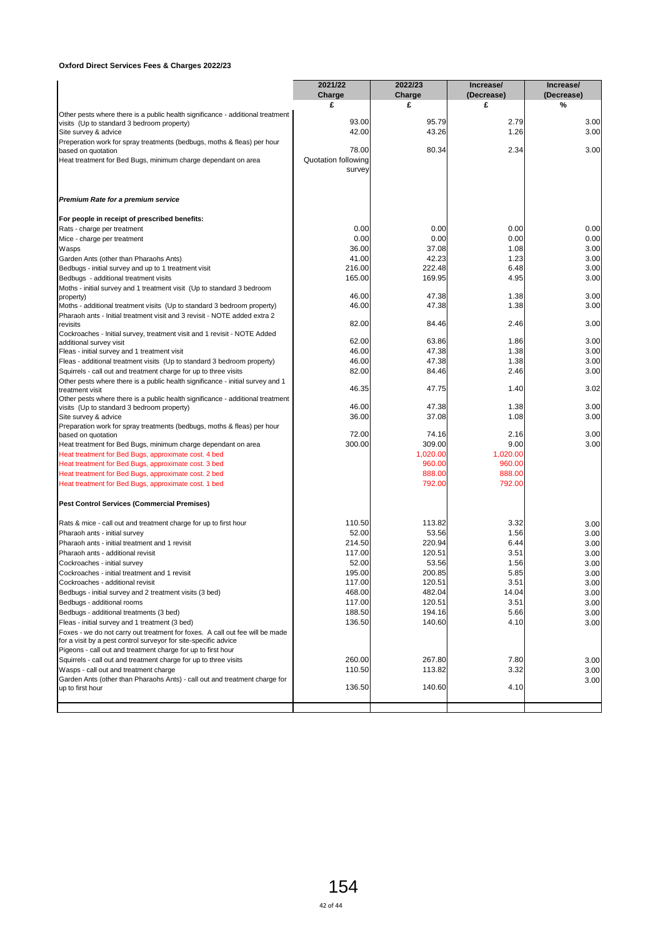|                                                                                                                                             | 2021/22             | 2022/23         | Increase/    | Increase/    |
|---------------------------------------------------------------------------------------------------------------------------------------------|---------------------|-----------------|--------------|--------------|
|                                                                                                                                             | Charge              | Charge          | (Decrease)   | (Decrease)   |
|                                                                                                                                             | £                   | £               | £            | %            |
| Other pests where there is a public health significance - additional treatment                                                              | 93.00               | 95.79           | 2.79         | 3.00         |
| visits (Up to standard 3 bedroom property)<br>Site survey & advice                                                                          | 42.00               | 43.26           | 1.26         | 3.00         |
| Preperation work for spray treatments (bedbugs, moths & fleas) per hour                                                                     |                     |                 |              |              |
| based on quotation                                                                                                                          | 78.00               | 80.34           | 2.34         | 3.00         |
| Heat treatment for Bed Bugs, minimum charge dependant on area                                                                               | Quotation following |                 |              |              |
|                                                                                                                                             | survey              |                 |              |              |
| Premium Rate for a premium service                                                                                                          |                     |                 |              |              |
| For people in receipt of prescribed benefits:                                                                                               |                     |                 |              |              |
| Rats - charge per treatment                                                                                                                 | 0.00                | 0.00            | 0.00         | 0.00         |
| Mice - charge per treatment                                                                                                                 | 0.00                | 0.00            | 0.00         | 0.00         |
| Wasps                                                                                                                                       | 36.00               | 37.08           | 1.08         | 3.00         |
| Garden Ants (other than Pharaohs Ants)                                                                                                      | 41.00               | 42.23           | 1.23         | 3.00         |
| Bedbugs - initial survey and up to 1 treatment visit                                                                                        | 216.00              | 222.48          | 6.48         | 3.00         |
| Bedbugs - additional treatment visits                                                                                                       | 165.00              | 169.95          | 4.95         | 3.00         |
| Moths - initial survey and 1 treatment visit (Up to standard 3 bedroom<br>property)                                                         | 46.00               | 47.38           | 1.38         | 3.00         |
| Moths - additional treatment visits (Up to standard 3 bedroom property)                                                                     | 46.00               | 47.38           | 1.38         | 3.00         |
| Pharaoh ants - Initial treatment visit and 3 revisit - NOTE added extra 2                                                                   |                     |                 |              |              |
| revisits                                                                                                                                    | 82.00               | 84.46           | 2.46         | 3.00         |
| Cockroaches - Initial survey, treatment visit and 1 revisit - NOTE Added                                                                    |                     |                 |              |              |
| additional survey visit                                                                                                                     | 62.00               | 63.86           | 1.86         | 3.00         |
| Fleas - initial survey and 1 treatment visit                                                                                                | 46.00               | 47.38           | 1.38         | 3.00         |
| Fleas - additional treatment visits (Up to standard 3 bedroom property)<br>Squirrels - call out and treatment charge for up to three visits | 46.00<br>82.00      | 47.38<br>84.46  | 1.38<br>2.46 | 3.00<br>3.00 |
| Other pests where there is a public health significance - initial survey and 1                                                              |                     |                 |              |              |
| treatment visit                                                                                                                             | 46.35               | 47.75           | 1.40         | 3.02         |
| Other pests where there is a public health significance - additional treatment                                                              |                     |                 |              |              |
| visits (Up to standard 3 bedroom property)                                                                                                  | 46.00               | 47.38           | 1.38         | 3.00         |
| Site survey & advice                                                                                                                        | 36.00               | 37.08           | 1.08         | 3.00         |
| Preparation work for spray treatments (bedbugs, moths & fleas) per hour                                                                     | 72.00               | 74.16           | 2.16         | 3.00         |
| based on quotation<br>Heat treatment for Bed Bugs, minimum charge dependant on area                                                         | 300.00              | 309.00          | 9.00         | 3.00         |
| Heat treatment for Bed Bugs, approximate cost. 4 bed                                                                                        |                     | 1,020.00        | 1,020.00     |              |
| Heat treatment for Bed Bugs, approximate cost. 3 bed                                                                                        |                     | 960.00          | 960.00       |              |
| Heat treatment for Bed Bugs, approximate cost. 2 bed                                                                                        |                     | 888.00          | 888.00       |              |
| Heat treatment for Bed Bugs, approximate cost. 1 bed                                                                                        |                     | 792.00          | 792.00       |              |
| <b>Pest Control Services (Commercial Premises)</b>                                                                                          |                     |                 |              |              |
|                                                                                                                                             |                     |                 |              |              |
| Rats & mice - call out and treatment charge for up to first hour                                                                            | 110.50              | 113.82          | 3.32         | 3.00         |
| Pharaoh ants - initial survey<br>Pharaoh ants - initial treatment and 1 revisit                                                             | 52.00<br>214.50     | 53.56<br>220.94 | 1.56<br>6.44 | 3.00         |
| Pharaoh ants - additional revisit                                                                                                           | 117.00              | 120.51          | 3.51         | 3.00<br>3.00 |
| Cockroaches - initial survey                                                                                                                | 52.00               | 53.56           | 1.56         | 3.00         |
| Cockroaches - initial treatment and 1 revisit                                                                                               | 195.00              | 200.85          | 5.85         | 3.00         |
| Cockroaches - additional revisit                                                                                                            | 117.00              | 120.51          | 3.51         | 3.00         |
| Bedbugs - initial survey and 2 treatment visits (3 bed)                                                                                     | 468.00              | 482.04          | 14.04        | 3.00         |
| Bedbugs - additional rooms                                                                                                                  | 117.00              | 120.51          | 3.51         | 3.00         |
| Bedbugs - additional treatments (3 bed)                                                                                                     | 188.50              | 194.16          | 5.66         | 3.00         |
| Fleas - initial survey and 1 treatment (3 bed)                                                                                              | 136.50              | 140.60          | 4.10         | 3.00         |
| Foxes - we do not carry out treatment for foxes. A call out fee will be made                                                                |                     |                 |              |              |
| for a visit by a pest control surveyor for site-specific advice                                                                             |                     |                 |              |              |
| Pigeons - call out and treatment charge for up to first hour                                                                                |                     |                 |              |              |
| Squirrels - call out and treatment charge for up to three visits                                                                            | 260.00              | 267.80          | 7.80         | 3.00         |
| Wasps - call out and treatment charge                                                                                                       | 110.50              | 113.82          | 3.32         | 3.00         |
| Garden Ants (other than Pharaohs Ants) - call out and treatment charge for                                                                  | 136.50              | 140.60          | 4.10         | 3.00         |
| up to first hour                                                                                                                            |                     |                 |              |              |
|                                                                                                                                             |                     |                 |              |              |